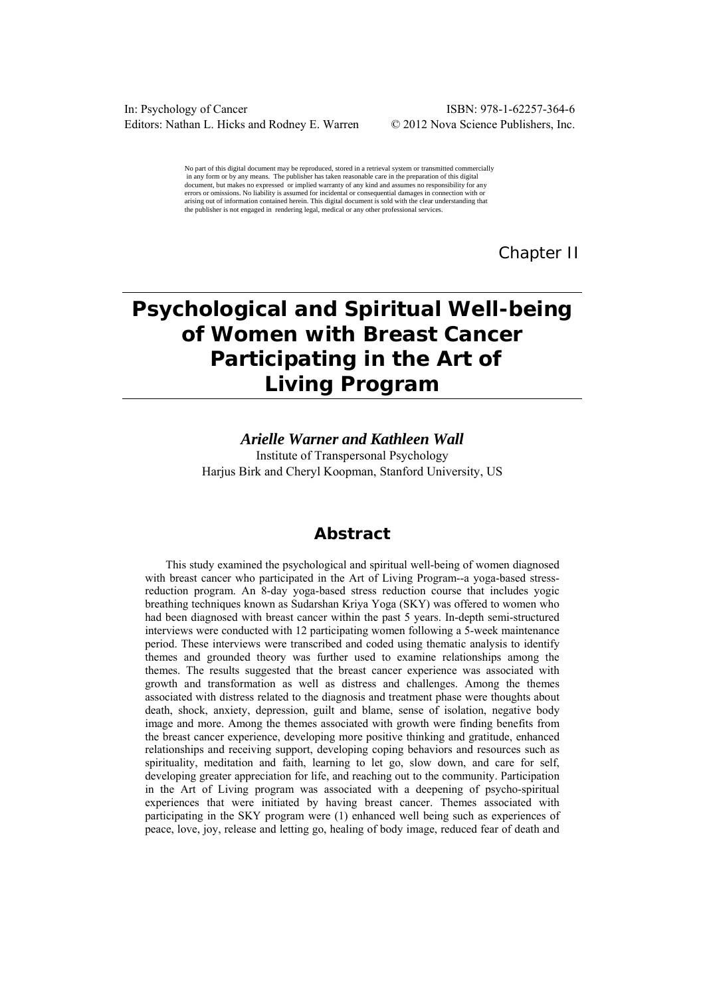In: Psychology of Cancer ISBN: 978-1-62257-364-6 Editors: Nathan L. Hicks and Rodney E. Warren © 2012 Nova Science Publishers, Inc.

No part of this digital document may be reproduced, stored in a retrieval system or transmitted commercially in any form or by any means. The publisher has taken reasonable care in the preparation of this digital document, but makes no expressed or implied warranty of any kind and assumes no responsibility for any errors or omissions. No liability is assumed for incidental or consequential damages in connection with or arising out of information contained herein. This digital document is sold with the clear understanding that the publisher is not engaged in rendering legal, medical or any other professional services.

*Chapter II* 

# **Psychological and Spiritual Well-being of Women with Breast Cancer Participating in the Art of Living Program**

## *Arielle Warner and Kathleen Wall*

Institute of Transpersonal Psychology Harjus Birk and Cheryl Koopman, Stanford University, US

# **Abstract**

This study examined the psychological and spiritual well-being of women diagnosed with breast cancer who participated in the Art of Living Program--a yoga-based stressreduction program. An 8-day yoga-based stress reduction course that includes yogic breathing techniques known as Sudarshan Kriya Yoga (SKY) was offered to women who had been diagnosed with breast cancer within the past 5 years. In-depth semi-structured interviews were conducted with 12 participating women following a 5-week maintenance period. These interviews were transcribed and coded using thematic analysis to identify themes and grounded theory was further used to examine relationships among the themes. The results suggested that the breast cancer experience was associated with growth and transformation as well as distress and challenges. Among the themes associated with distress related to the diagnosis and treatment phase were thoughts about death, shock, anxiety, depression, guilt and blame, sense of isolation, negative body image and more. Among the themes associated with growth were finding benefits from the breast cancer experience, developing more positive thinking and gratitude, enhanced relationships and receiving support, developing coping behaviors and resources such as spirituality, meditation and faith, learning to let go, slow down, and care for self, developing greater appreciation for life, and reaching out to the community. Participation in the Art of Living program was associated with a deepening of psycho-spiritual experiences that were initiated by having breast cancer. Themes associated with participating in the SKY program were (1) enhanced well being such as experiences of peace, love, joy, release and letting go, healing of body image, reduced fear of death and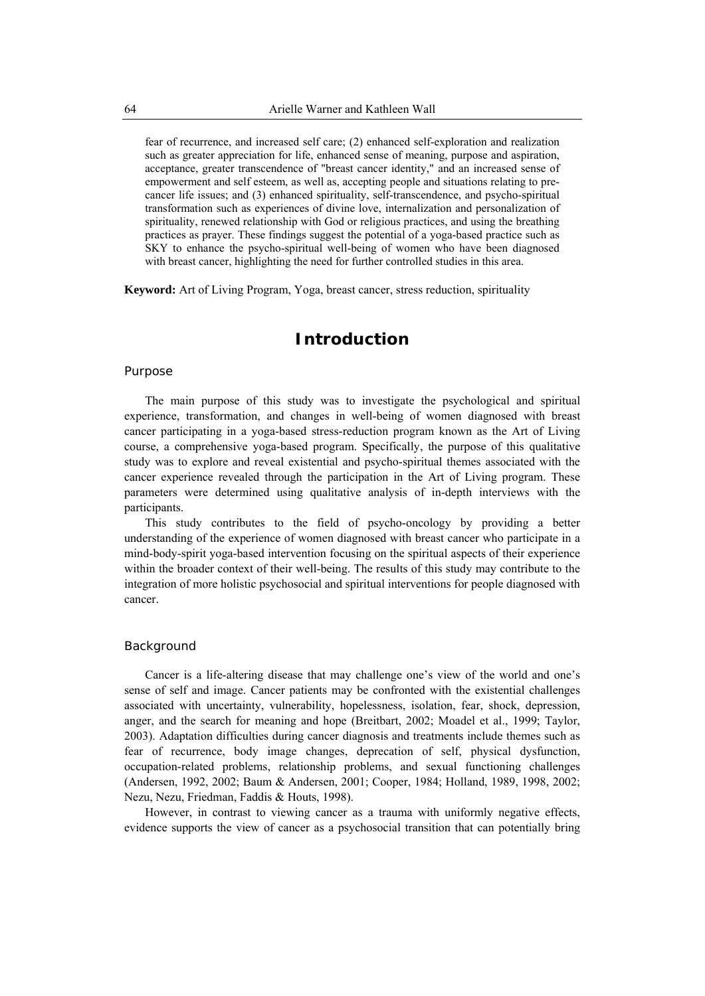fear of recurrence, and increased self care; (2) enhanced self-exploration and realization such as greater appreciation for life, enhanced sense of meaning, purpose and aspiration, acceptance, greater transcendence of "breast cancer identity," and an increased sense of empowerment and self esteem, as well as, accepting people and situations relating to precancer life issues; and (3) enhanced spirituality, self-transcendence, and psycho-spiritual transformation such as experiences of divine love, internalization and personalization of spirituality, renewed relationship with God or religious practices, and using the breathing practices as prayer. These findings suggest the potential of a yoga-based practice such as SKY to enhance the psycho-spiritual well-being of women who have been diagnosed with breast cancer, highlighting the need for further controlled studies in this area.

**Keyword:** Art of Living Program, Yoga, breast cancer, stress reduction, spirituality

# **Introduction**

#### Purpose

The main purpose of this study was to investigate the psychological and spiritual experience, transformation, and changes in well-being of women diagnosed with breast cancer participating in a yoga-based stress-reduction program known as the Art of Living course, a comprehensive yoga-based program. Specifically, the purpose of this qualitative study was to explore and reveal existential and psycho-spiritual themes associated with the cancer experience revealed through the participation in the Art of Living program. These parameters were determined using qualitative analysis of in-depth interviews with the participants.

This study contributes to the field of psycho-oncology by providing a better understanding of the experience of women diagnosed with breast cancer who participate in a mind-body-spirit yoga-based intervention focusing on the spiritual aspects of their experience within the broader context of their well-being. The results of this study may contribute to the integration of more holistic psychosocial and spiritual interventions for people diagnosed with cancer.

## Background

Cancer is a life-altering disease that may challenge one's view of the world and one's sense of self and image. Cancer patients may be confronted with the existential challenges associated with uncertainty, vulnerability, hopelessness, isolation, fear, shock, depression, anger, and the search for meaning and hope (Breitbart, 2002; Moadel et al., 1999; Taylor, 2003). Adaptation difficulties during cancer diagnosis and treatments include themes such as fear of recurrence, body image changes, deprecation of self, physical dysfunction, occupation-related problems, relationship problems, and sexual functioning challenges (Andersen, 1992, 2002; Baum & Andersen, 2001; Cooper, 1984; Holland, 1989, 1998, 2002; Nezu, Nezu, Friedman, Faddis & Houts, 1998).

However, in contrast to viewing cancer as a trauma with uniformly negative effects, evidence supports the view of cancer as a psychosocial transition that can potentially bring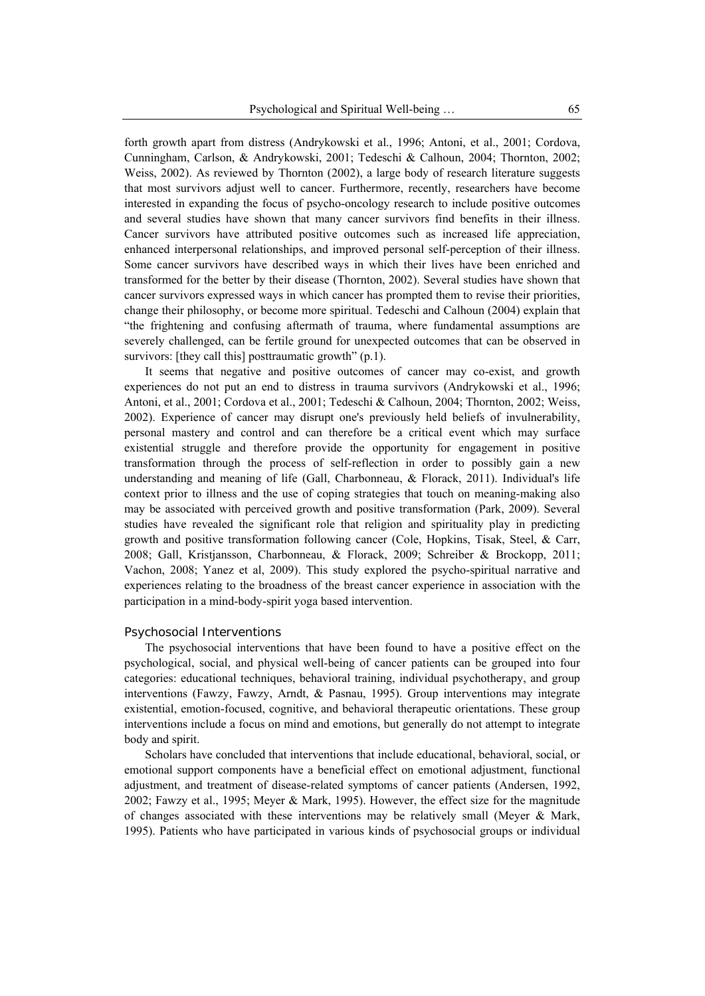forth growth apart from distress (Andrykowski et al., 1996; Antoni, et al., 2001; Cordova, Cunningham, Carlson, & Andrykowski, 2001; Tedeschi & Calhoun, 2004; Thornton, 2002; Weiss, 2002). As reviewed by Thornton (2002), a large body of research literature suggests that most survivors adjust well to cancer. Furthermore, recently, researchers have become interested in expanding the focus of psycho-oncology research to include positive outcomes and several studies have shown that many cancer survivors find benefits in their illness. Cancer survivors have attributed positive outcomes such as increased life appreciation, enhanced interpersonal relationships, and improved personal self-perception of their illness. Some cancer survivors have described ways in which their lives have been enriched and transformed for the better by their disease (Thornton, 2002). Several studies have shown that cancer survivors expressed ways in which cancer has prompted them to revise their priorities, change their philosophy, or become more spiritual. Tedeschi and Calhoun (2004) explain that "the frightening and confusing aftermath of trauma, where fundamental assumptions are severely challenged, can be fertile ground for unexpected outcomes that can be observed in survivors: [they call this] posttraumatic growth" (p.1).

It seems that negative and positive outcomes of cancer may co-exist, and growth experiences do not put an end to distress in trauma survivors (Andrykowski et al., 1996; Antoni, et al., 2001; Cordova et al., 2001; Tedeschi & Calhoun, 2004; Thornton, 2002; Weiss, 2002). Experience of cancer may disrupt one's previously held beliefs of invulnerability, personal mastery and control and can therefore be a critical event which may surface existential struggle and therefore provide the opportunity for engagement in positive transformation through the process of self-reflection in order to possibly gain a new understanding and meaning of life (Gall, Charbonneau, & Florack, 2011). Individual's life context prior to illness and the use of coping strategies that touch on meaning-making also may be associated with perceived growth and positive transformation (Park, 2009). Several studies have revealed the significant role that religion and spirituality play in predicting growth and positive transformation following cancer (Cole, Hopkins, Tisak, Steel, & Carr, 2008; Gall, Kristjansson, Charbonneau, & Florack, 2009; Schreiber & Brockopp, 2011; Vachon, 2008; Yanez et al, 2009). This study explored the psycho-spiritual narrative and experiences relating to the broadness of the breast cancer experience in association with the participation in a mind-body-spirit yoga based intervention.

#### *Psychosocial Interventions*

The psychosocial interventions that have been found to have a positive effect on the psychological, social, and physical well-being of cancer patients can be grouped into four categories: educational techniques, behavioral training, individual psychotherapy, and group interventions (Fawzy, Fawzy, Arndt, & Pasnau, 1995). Group interventions may integrate existential, emotion-focused, cognitive, and behavioral therapeutic orientations. These group interventions include a focus on mind and emotions, but generally do not attempt to integrate body and spirit.

Scholars have concluded that interventions that include educational, behavioral, social, or emotional support components have a beneficial effect on emotional adjustment, functional adjustment, and treatment of disease-related symptoms of cancer patients (Andersen, 1992, 2002; Fawzy et al., 1995; Meyer & Mark, 1995). However, the effect size for the magnitude of changes associated with these interventions may be relatively small (Meyer  $\&$  Mark, 1995). Patients who have participated in various kinds of psychosocial groups or individual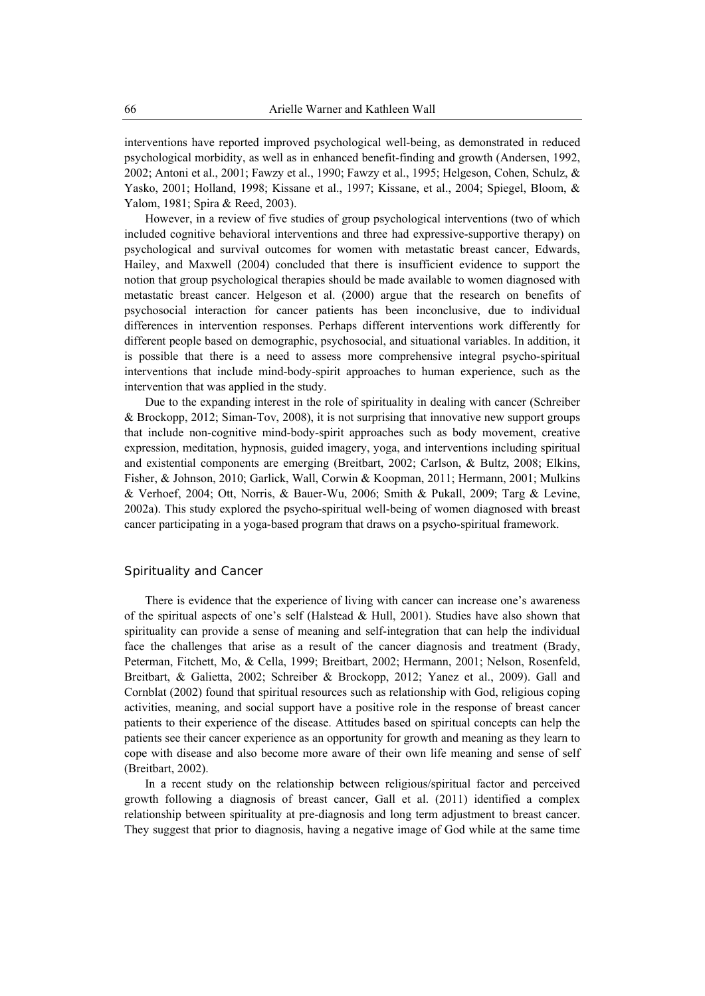interventions have reported improved psychological well-being, as demonstrated in reduced psychological morbidity, as well as in enhanced benefit-finding and growth (Andersen, 1992, 2002; Antoni et al., 2001; Fawzy et al., 1990; Fawzy et al., 1995; Helgeson, Cohen, Schulz, & Yasko, 2001; Holland, 1998; Kissane et al., 1997; Kissane, et al., 2004; Spiegel, Bloom, & Yalom, 1981; Spira & Reed, 2003).

However, in a review of five studies of group psychological interventions (two of which included cognitive behavioral interventions and three had expressive-supportive therapy) on psychological and survival outcomes for women with metastatic breast cancer, Edwards, Hailey, and Maxwell (2004) concluded that there is insufficient evidence to support the notion that group psychological therapies should be made available to women diagnosed with metastatic breast cancer. Helgeson et al. (2000) argue that the research on benefits of psychosocial interaction for cancer patients has been inconclusive, due to individual differences in intervention responses. Perhaps different interventions work differently for different people based on demographic, psychosocial, and situational variables. In addition, it is possible that there is a need to assess more comprehensive integral psycho-spiritual interventions that include mind-body-spirit approaches to human experience, such as the intervention that was applied in the study.

Due to the expanding interest in the role of spirituality in dealing with cancer (Schreiber & Brockopp, 2012; Siman-Tov, 2008), it is not surprising that innovative new support groups that include non-cognitive mind-body-spirit approaches such as body movement, creative expression, meditation, hypnosis, guided imagery, yoga, and interventions including spiritual and existential components are emerging (Breitbart, 2002; Carlson, & Bultz, 2008; Elkins, Fisher, & Johnson, 2010; Garlick, Wall, Corwin & Koopman, 2011; Hermann, 2001; Mulkins & Verhoef, 2004; Ott, Norris, & Bauer-Wu, 2006; Smith & Pukall, 2009; Targ & Levine, 2002a). This study explored the psycho-spiritual well-being of women diagnosed with breast cancer participating in a yoga-based program that draws on a psycho-spiritual framework.

#### Spirituality and Cancer

There is evidence that the experience of living with cancer can increase one's awareness of the spiritual aspects of one's self (Halstead  $&$  Hull, 2001). Studies have also shown that spirituality can provide a sense of meaning and self-integration that can help the individual face the challenges that arise as a result of the cancer diagnosis and treatment (Brady, Peterman, Fitchett, Mo, & Cella, 1999; Breitbart, 2002; Hermann, 2001; Nelson, Rosenfeld, Breitbart, & Galietta, 2002; Schreiber & Brockopp, 2012; Yanez et al., 2009). Gall and Cornblat (2002) found that spiritual resources such as relationship with God, religious coping activities, meaning, and social support have a positive role in the response of breast cancer patients to their experience of the disease. Attitudes based on spiritual concepts can help the patients see their cancer experience as an opportunity for growth and meaning as they learn to cope with disease and also become more aware of their own life meaning and sense of self (Breitbart, 2002).

In a recent study on the relationship between religious/spiritual factor and perceived growth following a diagnosis of breast cancer, Gall et al. (2011) identified a complex relationship between spirituality at pre-diagnosis and long term adjustment to breast cancer. They suggest that prior to diagnosis, having a negative image of God while at the same time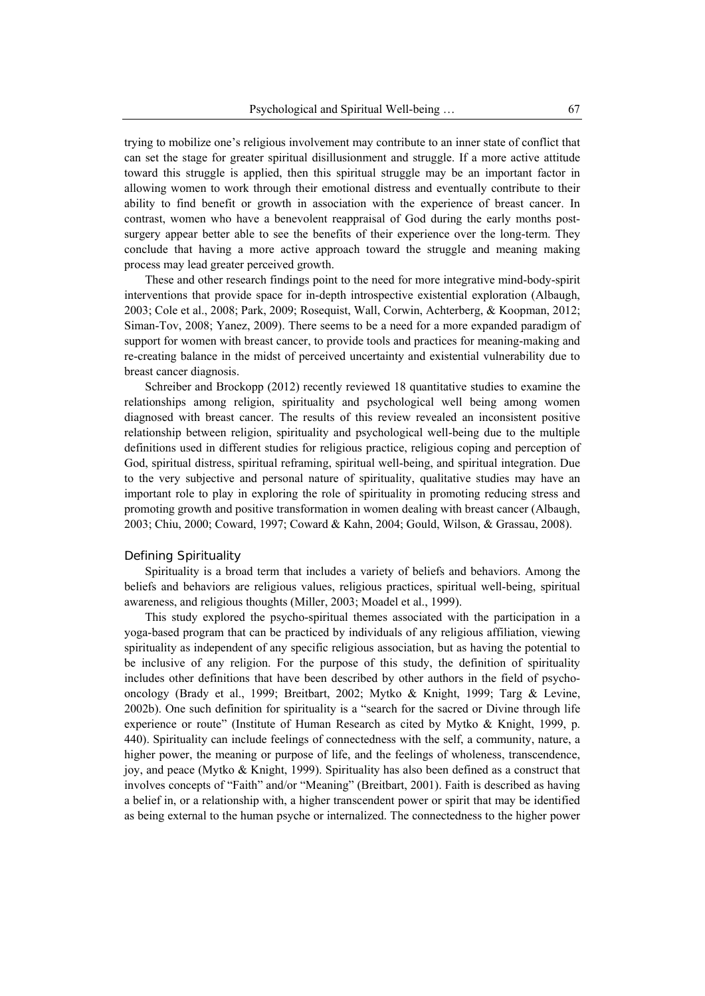trying to mobilize one's religious involvement may contribute to an inner state of conflict that can set the stage for greater spiritual disillusionment and struggle. If a more active attitude toward this struggle is applied, then this spiritual struggle may be an important factor in allowing women to work through their emotional distress and eventually contribute to their ability to find benefit or growth in association with the experience of breast cancer. In contrast, women who have a benevolent reappraisal of God during the early months postsurgery appear better able to see the benefits of their experience over the long-term. They conclude that having a more active approach toward the struggle and meaning making process may lead greater perceived growth.

These and other research findings point to the need for more integrative mind-body-spirit interventions that provide space for in-depth introspective existential exploration (Albaugh, 2003; Cole et al., 2008; Park, 2009; Rosequist, Wall, Corwin, Achterberg, & Koopman, 2012; Siman-Tov, 2008; Yanez, 2009). There seems to be a need for a more expanded paradigm of support for women with breast cancer, to provide tools and practices for meaning-making and re-creating balance in the midst of perceived uncertainty and existential vulnerability due to breast cancer diagnosis.

Schreiber and Brockopp (2012) recently reviewed 18 quantitative studies to examine the relationships among religion, spirituality and psychological well being among women diagnosed with breast cancer. The results of this review revealed an inconsistent positive relationship between religion, spirituality and psychological well-being due to the multiple definitions used in different studies for religious practice, religious coping and perception of God, spiritual distress, spiritual reframing, spiritual well-being, and spiritual integration. Due to the very subjective and personal nature of spirituality, qualitative studies may have an important role to play in exploring the role of spirituality in promoting reducing stress and promoting growth and positive transformation in women dealing with breast cancer (Albaugh, 2003; Chiu, 2000; Coward, 1997; Coward & Kahn, 2004; Gould, Wilson, & Grassau, 2008).

#### *Defining Spirituality*

Spirituality is a broad term that includes a variety of beliefs and behaviors. Among the beliefs and behaviors are religious values, religious practices, spiritual well-being, spiritual awareness, and religious thoughts (Miller, 2003; Moadel et al., 1999).

This study explored the psycho-spiritual themes associated with the participation in a yoga-based program that can be practiced by individuals of any religious affiliation, viewing spirituality as independent of any specific religious association, but as having the potential to be inclusive of any religion. For the purpose of this study, the definition of spirituality includes other definitions that have been described by other authors in the field of psychooncology (Brady et al., 1999; Breitbart, 2002; Mytko & Knight, 1999; Targ & Levine, 2002b). One such definition for spirituality is a "search for the sacred or Divine through life experience or route" (Institute of Human Research as cited by Mytko & Knight, 1999, p. 440). Spirituality can include feelings of connectedness with the self, a community, nature, a higher power, the meaning or purpose of life, and the feelings of wholeness, transcendence, joy, and peace (Mytko & Knight, 1999). Spirituality has also been defined as a construct that involves concepts of "Faith" and/or "Meaning" (Breitbart, 2001). Faith is described as having a belief in, or a relationship with, a higher transcendent power or spirit that may be identified as being external to the human psyche or internalized. The connectedness to the higher power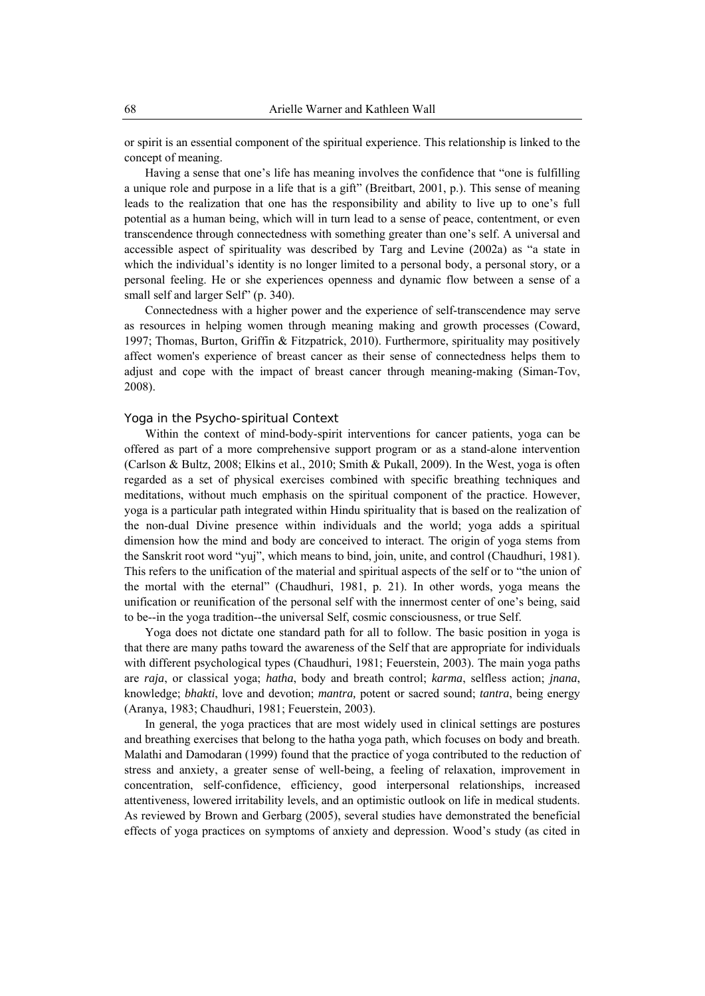or spirit is an essential component of the spiritual experience. This relationship is linked to the concept of meaning.

Having a sense that one's life has meaning involves the confidence that "one is fulfilling a unique role and purpose in a life that is a gift" (Breitbart, 2001, p.). This sense of meaning leads to the realization that one has the responsibility and ability to live up to one's full potential as a human being, which will in turn lead to a sense of peace, contentment, or even transcendence through connectedness with something greater than one's self. A universal and accessible aspect of spirituality was described by Targ and Levine (2002a) as "a state in which the individual's identity is no longer limited to a personal body, a personal story, or a personal feeling. He or she experiences openness and dynamic flow between a sense of a small self and larger Self" (p. 340).

Connectedness with a higher power and the experience of self-transcendence may serve as resources in helping women through meaning making and growth processes (Coward, 1997; Thomas, Burton, Griffin & Fitzpatrick, 2010). Furthermore, spirituality may positively affect women's experience of breast cancer as their sense of connectedness helps them to adjust and cope with the impact of breast cancer through meaning-making (Siman-Tov, 2008).

#### *Yoga in the Psycho-spiritual Context*

Within the context of mind-body-spirit interventions for cancer patients, yoga can be offered as part of a more comprehensive support program or as a stand-alone intervention (Carlson & Bultz, 2008; Elkins et al., 2010; Smith & Pukall, 2009). In the West, yoga is often regarded as a set of physical exercises combined with specific breathing techniques and meditations, without much emphasis on the spiritual component of the practice. However, yoga is a particular path integrated within Hindu spirituality that is based on the realization of the non-dual Divine presence within individuals and the world; yoga adds a spiritual dimension how the mind and body are conceived to interact. The origin of yoga stems from the Sanskrit root word "yuj", which means to bind, join, unite, and control (Chaudhuri, 1981). This refers to the unification of the material and spiritual aspects of the self or to "the union of the mortal with the eternal" (Chaudhuri, 1981, p. 21). In other words, yoga means the unification or reunification of the personal self with the innermost center of one's being, said to be--in the yoga tradition--the universal Self, cosmic consciousness, or true Self.

Yoga does not dictate one standard path for all to follow. The basic position in yoga is that there are many paths toward the awareness of the Self that are appropriate for individuals with different psychological types (Chaudhuri, 1981; Feuerstein, 2003). The main yoga paths are *raja*, or classical yoga; *hatha*, body and breath control; *karma*, selfless action; *jnana*, knowledge; *bhakti*, love and devotion; *mantra,* potent or sacred sound; *tantra*, being energy (Aranya, 1983; Chaudhuri, 1981; Feuerstein, 2003).

In general, the yoga practices that are most widely used in clinical settings are postures and breathing exercises that belong to the hatha yoga path, which focuses on body and breath. Malathi and Damodaran (1999) found that the practice of yoga contributed to the reduction of stress and anxiety, a greater sense of well-being, a feeling of relaxation, improvement in concentration, self-confidence, efficiency, good interpersonal relationships, increased attentiveness, lowered irritability levels, and an optimistic outlook on life in medical students. As reviewed by Brown and Gerbarg (2005), several studies have demonstrated the beneficial effects of yoga practices on symptoms of anxiety and depression. Wood's study (as cited in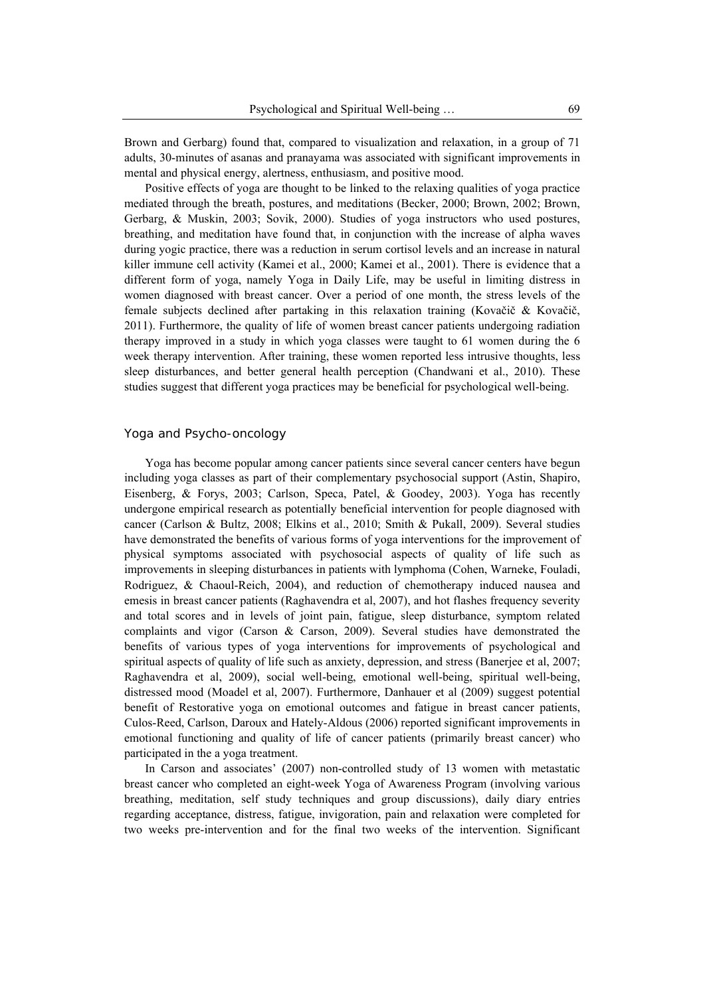Brown and Gerbarg) found that, compared to visualization and relaxation, in a group of 71 adults, 30-minutes of asanas and pranayama was associated with significant improvements in mental and physical energy, alertness, enthusiasm, and positive mood.

Positive effects of yoga are thought to be linked to the relaxing qualities of yoga practice mediated through the breath, postures, and meditations (Becker, 2000; Brown, 2002; Brown, Gerbarg, & Muskin, 2003; Sovik, 2000). Studies of yoga instructors who used postures, breathing, and meditation have found that, in conjunction with the increase of alpha waves during yogic practice, there was a reduction in serum cortisol levels and an increase in natural killer immune cell activity (Kamei et al., 2000; Kamei et al., 2001). There is evidence that a different form of yoga, namely Yoga in Daily Life, may be useful in limiting distress in women diagnosed with breast cancer. Over a period of one month, the stress levels of the female subjects declined after partaking in this relaxation training (Kovačič & Kovačič, 2011). Furthermore, the quality of life of women breast cancer patients undergoing radiation therapy improved in a study in which yoga classes were taught to 61 women during the 6 week therapy intervention. After training, these women reported less intrusive thoughts, less sleep disturbances, and better general health perception (Chandwani et al., 2010). These studies suggest that different yoga practices may be beneficial for psychological well-being.

## Yoga and Psycho-oncology

Yoga has become popular among cancer patients since several cancer centers have begun including yoga classes as part of their complementary psychosocial support (Astin, Shapiro, Eisenberg, & Forys, 2003; Carlson, Speca, Patel, & Goodey, 2003). Yoga has recently undergone empirical research as potentially beneficial intervention for people diagnosed with cancer (Carlson & Bultz, 2008; Elkins et al., 2010; Smith & Pukall, 2009). Several studies have demonstrated the benefits of various forms of yoga interventions for the improvement of physical symptoms associated with psychosocial aspects of quality of life such as improvements in sleeping disturbances in patients with lymphoma (Cohen, Warneke, Fouladi, Rodriguez, & Chaoul-Reich, 2004), and reduction of chemotherapy induced nausea and emesis in breast cancer patients (Raghavendra et al, 2007), and hot flashes frequency severity and total scores and in levels of joint pain, fatigue, sleep disturbance, symptom related complaints and vigor (Carson & Carson, 2009). Several studies have demonstrated the benefits of various types of yoga interventions for improvements of psychological and spiritual aspects of quality of life such as anxiety, depression, and stress (Banerjee et al, 2007; Raghavendra et al, 2009), social well-being, emotional well-being, spiritual well-being, distressed mood (Moadel et al, 2007). Furthermore, Danhauer et al (2009) suggest potential benefit of Restorative yoga on emotional outcomes and fatigue in breast cancer patients, Culos-Reed, Carlson, Daroux and Hately-Aldous (2006) reported significant improvements in emotional functioning and quality of life of cancer patients (primarily breast cancer) who participated in the a yoga treatment.

In Carson and associates' (2007) non-controlled study of 13 women with metastatic breast cancer who completed an eight-week Yoga of Awareness Program (involving various breathing, meditation, self study techniques and group discussions), daily diary entries regarding acceptance, distress, fatigue, invigoration, pain and relaxation were completed for two weeks pre-intervention and for the final two weeks of the intervention. Significant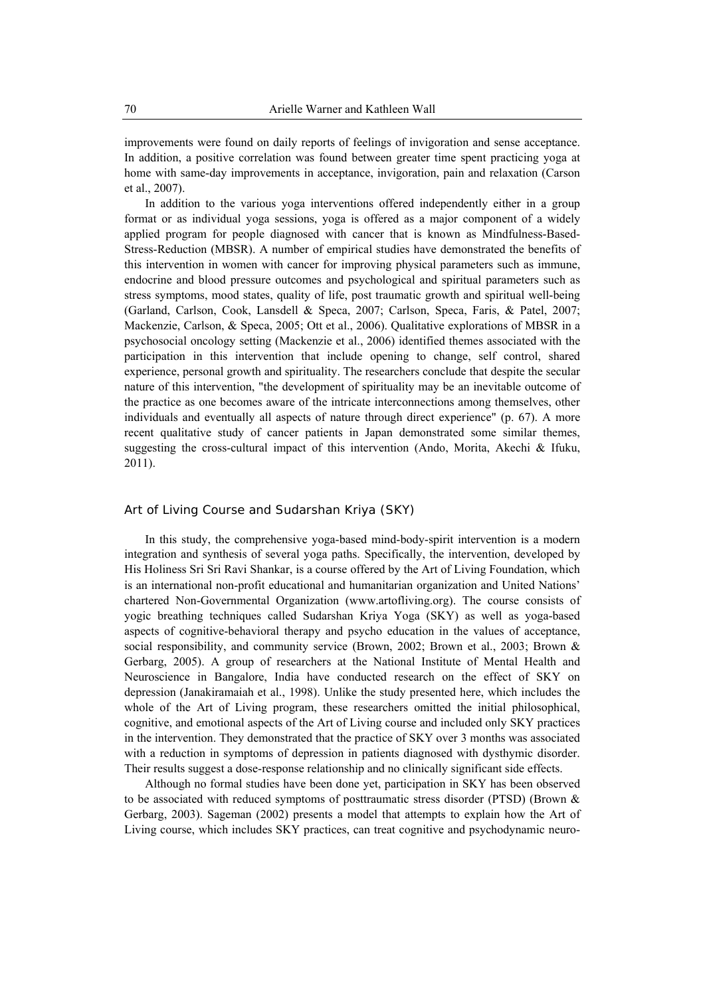improvements were found on daily reports of feelings of invigoration and sense acceptance. In addition, a positive correlation was found between greater time spent practicing yoga at home with same-day improvements in acceptance, invigoration, pain and relaxation (Carson et al., 2007).

In addition to the various yoga interventions offered independently either in a group format or as individual yoga sessions, yoga is offered as a major component of a widely applied program for people diagnosed with cancer that is known as Mindfulness-Based-Stress-Reduction (MBSR). A number of empirical studies have demonstrated the benefits of this intervention in women with cancer for improving physical parameters such as immune, endocrine and blood pressure outcomes and psychological and spiritual parameters such as stress symptoms, mood states, quality of life, post traumatic growth and spiritual well-being (Garland, Carlson, Cook, Lansdell & Speca, 2007; Carlson, Speca, Faris, & Patel, 2007; Mackenzie, Carlson, & Speca, 2005; Ott et al., 2006). Qualitative explorations of MBSR in a psychosocial oncology setting (Mackenzie et al., 2006) identified themes associated with the participation in this intervention that include opening to change, self control, shared experience, personal growth and spirituality. The researchers conclude that despite the secular nature of this intervention, "the development of spirituality may be an inevitable outcome of the practice as one becomes aware of the intricate interconnections among themselves, other individuals and eventually all aspects of nature through direct experience" (p. 67). A more recent qualitative study of cancer patients in Japan demonstrated some similar themes, suggesting the cross-cultural impact of this intervention (Ando, Morita, Akechi & Ifuku, 2011).

## Art of Living Course and Sudarshan Kriya (SKY)

In this study, the comprehensive yoga-based mind-body-spirit intervention is a modern integration and synthesis of several yoga paths. Specifically, the intervention, developed by His Holiness Sri Sri Ravi Shankar, is a course offered by the Art of Living Foundation, which is an international non-profit educational and humanitarian organization and United Nations' chartered Non-Governmental Organization (www.artofliving.org). The course consists of yogic breathing techniques called Sudarshan Kriya Yoga (SKY) as well as yoga-based aspects of cognitive-behavioral therapy and psycho education in the values of acceptance, social responsibility, and community service (Brown, 2002; Brown et al., 2003; Brown & Gerbarg, 2005). A group of researchers at the National Institute of Mental Health and Neuroscience in Bangalore, India have conducted research on the effect of SKY on depression (Janakiramaiah et al., 1998). Unlike the study presented here, which includes the whole of the Art of Living program, these researchers omitted the initial philosophical, cognitive, and emotional aspects of the Art of Living course and included only SKY practices in the intervention. They demonstrated that the practice of SKY over 3 months was associated with a reduction in symptoms of depression in patients diagnosed with dysthymic disorder. Their results suggest a dose-response relationship and no clinically significant side effects.

Although no formal studies have been done yet, participation in SKY has been observed to be associated with reduced symptoms of posttraumatic stress disorder (PTSD) (Brown  $\&$ Gerbarg, 2003). Sageman (2002) presents a model that attempts to explain how the Art of Living course, which includes SKY practices, can treat cognitive and psychodynamic neuro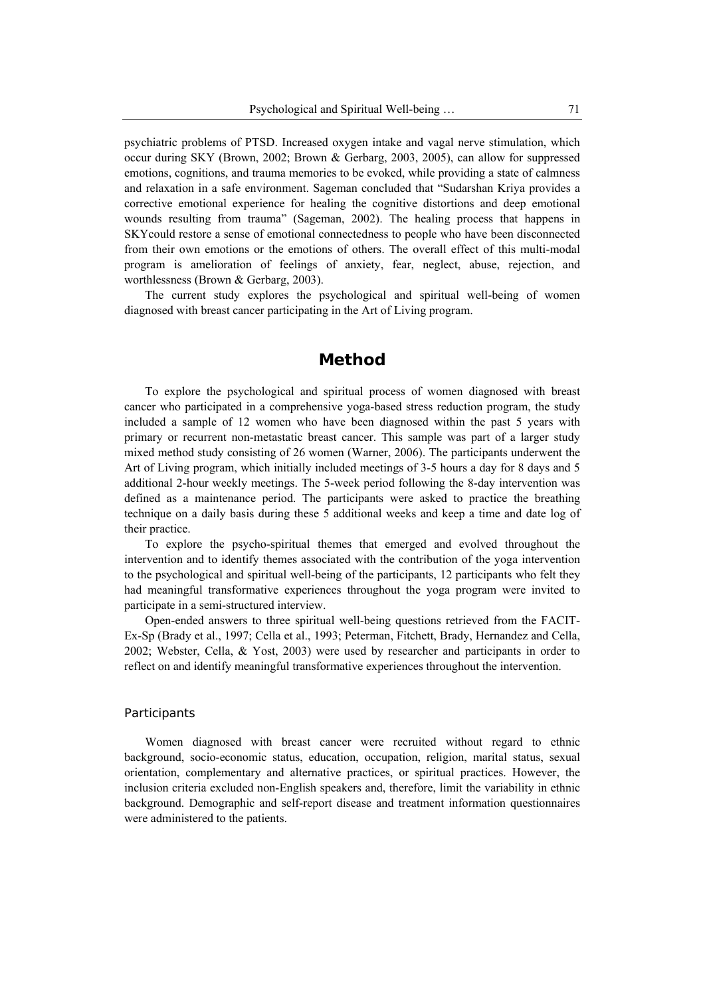psychiatric problems of PTSD. Increased oxygen intake and vagal nerve stimulation, which occur during SKY (Brown, 2002; Brown & Gerbarg, 2003, 2005), can allow for suppressed emotions, cognitions, and trauma memories to be evoked, while providing a state of calmness and relaxation in a safe environment. Sageman concluded that "Sudarshan Kriya provides a corrective emotional experience for healing the cognitive distortions and deep emotional wounds resulting from trauma" (Sageman, 2002). The healing process that happens in SKYcould restore a sense of emotional connectedness to people who have been disconnected from their own emotions or the emotions of others. The overall effect of this multi-modal program is amelioration of feelings of anxiety, fear, neglect, abuse, rejection, and worthlessness (Brown & Gerbarg, 2003).

The current study explores the psychological and spiritual well-being of women diagnosed with breast cancer participating in the Art of Living program.

# **Method**

To explore the psychological and spiritual process of women diagnosed with breast cancer who participated in a comprehensive yoga-based stress reduction program, the study included a sample of 12 women who have been diagnosed within the past 5 years with primary or recurrent non-metastatic breast cancer. This sample was part of a larger study mixed method study consisting of 26 women (Warner, 2006). The participants underwent the Art of Living program, which initially included meetings of 3-5 hours a day for 8 days and 5 additional 2-hour weekly meetings. The 5-week period following the 8-day intervention was defined as a maintenance period. The participants were asked to practice the breathing technique on a daily basis during these 5 additional weeks and keep a time and date log of their practice.

To explore the psycho-spiritual themes that emerged and evolved throughout the intervention and to identify themes associated with the contribution of the yoga intervention to the psychological and spiritual well-being of the participants, 12 participants who felt they had meaningful transformative experiences throughout the yoga program were invited to participate in a semi-structured interview.

Open-ended answers to three spiritual well-being questions retrieved from the FACIT-Ex-Sp (Brady et al., 1997; Cella et al., 1993; Peterman, Fitchett, Brady, Hernandez and Cella, 2002; Webster, Cella, & Yost, 2003) were used by researcher and participants in order to reflect on and identify meaningful transformative experiences throughout the intervention.

#### Participants

Women diagnosed with breast cancer were recruited without regard to ethnic background, socio-economic status, education, occupation, religion, marital status, sexual orientation, complementary and alternative practices, or spiritual practices. However, the inclusion criteria excluded non-English speakers and, therefore, limit the variability in ethnic background. Demographic and self-report disease and treatment information questionnaires were administered to the patients.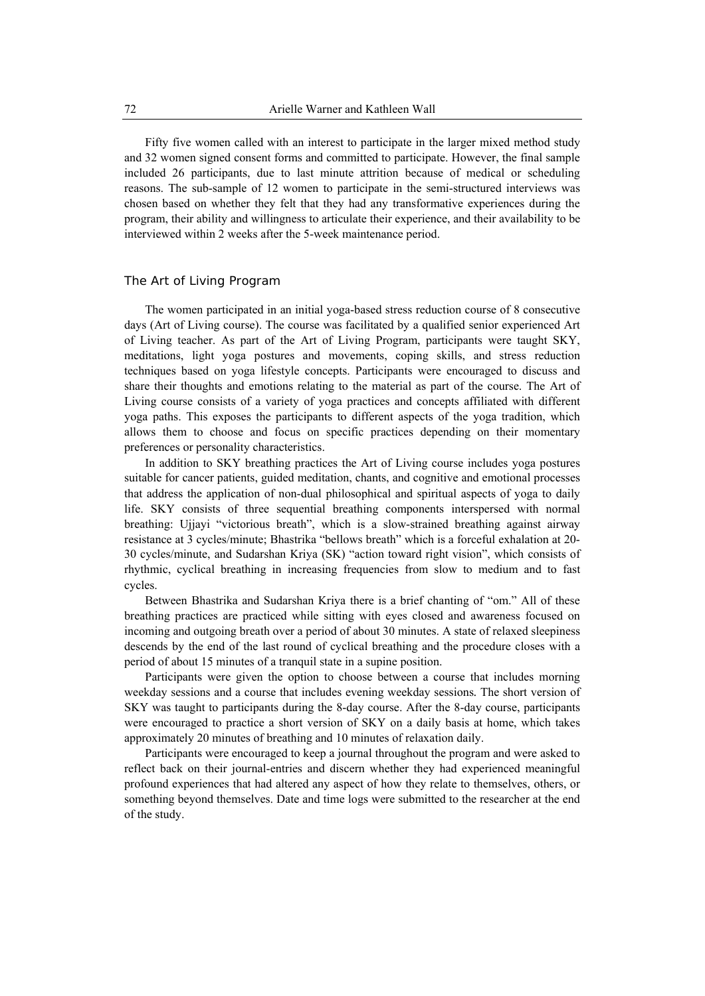Fifty five women called with an interest to participate in the larger mixed method study and 32 women signed consent forms and committed to participate. However, the final sample included 26 participants, due to last minute attrition because of medical or scheduling reasons. The sub-sample of 12 women to participate in the semi-structured interviews was chosen based on whether they felt that they had any transformative experiences during the program, their ability and willingness to articulate their experience, and their availability to be interviewed within 2 weeks after the 5-week maintenance period.

## The Art of Living Program

The women participated in an initial yoga-based stress reduction course of 8 consecutive days (Art of Living course). The course was facilitated by a qualified senior experienced Art of Living teacher. As part of the Art of Living Program, participants were taught SKY, meditations, light yoga postures and movements, coping skills, and stress reduction techniques based on yoga lifestyle concepts. Participants were encouraged to discuss and share their thoughts and emotions relating to the material as part of the course. The Art of Living course consists of a variety of yoga practices and concepts affiliated with different yoga paths. This exposes the participants to different aspects of the yoga tradition, which allows them to choose and focus on specific practices depending on their momentary preferences or personality characteristics.

In addition to SKY breathing practices the Art of Living course includes yoga postures suitable for cancer patients, guided meditation, chants, and cognitive and emotional processes that address the application of non-dual philosophical and spiritual aspects of yoga to daily life. SKY consists of three sequential breathing components interspersed with normal breathing: Ujjayi "victorious breath", which is a slow-strained breathing against airway resistance at 3 cycles/minute; Bhastrika "bellows breath" which is a forceful exhalation at 20- 30 cycles/minute, and Sudarshan Kriya (SK) "action toward right vision", which consists of rhythmic, cyclical breathing in increasing frequencies from slow to medium and to fast cycles.

Between Bhastrika and Sudarshan Kriya there is a brief chanting of "om." All of these breathing practices are practiced while sitting with eyes closed and awareness focused on incoming and outgoing breath over a period of about 30 minutes. A state of relaxed sleepiness descends by the end of the last round of cyclical breathing and the procedure closes with a period of about 15 minutes of a tranquil state in a supine position.

Participants were given the option to choose between a course that includes morning weekday sessions and a course that includes evening weekday sessions*.* The short version of SKY was taught to participants during the 8-day course. After the 8-day course, participants were encouraged to practice a short version of SKY on a daily basis at home, which takes approximately 20 minutes of breathing and 10 minutes of relaxation daily.

Participants were encouraged to keep a journal throughout the program and were asked to reflect back on their journal-entries and discern whether they had experienced meaningful profound experiences that had altered any aspect of how they relate to themselves, others, or something beyond themselves. Date and time logs were submitted to the researcher at the end of the study.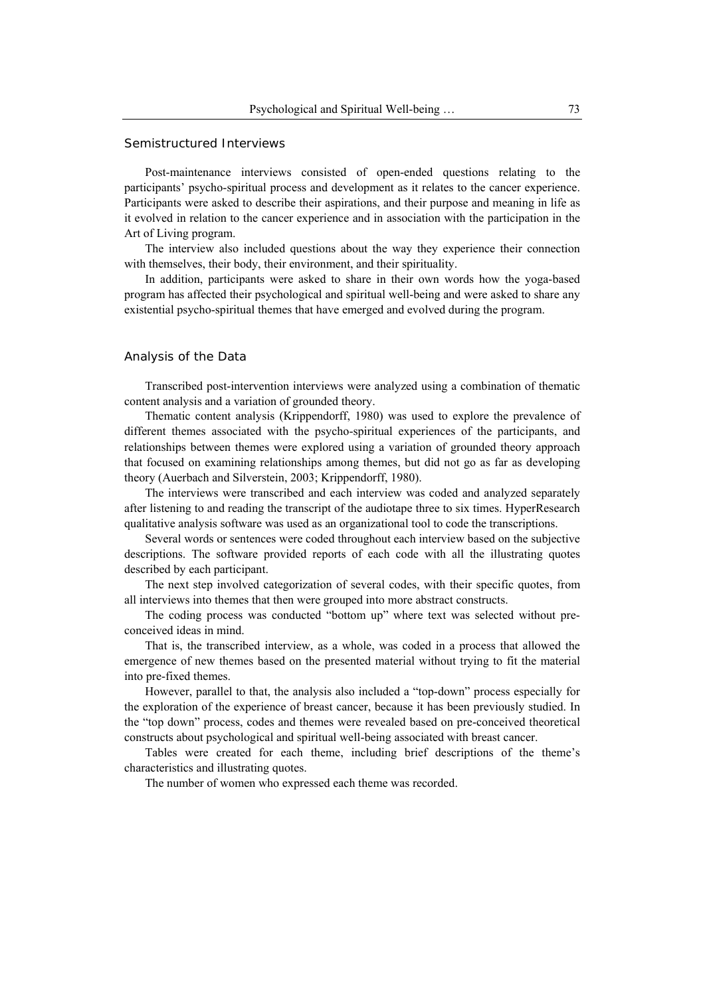#### Semistructured Interviews

Post-maintenance interviews consisted of open-ended questions relating to the participants' psycho-spiritual process and development as it relates to the cancer experience. Participants were asked to describe their aspirations, and their purpose and meaning in life as it evolved in relation to the cancer experience and in association with the participation in the Art of Living program.

The interview also included questions about the way they experience their connection with themselves, their body, their environment, and their spirituality.

In addition, participants were asked to share in their own words how the yoga-based program has affected their psychological and spiritual well-being and were asked to share any existential psycho-spiritual themes that have emerged and evolved during the program.

## Analysis of the Data

Transcribed post-intervention interviews were analyzed using a combination of thematic content analysis and a variation of grounded theory.

Thematic content analysis (Krippendorff, 1980) was used to explore the prevalence of different themes associated with the psycho-spiritual experiences of the participants, and relationships between themes were explored using a variation of grounded theory approach that focused on examining relationships among themes, but did not go as far as developing theory (Auerbach and Silverstein, 2003; Krippendorff, 1980).

The interviews were transcribed and each interview was coded and analyzed separately after listening to and reading the transcript of the audiotape three to six times. HyperResearch qualitative analysis software was used as an organizational tool to code the transcriptions.

Several words or sentences were coded throughout each interview based on the subjective descriptions. The software provided reports of each code with all the illustrating quotes described by each participant.

The next step involved categorization of several codes, with their specific quotes, from all interviews into themes that then were grouped into more abstract constructs.

The coding process was conducted "bottom up" where text was selected without preconceived ideas in mind.

That is, the transcribed interview, as a whole, was coded in a process that allowed the emergence of new themes based on the presented material without trying to fit the material into pre-fixed themes.

However, parallel to that, the analysis also included a "top-down" process especially for the exploration of the experience of breast cancer, because it has been previously studied. In the "top down" process, codes and themes were revealed based on pre-conceived theoretical constructs about psychological and spiritual well-being associated with breast cancer.

Tables were created for each theme, including brief descriptions of the theme's characteristics and illustrating quotes.

The number of women who expressed each theme was recorded.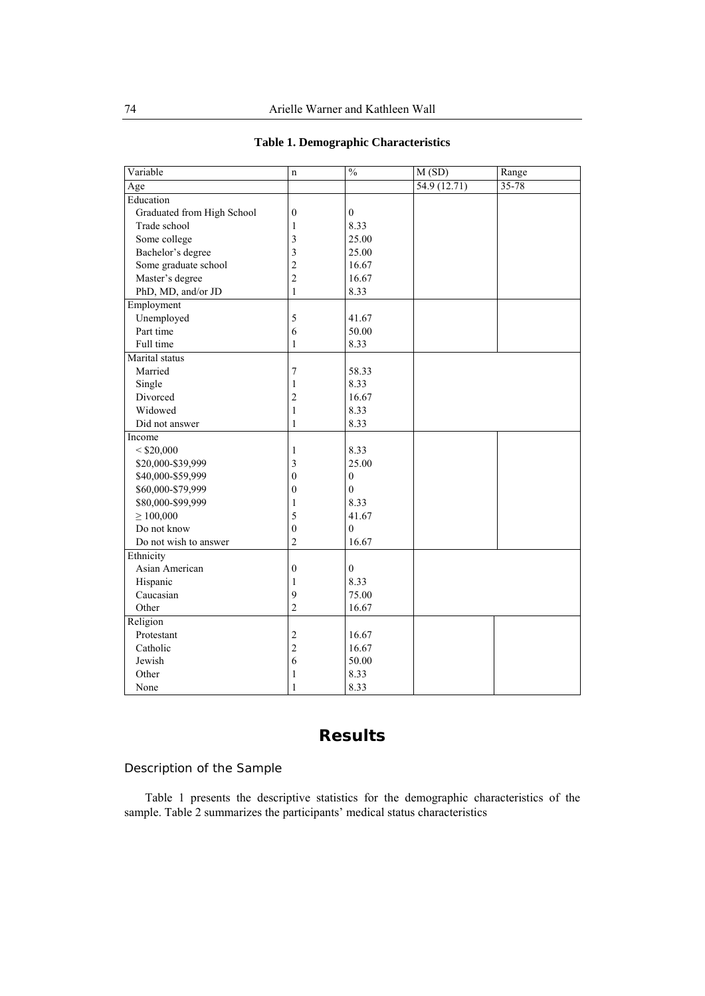| Variable                   | $\mathbf n$             | $\overline{\frac{0}{6}}$ | M(SD)       | Range     |
|----------------------------|-------------------------|--------------------------|-------------|-----------|
| Age                        |                         |                          | 54.9(12.71) | $35 - 78$ |
| Education                  |                         |                          |             |           |
| Graduated from High School | $\boldsymbol{0}$        | $\overline{0}$           |             |           |
| Trade school               | $\mathbf{1}$            | 8.33                     |             |           |
| Some college               | 3                       | 25.00                    |             |           |
| Bachelor's degree          | 3                       | 25.00                    |             |           |
| Some graduate school       | $\overline{c}$          | 16.67                    |             |           |
| Master's degree            | $\overline{c}$          | 16.67                    |             |           |
| PhD, MD, and/or JD         | $\,1$                   | 8.33                     |             |           |
| Employment                 |                         |                          |             |           |
| Unemployed                 | 5                       | 41.67                    |             |           |
| Part time                  | 6                       | 50.00                    |             |           |
| Full time                  | $\mathbf{1}$            | 8.33                     |             |           |
| Marital status             |                         |                          |             |           |
| Married                    | 7                       | 58.33                    |             |           |
| Single                     | $\mathbf{1}$            | 8.33                     |             |           |
| Divorced                   | $\overline{c}$          | 16.67                    |             |           |
| Widowed                    | $\,1$                   | 8.33                     |             |           |
| Did not answer             | 1                       | 8.33                     |             |           |
| Income                     |                         |                          |             |           |
| $<$ \$20,000               | 1                       | 8.33                     |             |           |
| \$20,000-\$39,999          | $\overline{\mathbf{3}}$ | 25.00                    |             |           |
| \$40,000-\$59,999          | $\boldsymbol{0}$        | $\boldsymbol{0}$         |             |           |
| \$60,000-\$79,999          | $\boldsymbol{0}$        | 0                        |             |           |
| \$80,000-\$99,999          | $\mathbf{1}$            | 8.33                     |             |           |
| $\geq 100,000$             | 5                       | 41.67                    |             |           |
| Do not know                | $\boldsymbol{0}$        | $\boldsymbol{0}$         |             |           |
| Do not wish to answer      | $\overline{2}$          | 16.67                    |             |           |
| Ethnicity                  |                         |                          |             |           |
| Asian American             | $\boldsymbol{0}$        | $\mathbf{0}$             |             |           |
| Hispanic                   | $\mathbf{1}$            | 8.33                     |             |           |
| Caucasian                  | 9                       | 75.00                    |             |           |
| Other                      | $\overline{c}$          | 16.67                    |             |           |
| Religion                   |                         |                          |             |           |
| Protestant                 | $\overline{c}$          | 16.67                    |             |           |
| Catholic                   | $\overline{c}$          | 16.67                    |             |           |
| Jewish                     | 6                       | 50.00                    |             |           |
| Other                      | 1                       | 8.33                     |             |           |
| None                       | 1                       | 8.33                     |             |           |

# **Table 1. Demographic Characteristics**

# **Results**

# Description of the Sample

Table 1 presents the descriptive statistics for the demographic characteristics of the sample. Table 2 summarizes the participants' medical status characteristics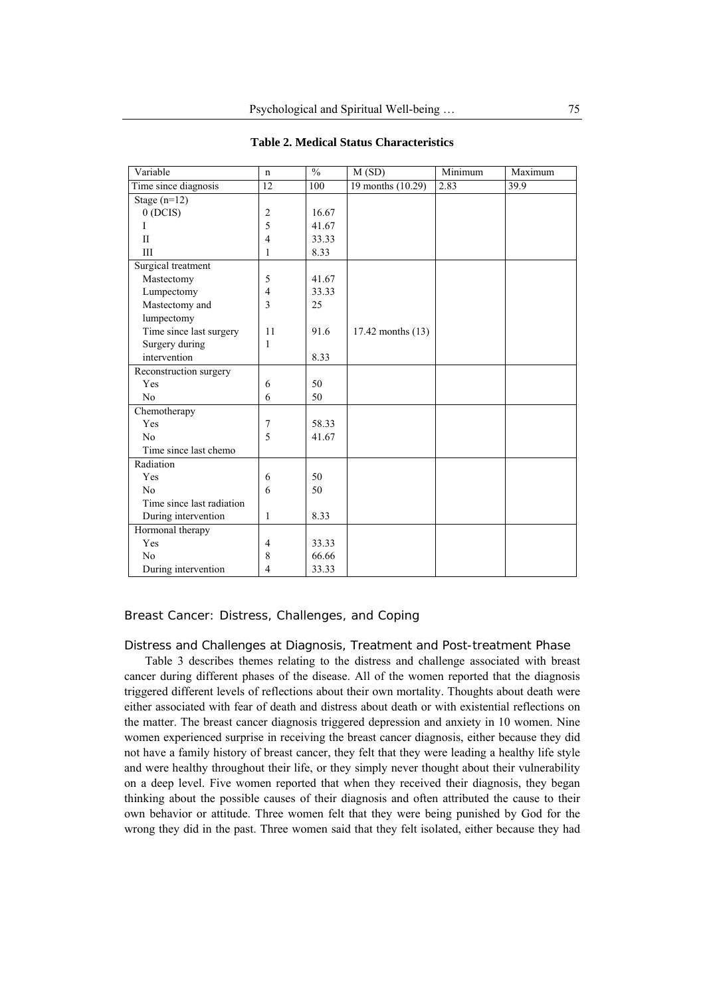| Variable                  | n                | $\frac{0}{0}$ | M(SD)             | Minimum | Maximum |
|---------------------------|------------------|---------------|-------------------|---------|---------|
| Time since diagnosis      | 12               | 100           | 19 months (10.29) | 2.83    | 39.9    |
| Stage $(n=12)$            |                  |               |                   |         |         |
| 0(DCIS)                   | $\overline{2}$   | 16.67         |                   |         |         |
| I                         | 5                | 41.67         |                   |         |         |
| $_{\rm II}$               | 4                | 33.33         |                   |         |         |
| III                       | 1                | 8.33          |                   |         |         |
| Surgical treatment        |                  |               |                   |         |         |
| Mastectomy                | 5                | 41.67         |                   |         |         |
| Lumpectomy                | 4                | 33.33         |                   |         |         |
| Mastectomy and            | 3                | 25            |                   |         |         |
| lumpectomy                |                  |               |                   |         |         |
| Time since last surgery   | 11               | 91.6          | 17.42 months (13) |         |         |
| Surgery during            | 1                |               |                   |         |         |
| intervention              |                  | 8.33          |                   |         |         |
| Reconstruction surgery    |                  |               |                   |         |         |
| Yes                       | 6                | 50            |                   |         |         |
| N <sub>0</sub>            | 6                | 50            |                   |         |         |
| Chemotherapy              |                  |               |                   |         |         |
| Yes                       | $\boldsymbol{7}$ | 58.33         |                   |         |         |
| N <sub>0</sub>            | 5                | 41.67         |                   |         |         |
| Time since last chemo     |                  |               |                   |         |         |
| Radiation                 |                  |               |                   |         |         |
| Yes                       | 6                | 50            |                   |         |         |
| No                        | 6                | 50            |                   |         |         |
| Time since last radiation |                  |               |                   |         |         |
| During intervention       | 1                | 8.33          |                   |         |         |
| Hormonal therapy          |                  |               |                   |         |         |
| Yes                       | $\overline{4}$   | 33.33         |                   |         |         |
| N <sub>0</sub>            | 8                | 66.66         |                   |         |         |
| During intervention       | 4                | 33.33         |                   |         |         |

#### **Table 2. Medical Status Characteristics**

## Breast Cancer: Distress, Challenges, and Coping

#### *Distress and Challenges at Diagnosis, Treatment and Post-treatment Phase*

Table 3 describes themes relating to the distress and challenge associated with breast cancer during different phases of the disease. All of the women reported that the diagnosis triggered different levels of reflections about their own mortality. Thoughts about death were either associated with fear of death and distress about death or with existential reflections on the matter. The breast cancer diagnosis triggered depression and anxiety in 10 women. Nine women experienced surprise in receiving the breast cancer diagnosis, either because they did not have a family history of breast cancer, they felt that they were leading a healthy life style and were healthy throughout their life, or they simply never thought about their vulnerability on a deep level. Five women reported that when they received their diagnosis, they began thinking about the possible causes of their diagnosis and often attributed the cause to their own behavior or attitude. Three women felt that they were being punished by God for the wrong they did in the past. Three women said that they felt isolated, either because they had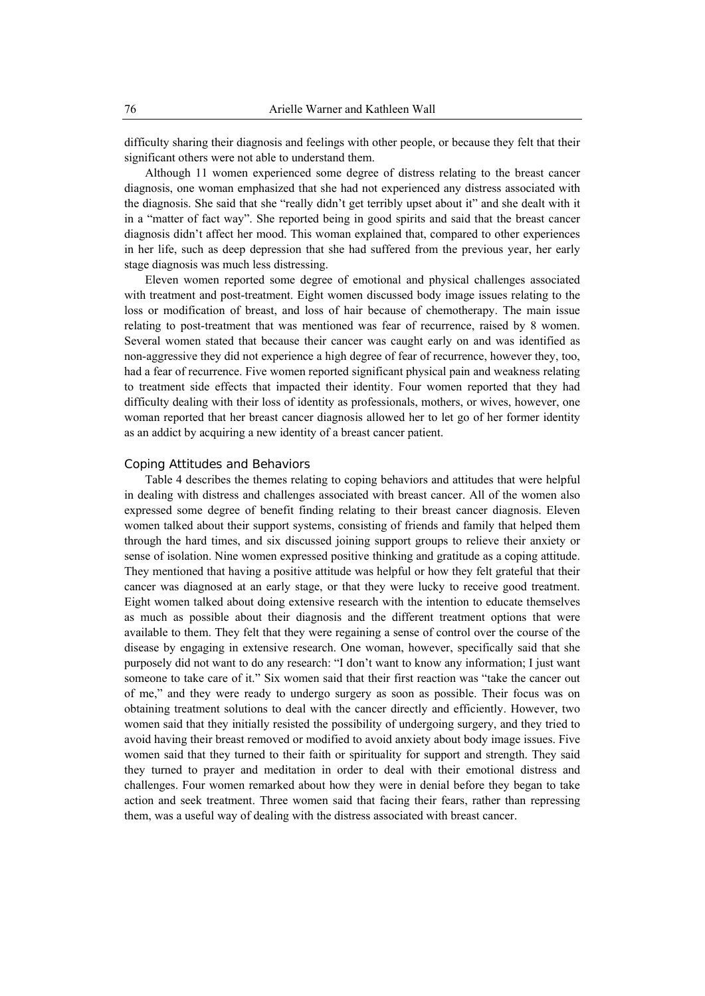difficulty sharing their diagnosis and feelings with other people, or because they felt that their significant others were not able to understand them.

Although 11 women experienced some degree of distress relating to the breast cancer diagnosis, one woman emphasized that she had not experienced any distress associated with the diagnosis. She said that she "really didn't get terribly upset about it" and she dealt with it in a "matter of fact way". She reported being in good spirits and said that the breast cancer diagnosis didn't affect her mood. This woman explained that, compared to other experiences in her life, such as deep depression that she had suffered from the previous year, her early stage diagnosis was much less distressing.

Eleven women reported some degree of emotional and physical challenges associated with treatment and post-treatment. Eight women discussed body image issues relating to the loss or modification of breast, and loss of hair because of chemotherapy. The main issue relating to post-treatment that was mentioned was fear of recurrence, raised by 8 women. Several women stated that because their cancer was caught early on and was identified as non-aggressive they did not experience a high degree of fear of recurrence, however they, too, had a fear of recurrence. Five women reported significant physical pain and weakness relating to treatment side effects that impacted their identity. Four women reported that they had difficulty dealing with their loss of identity as professionals, mothers, or wives, however, one woman reported that her breast cancer diagnosis allowed her to let go of her former identity as an addict by acquiring a new identity of a breast cancer patient.

#### *Coping Attitudes and Behaviors*

Table 4 describes the themes relating to coping behaviors and attitudes that were helpful in dealing with distress and challenges associated with breast cancer. All of the women also expressed some degree of benefit finding relating to their breast cancer diagnosis. Eleven women talked about their support systems, consisting of friends and family that helped them through the hard times, and six discussed joining support groups to relieve their anxiety or sense of isolation. Nine women expressed positive thinking and gratitude as a coping attitude. They mentioned that having a positive attitude was helpful or how they felt grateful that their cancer was diagnosed at an early stage, or that they were lucky to receive good treatment. Eight women talked about doing extensive research with the intention to educate themselves as much as possible about their diagnosis and the different treatment options that were available to them. They felt that they were regaining a sense of control over the course of the disease by engaging in extensive research. One woman, however, specifically said that she purposely did not want to do any research: "I don't want to know any information; I just want someone to take care of it." Six women said that their first reaction was "take the cancer out of me," and they were ready to undergo surgery as soon as possible. Their focus was on obtaining treatment solutions to deal with the cancer directly and efficiently. However, two women said that they initially resisted the possibility of undergoing surgery, and they tried to avoid having their breast removed or modified to avoid anxiety about body image issues. Five women said that they turned to their faith or spirituality for support and strength. They said they turned to prayer and meditation in order to deal with their emotional distress and challenges. Four women remarked about how they were in denial before they began to take action and seek treatment. Three women said that facing their fears, rather than repressing them, was a useful way of dealing with the distress associated with breast cancer.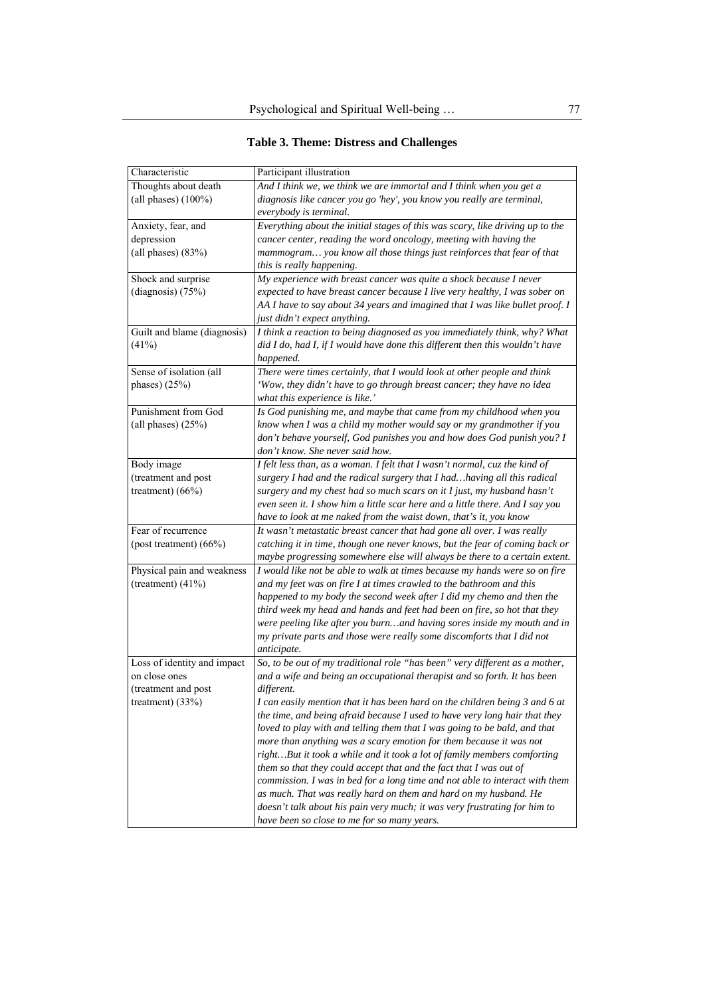| <b>Table 3. Theme: Distress and Challenges</b> |  |
|------------------------------------------------|--|
|------------------------------------------------|--|

| Characteristic              | Participant illustration                                                      |
|-----------------------------|-------------------------------------------------------------------------------|
| Thoughts about death        | And I think we, we think we are immortal and I think when you get a           |
| (all phases) $(100\%)$      | diagnosis like cancer you go 'hey', you know you really are terminal,         |
|                             | everybody is terminal.                                                        |
| Anxiety, fear, and          | Everything about the initial stages of this was scary, like driving up to the |
| depression                  | cancer center, reading the word oncology, meeting with having the             |
| (all phases) $(83%)$        | mammogram you know all those things just reinforces that fear of that         |
|                             | this is really happening.                                                     |
| Shock and surprise          | My experience with breast cancer was quite a shock because I never            |
| (diagnosis) $(75%)$         | expected to have breast cancer because I live very healthy, I was sober on    |
|                             | AA I have to say about 34 years and imagined that I was like bullet proof. I  |
|                             | just didn't expect anything.                                                  |
| Guilt and blame (diagnosis) | I think a reaction to being diagnosed as you immediately think, why? What     |
| (41%)                       | did I do, had I, if I would have done this different then this wouldn't have  |
|                             | happened.                                                                     |
| Sense of isolation (all     | There were times certainly, that I would look at other people and think       |
| phases) $(25%)$             | 'Wow, they didn't have to go through breast cancer; they have no idea         |
|                             | what this experience is like.'                                                |
| Punishment from God         | Is God punishing me, and maybe that came from my childhood when you           |
| (all phases) $(25%)$        | know when I was a child my mother would say or my grandmother if you          |
|                             | don't behave yourself, God punishes you and how does God punish you? I        |
|                             | don't know. She never said how.                                               |
| Body image                  | I felt less than, as a woman. I felt that I wasn't normal, cuz the kind of    |
| (treatment and post         | surgery I had and the radical surgery that I had having all this radical      |
| treatment) $(66%)$          | surgery and my chest had so much scars on it I just, my husband hasn't        |
|                             | even seen it. I show him a little scar here and a little there. And I say you |
|                             | have to look at me naked from the waist down, that's it, you know             |
| Fear of recurrence          | It wasn't metastatic breast cancer that had gone all over. I was really       |
| (post treatment) $(66\%)$   | catching it in time, though one never knows, but the fear of coming back or   |
|                             | maybe progressing somewhere else will always be there to a certain extent.    |
| Physical pain and weakness  | I would like not be able to walk at times because my hands were so on fire    |
| (treatment) $(41\%)$        | and my feet was on fire I at times crawled to the bathroom and this           |
|                             | happened to my body the second week after I did my chemo and then the         |
|                             | third week my head and hands and feet had been on fire, so hot that they      |
|                             | were peeling like after you burnand having sores inside my mouth and in       |
|                             | my private parts and those were really some discomforts that I did not        |
|                             | anticipate.                                                                   |
| Loss of identity and impact | So, to be out of my traditional role "has been" very different as a mother,   |
| on close ones               | and a wife and being an occupational therapist and so forth. It has been      |
| (treatment and post         | different.                                                                    |
| treatment) $(33%)$          | I can easily mention that it has been hard on the children being 3 and 6 at   |
|                             | the time, and being afraid because I used to have very long hair that they    |
|                             | loved to play with and telling them that I was going to be bald, and that     |
|                             | more than anything was a scary emotion for them because it was not            |
|                             | rightBut it took a while and it took a lot of family members comforting       |
|                             | them so that they could accept that and the fact that I was out of            |
|                             | commission. I was in bed for a long time and not able to interact with them   |
|                             | as much. That was really hard on them and hard on my husband. He              |
|                             | doesn't talk about his pain very much; it was very frustrating for him to     |
|                             | have been so close to me for so many years.                                   |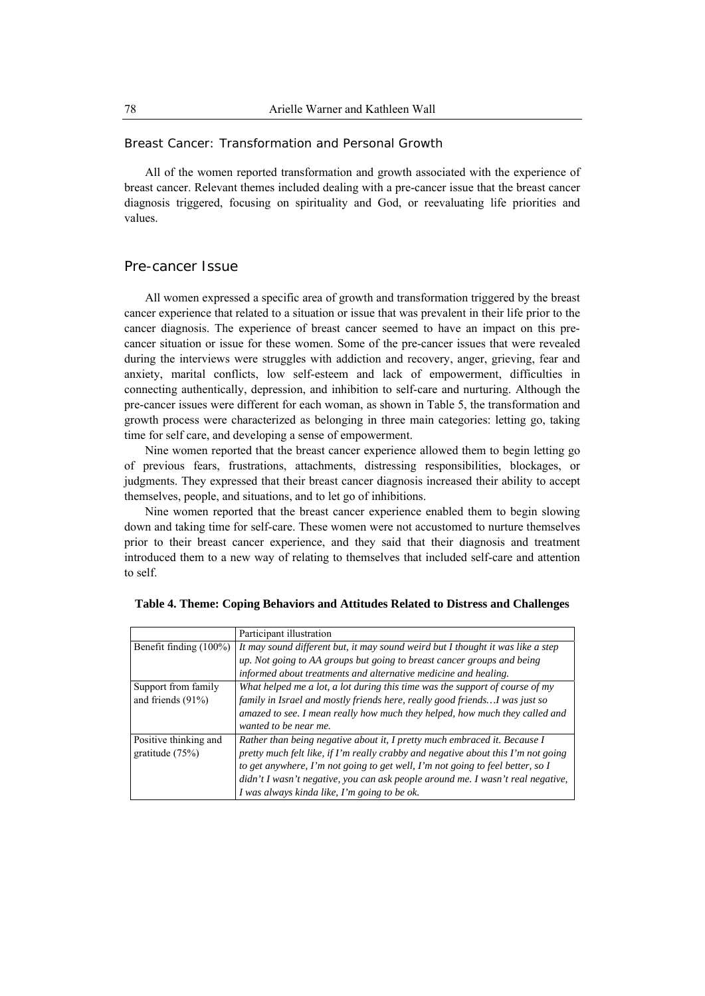Breast Cancer: Transformation and Personal Growth

All of the women reported transformation and growth associated with the experience of breast cancer. Relevant themes included dealing with a pre-cancer issue that the breast cancer diagnosis triggered, focusing on spirituality and God, or reevaluating life priorities and values.

## Pre-cancer Issue

All women expressed a specific area of growth and transformation triggered by the breast cancer experience that related to a situation or issue that was prevalent in their life prior to the cancer diagnosis. The experience of breast cancer seemed to have an impact on this precancer situation or issue for these women. Some of the pre-cancer issues that were revealed during the interviews were struggles with addiction and recovery, anger, grieving, fear and anxiety, marital conflicts, low self-esteem and lack of empowerment, difficulties in connecting authentically, depression, and inhibition to self-care and nurturing. Although the pre-cancer issues were different for each woman, as shown in Table 5, the transformation and growth process were characterized as belonging in three main categories: letting go, taking time for self care, and developing a sense of empowerment.

Nine women reported that the breast cancer experience allowed them to begin letting go of previous fears, frustrations, attachments, distressing responsibilities, blockages, or judgments. They expressed that their breast cancer diagnosis increased their ability to accept themselves, people, and situations, and to let go of inhibitions.

Nine women reported that the breast cancer experience enabled them to begin slowing down and taking time for self-care. These women were not accustomed to nurture themselves prior to their breast cancer experience, and they said that their diagnosis and treatment introduced them to a new way of relating to themselves that included self-care and attention to self.

|                                             | Participant illustration                                                                                                                                                                                                                                                                                                                                                            |
|---------------------------------------------|-------------------------------------------------------------------------------------------------------------------------------------------------------------------------------------------------------------------------------------------------------------------------------------------------------------------------------------------------------------------------------------|
| Benefit finding (100%)                      | It may sound different but, it may sound weird but I thought it was like a step                                                                                                                                                                                                                                                                                                     |
|                                             | up. Not going to AA groups but going to breast cancer groups and being                                                                                                                                                                                                                                                                                                              |
|                                             | informed about treatments and alternative medicine and healing.                                                                                                                                                                                                                                                                                                                     |
| Support from family<br>and friends $(91\%)$ | What helped me a lot, a lot during this time was the support of course of my<br>family in Israel and mostly friends here, really good friends I was just so<br>amazed to see. I mean really how much they helped, how much they called and<br>wanted to be near me.                                                                                                                 |
| Positive thinking and<br>gratitude $(75%)$  | Rather than being negative about it, I pretty much embraced it. Because I<br>pretty much felt like, if I'm really crabby and negative about this I'm not going<br>to get anywhere, I'm not going to get well, I'm not going to feel better, so I<br>didn't I wasn't negative, you can ask people around me. I wasn't real negative,<br>I was always kinda like, I'm going to be ok. |

|  |  |  | Table 4. Theme: Coping Behaviors and Attitudes Related to Distress and Challenges |  |
|--|--|--|-----------------------------------------------------------------------------------|--|
|  |  |  |                                                                                   |  |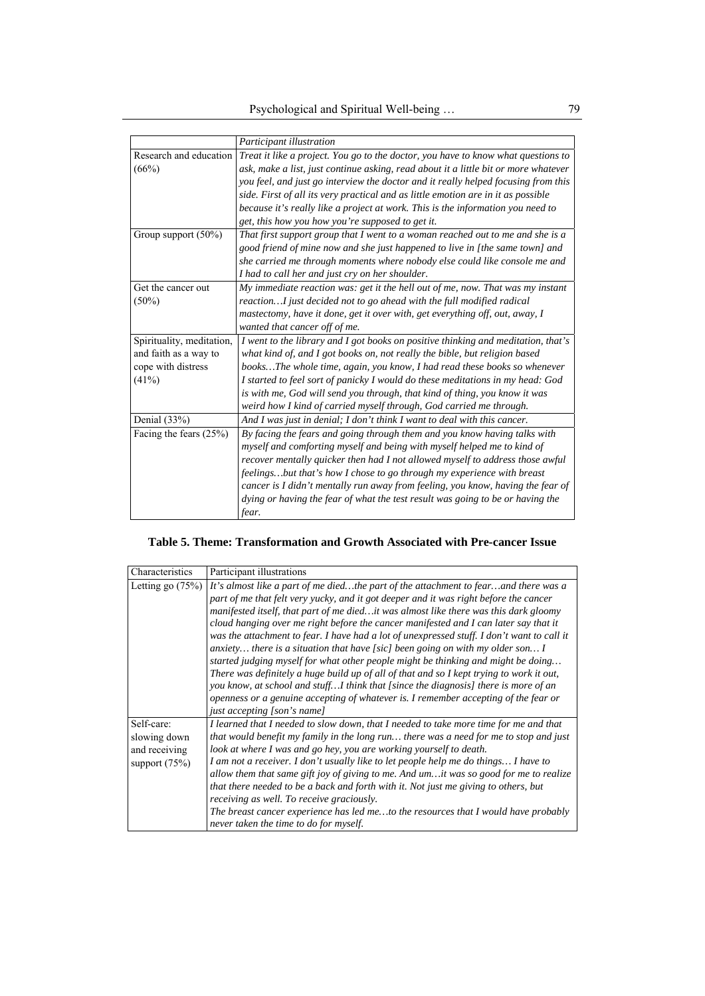|                           | Participant illustration                                                            |
|---------------------------|-------------------------------------------------------------------------------------|
| Research and education    | Treat it like a project. You go to the doctor, you have to know what questions to   |
| (66%)                     | ask, make a list, just continue asking, read about it a little bit or more whatever |
|                           | you feel, and just go interview the doctor and it really helped focusing from this  |
|                           | side. First of all its very practical and as little emotion are in it as possible   |
|                           | because it's really like a project at work. This is the information you need to     |
|                           | get, this how you how you're supposed to get it.                                    |
| Group support (50%)       | That first support group that I went to a woman reached out to me and she is a      |
|                           | good friend of mine now and she just happened to live in [the same town] and        |
|                           | she carried me through moments where nobody else could like console me and          |
|                           | I had to call her and just cry on her shoulder.                                     |
| Get the cancer out        | My immediate reaction was: get it the hell out of me, now. That was my instant      |
| $(50\%)$                  | reactionI just decided not to go ahead with the full modified radical               |
|                           | mastectomy, have it done, get it over with, get everything off, out, away, I        |
|                           | wanted that cancer off of me.                                                       |
| Spirituality, meditation, | I went to the library and I got books on positive thinking and meditation, that's   |
| and faith as a way to     | what kind of, and I got books on, not really the bible, but religion based          |
| cope with distress        | booksThe whole time, again, you know, I had read these books so whenever            |
| (41%)                     | I started to feel sort of panicky I would do these meditations in my head: God      |
|                           | is with me, God will send you through, that kind of thing, you know it was          |
|                           | weird how I kind of carried myself through, God carried me through.                 |
| Denial $(33%)$            | And I was just in denial; I don't think I want to deal with this cancer.            |
| Facing the fears $(25%)$  | By facing the fears and going through them and you know having talks with           |
|                           | myself and comforting myself and being with myself helped me to kind of             |
|                           | recover mentally quicker then had I not allowed myself to address those awful       |
|                           | feelingsbut that's how I chose to go through my experience with breast              |
|                           | cancer is I didn't mentally run away from feeling, you know, having the fear of     |
|                           | dying or having the fear of what the test result was going to be or having the      |
|                           | fear.                                                                               |

# **Table 5. Theme: Transformation and Growth Associated with Pre-cancer Issue**

| Characteristics                                                | Participant illustrations                                                                                                                                                                                                                                                                                                                                                                                                                                                                                                                                                                                                                                                                                   |
|----------------------------------------------------------------|-------------------------------------------------------------------------------------------------------------------------------------------------------------------------------------------------------------------------------------------------------------------------------------------------------------------------------------------------------------------------------------------------------------------------------------------------------------------------------------------------------------------------------------------------------------------------------------------------------------------------------------------------------------------------------------------------------------|
| Letting go $(75%)$                                             | It's almost like a part of me diedthe part of the attachment to fearand there was a<br>part of me that felt very yucky, and it got deeper and it was right before the cancer<br>manifested itself, that part of me diedit was almost like there was this dark gloomy<br>cloud hanging over me right before the cancer manifested and I can later say that it<br>was the attachment to fear. I have had a lot of unexpressed stuff. I don't want to call it                                                                                                                                                                                                                                                  |
|                                                                | anxiety there is a situation that have [sic] been going on with my older son I<br>started judging myself for what other people might be thinking and might be doing<br>There was definitely a huge build up of all of that and so I kept trying to work it out,<br>you know, at school and stuff I think that [since the diagnosis] there is more of an<br>openness or a genuine accepting of whatever is. I remember accepting of the fear or<br>just accepting [son's name]                                                                                                                                                                                                                               |
| Self-care:<br>slowing down<br>and receiving<br>support $(75%)$ | I learned that I needed to slow down, that I needed to take more time for me and that<br>that would benefit my family in the long run there was a need for me to stop and just<br>look at where I was and go hey, you are working yourself to death.<br>I am not a receiver. I don't usually like to let people help me do things I have to<br>allow them that same gift joy of giving to me. And $um$ it was so good for me to realize<br>that there needed to be a back and forth with it. Not just me giving to others, but<br>receiving as well. To receive graciously.<br>The breast cancer experience has led meto the resources that I would have probably<br>never taken the time to do for myself. |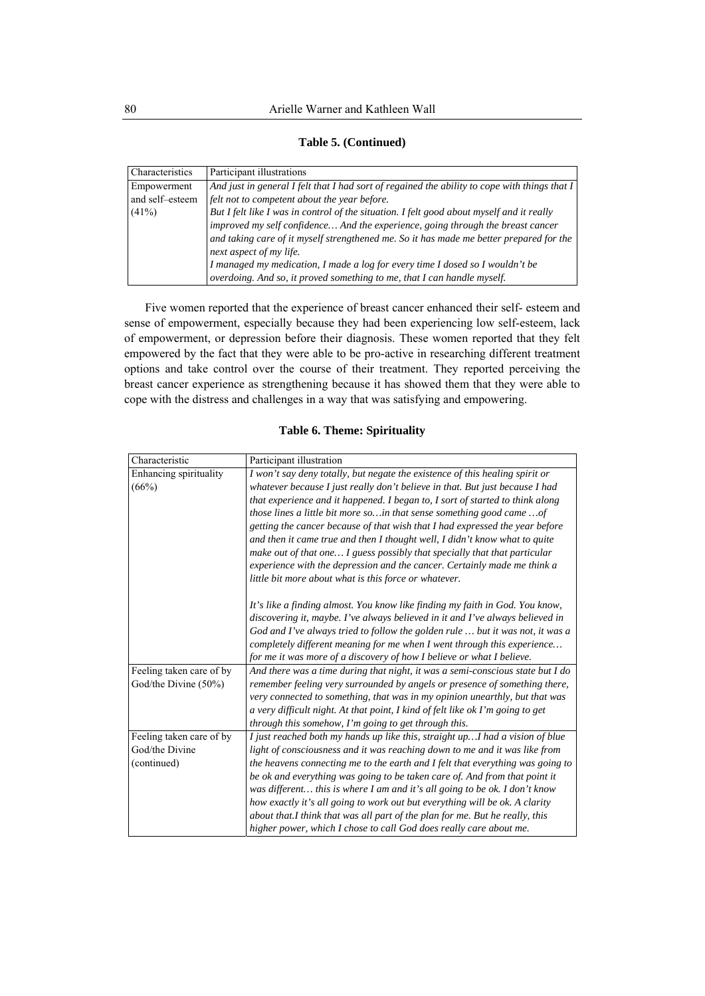| Characteristics | Participant illustrations                                                                     |
|-----------------|-----------------------------------------------------------------------------------------------|
| Empowerment     | And just in general I felt that I had sort of regained the ability to cope with things that I |
| and self-esteem | felt not to competent about the year before.                                                  |
| $(41\%)$        | But I felt like I was in control of the situation. I felt good about myself and it really     |
|                 | improved my self confidence And the experience, going through the breast cancer               |
|                 | and taking care of it myself strengthened me. So it has made me better prepared for the       |
|                 | next aspect of my life.                                                                       |
|                 | I managed my medication, I made a log for every time I dosed so I wouldn't be                 |
|                 | overdoing. And so, it proved something to me, that I can handle myself.                       |

**Table 5. (Continued)** 

Five women reported that the experience of breast cancer enhanced their self- esteem and sense of empowerment, especially because they had been experiencing low self-esteem, lack of empowerment, or depression before their diagnosis. These women reported that they felt empowered by the fact that they were able to be pro-active in researching different treatment options and take control over the course of their treatment. They reported perceiving the breast cancer experience as strengthening because it has showed them that they were able to cope with the distress and challenges in a way that was satisfying and empowering.

## **Table 6. Theme: Spirituality**

| Characteristic           | Participant illustration                                                       |
|--------------------------|--------------------------------------------------------------------------------|
| Enhancing spirituality   | I won't say deny totally, but negate the existence of this healing spirit or   |
| (66%)                    | whatever because I just really don't believe in that. But just because I had   |
|                          | that experience and it happened. I began to, I sort of started to think along  |
|                          | those lines a little bit more so in that sense something good came  of         |
|                          | getting the cancer because of that wish that I had expressed the year before   |
|                          | and then it came true and then I thought well, I didn't know what to quite     |
|                          | make out of that one I guess possibly that specially that that particular      |
|                          | experience with the depression and the cancer. Certainly made me think a       |
|                          | little bit more about what is this force or whatever.                          |
|                          | It's like a finding almost. You know like finding my faith in God. You know,   |
|                          | discovering it, maybe. I've always believed in it and I've always believed in  |
|                          | God and I've always tried to follow the golden rule  but it was not, it was a  |
|                          | completely different meaning for me when I went through this experience        |
|                          | for me it was more of a discovery of how I believe or what I believe.          |
| Feeling taken care of by | And there was a time during that night, it was a semi-conscious state but I do |
| God/the Divine (50%)     | remember feeling very surrounded by angels or presence of something there,     |
|                          | very connected to something, that was in my opinion unearthly, but that was    |
|                          | a very difficult night. At that point, I kind of felt like ok I'm going to get |
|                          | through this somehow, I'm going to get through this.                           |
| Feeling taken care of by | I just reached both my hands up like this, straight up I had a vision of blue  |
| God/the Divine           | light of consciousness and it was reaching down to me and it was like from     |
| (continued)              | the heavens connecting me to the earth and I felt that everything was going to |
|                          | be ok and everything was going to be taken care of. And from that point it     |
|                          | was different this is where I am and it's all going to be ok. I don't know     |
|                          | how exactly it's all going to work out but everything will be ok. A clarity    |
|                          | about that.I think that was all part of the plan for me. But he really, this   |
|                          | higher power, which I chose to call God does really care about me.             |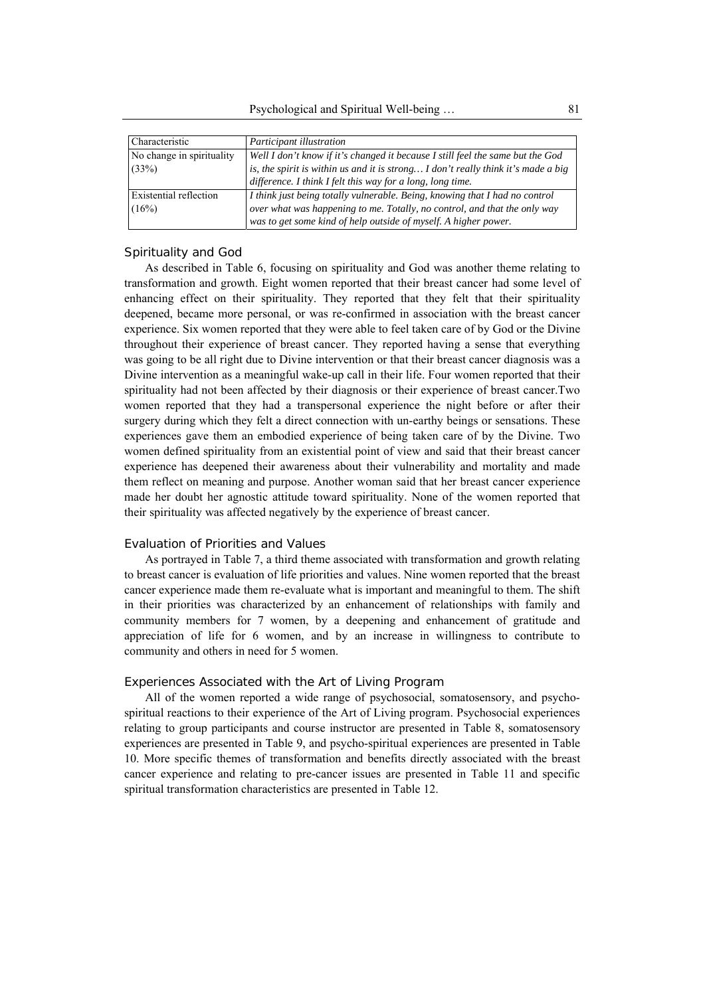| Characteristic            | Participant illustration                                                          |  |
|---------------------------|-----------------------------------------------------------------------------------|--|
| No change in spirituality | Well I don't know if it's changed it because I still feel the same but the God    |  |
| (33%)                     | is, the spirit is within us and it is strong I don't really think it's made a big |  |
|                           | difference. I think I felt this way for a long, long time.                        |  |
| Existential reflection    | I think just being totally vulnerable. Being, knowing that I had no control       |  |
| (16%)                     | over what was happening to me. Totally, no control, and that the only way         |  |
|                           | was to get some kind of help outside of myself. A higher power.                   |  |

## *Spirituality and God*

As described in Table 6, focusing on spirituality and God was another theme relating to transformation and growth. Eight women reported that their breast cancer had some level of enhancing effect on their spirituality. They reported that they felt that their spirituality deepened, became more personal, or was re-confirmed in association with the breast cancer experience. Six women reported that they were able to feel taken care of by God or the Divine throughout their experience of breast cancer. They reported having a sense that everything was going to be all right due to Divine intervention or that their breast cancer diagnosis was a Divine intervention as a meaningful wake-up call in their life. Four women reported that their spirituality had not been affected by their diagnosis or their experience of breast cancer.Two women reported that they had a transpersonal experience the night before or after their surgery during which they felt a direct connection with un-earthy beings or sensations. These experiences gave them an embodied experience of being taken care of by the Divine. Two women defined spirituality from an existential point of view and said that their breast cancer experience has deepened their awareness about their vulnerability and mortality and made them reflect on meaning and purpose. Another woman said that her breast cancer experience made her doubt her agnostic attitude toward spirituality. None of the women reported that their spirituality was affected negatively by the experience of breast cancer.

#### *Evaluation of Priorities and Values*

As portrayed in Table 7, a third theme associated with transformation and growth relating to breast cancer is evaluation of life priorities and values. Nine women reported that the breast cancer experience made them re-evaluate what is important and meaningful to them. The shift in their priorities was characterized by an enhancement of relationships with family and community members for 7 women, by a deepening and enhancement of gratitude and appreciation of life for 6 women, and by an increase in willingness to contribute to community and others in need for 5 women.

## *Experiences Associated with the Art of Living Program*

All of the women reported a wide range of psychosocial, somatosensory, and psychospiritual reactions to their experience of the Art of Living program. Psychosocial experiences relating to group participants and course instructor are presented in Table 8, somatosensory experiences are presented in Table 9, and psycho-spiritual experiences are presented in Table 10. More specific themes of transformation and benefits directly associated with the breast cancer experience and relating to pre-cancer issues are presented in Table 11 and specific spiritual transformation characteristics are presented in Table 12.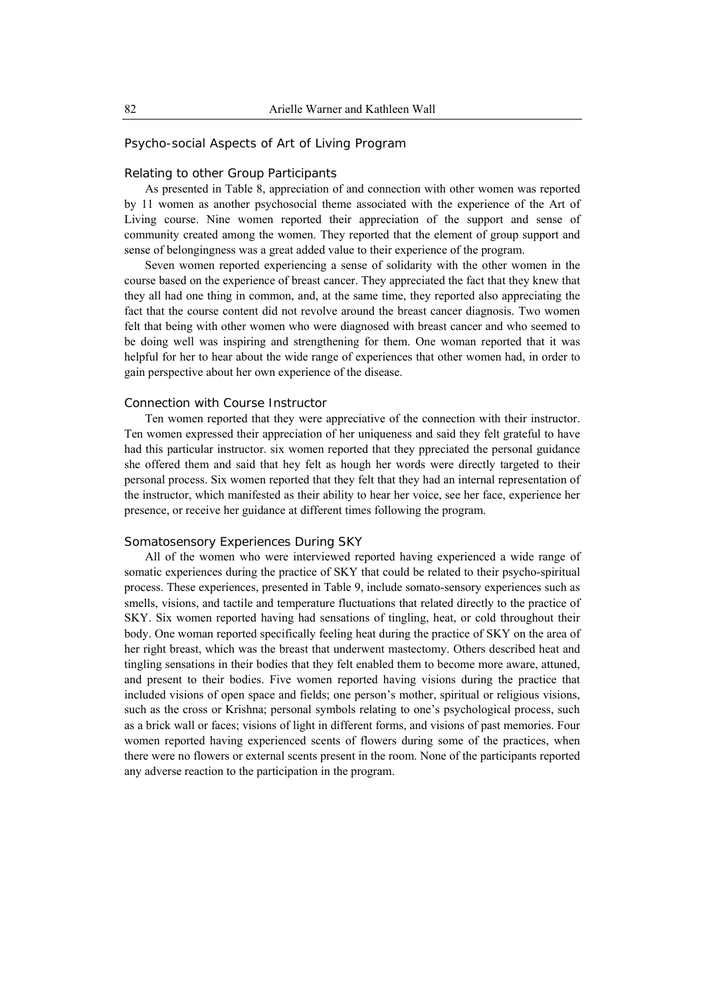## Psycho-social Aspects of Art of Living Program

### *Relating to other Group Participants*

As presented in Table 8, appreciation of and connection with other women was reported by 11 women as another psychosocial theme associated with the experience of the Art of Living course. Nine women reported their appreciation of the support and sense of community created among the women. They reported that the element of group support and sense of belongingness was a great added value to their experience of the program.

Seven women reported experiencing a sense of solidarity with the other women in the course based on the experience of breast cancer. They appreciated the fact that they knew that they all had one thing in common, and, at the same time, they reported also appreciating the fact that the course content did not revolve around the breast cancer diagnosis. Two women felt that being with other women who were diagnosed with breast cancer and who seemed to be doing well was inspiring and strengthening for them. One woman reported that it was helpful for her to hear about the wide range of experiences that other women had, in order to gain perspective about her own experience of the disease.

## *Connection with Course Instructor*

Ten women reported that they were appreciative of the connection with their instructor. Ten women expressed their appreciation of her uniqueness and said they felt grateful to have had this particular instructor. six women reported that they ppreciated the personal guidance she offered them and said that hey felt as hough her words were directly targeted to their personal process. Six women reported that they felt that they had an internal representation of the instructor, which manifested as their ability to hear her voice, see her face, experience her presence, or receive her guidance at different times following the program.

#### *Somatosensory Experiences During SKY*

All of the women who were interviewed reported having experienced a wide range of somatic experiences during the practice of SKY that could be related to their psycho-spiritual process. These experiences, presented in Table 9, include somato-sensory experiences such as smells, visions, and tactile and temperature fluctuations that related directly to the practice of SKY. Six women reported having had sensations of tingling, heat, or cold throughout their body. One woman reported specifically feeling heat during the practice of SKY on the area of her right breast, which was the breast that underwent mastectomy. Others described heat and tingling sensations in their bodies that they felt enabled them to become more aware, attuned, and present to their bodies. Five women reported having visions during the practice that included visions of open space and fields; one person's mother, spiritual or religious visions, such as the cross or Krishna; personal symbols relating to one's psychological process, such as a brick wall or faces; visions of light in different forms, and visions of past memories. Four women reported having experienced scents of flowers during some of the practices, when there were no flowers or external scents present in the room. None of the participants reported any adverse reaction to the participation in the program.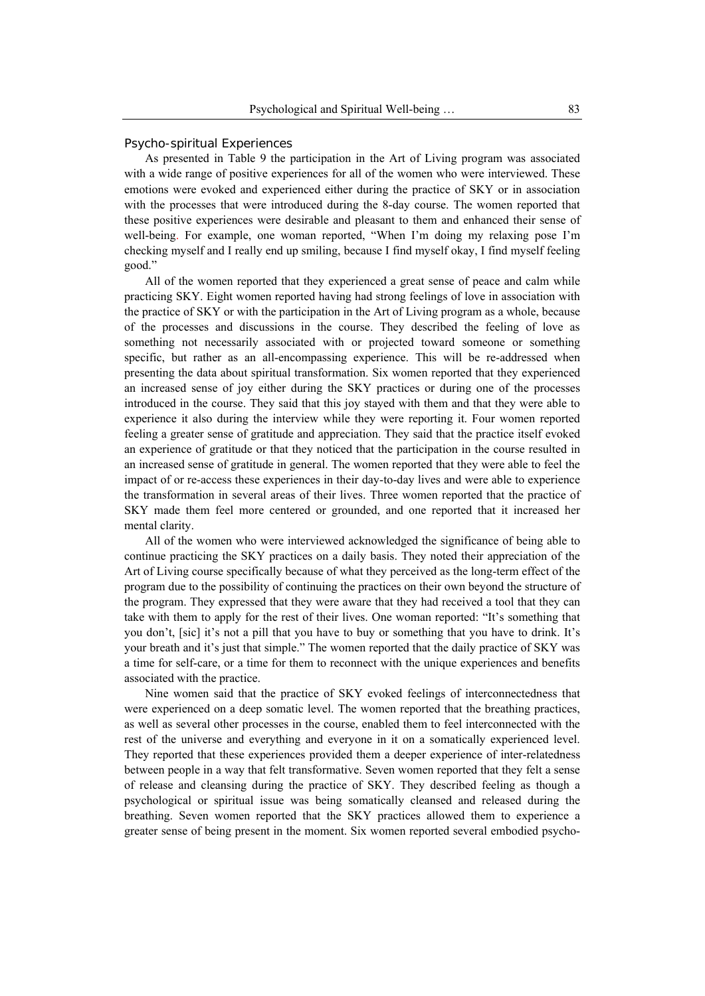#### *Psycho-spiritual Experiences*

As presented in Table 9 the participation in the Art of Living program was associated with a wide range of positive experiences for all of the women who were interviewed. These emotions were evoked and experienced either during the practice of SKY or in association with the processes that were introduced during the 8-day course. The women reported that these positive experiences were desirable and pleasant to them and enhanced their sense of well-being. For example, one woman reported, "When I'm doing my relaxing pose I'm checking myself and I really end up smiling, because I find myself okay, I find myself feeling good."

All of the women reported that they experienced a great sense of peace and calm while practicing SKY. Eight women reported having had strong feelings of love in association with the practice of SKY or with the participation in the Art of Living program as a whole, because of the processes and discussions in the course. They described the feeling of love as something not necessarily associated with or projected toward someone or something specific, but rather as an all-encompassing experience. This will be re-addressed when presenting the data about spiritual transformation. Six women reported that they experienced an increased sense of joy either during the SKY practices or during one of the processes introduced in the course. They said that this joy stayed with them and that they were able to experience it also during the interview while they were reporting it. Four women reported feeling a greater sense of gratitude and appreciation. They said that the practice itself evoked an experience of gratitude or that they noticed that the participation in the course resulted in an increased sense of gratitude in general. The women reported that they were able to feel the impact of or re-access these experiences in their day-to-day lives and were able to experience the transformation in several areas of their lives. Three women reported that the practice of SKY made them feel more centered or grounded, and one reported that it increased her mental clarity.

All of the women who were interviewed acknowledged the significance of being able to continue practicing the SKY practices on a daily basis. They noted their appreciation of the Art of Living course specifically because of what they perceived as the long-term effect of the program due to the possibility of continuing the practices on their own beyond the structure of the program. They expressed that they were aware that they had received a tool that they can take with them to apply for the rest of their lives. One woman reported: "It's something that you don't, [sic] it's not a pill that you have to buy or something that you have to drink. It's your breath and it's just that simple." The women reported that the daily practice of SKY was a time for self-care, or a time for them to reconnect with the unique experiences and benefits associated with the practice.

Nine women said that the practice of SKY evoked feelings of interconnectedness that were experienced on a deep somatic level. The women reported that the breathing practices, as well as several other processes in the course, enabled them to feel interconnected with the rest of the universe and everything and everyone in it on a somatically experienced level. They reported that these experiences provided them a deeper experience of inter-relatedness between people in a way that felt transformative. Seven women reported that they felt a sense of release and cleansing during the practice of SKY. They described feeling as though a psychological or spiritual issue was being somatically cleansed and released during the breathing. Seven women reported that the SKY practices allowed them to experience a greater sense of being present in the moment. Six women reported several embodied psycho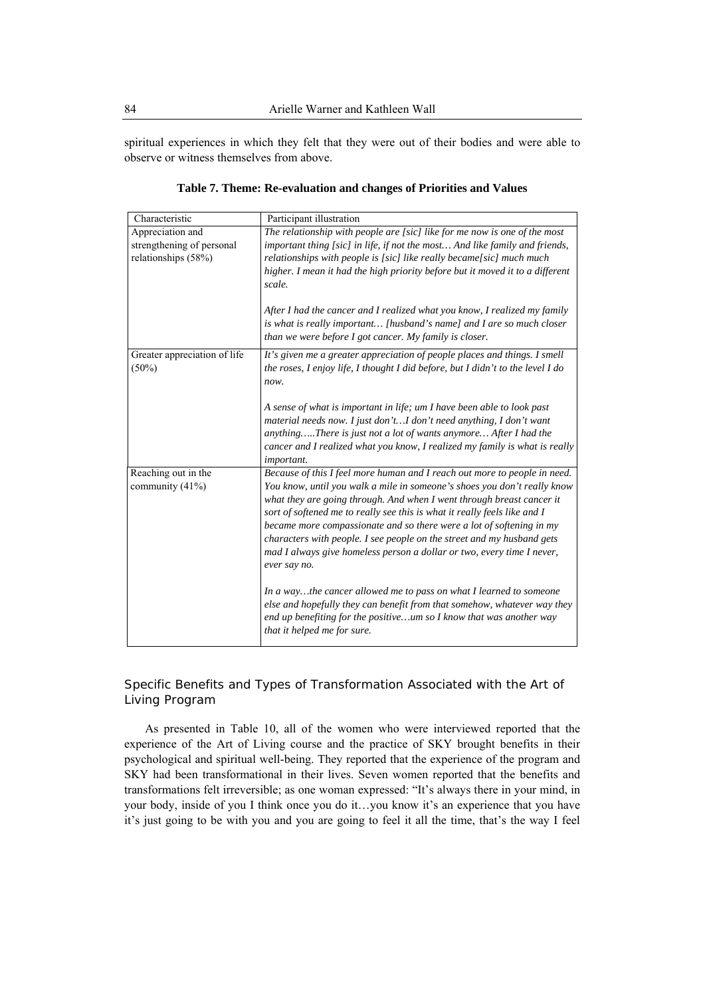spiritual experiences in which they felt that they were out of their bodies and were able to observe or witness themselves from above.

| Characteristic               | Participant illustration                                                                                                                           |
|------------------------------|----------------------------------------------------------------------------------------------------------------------------------------------------|
| Appreciation and             | The relationship with people are [sic] like for me now is one of the most                                                                          |
| strengthening of personal    | important thing [sic] in life, if not the most And like family and friends,                                                                        |
| relationships (58%)          | relationships with people is [sic] like really became[sic] much much                                                                               |
|                              | higher. I mean it had the high priority before but it moved it to a different                                                                      |
|                              | scale.                                                                                                                                             |
|                              | After I had the cancer and I realized what you know, I realized my family                                                                          |
|                              | is what is really important [husband's name] and I are so much closer<br>than we were before I got cancer. My family is closer.                    |
| Greater appreciation of life | It's given me a greater appreciation of people places and things. I smell                                                                          |
| $(50\%)$                     | the roses, I enjoy life, I thought I did before, but I didn't to the level I do                                                                    |
|                              | now.                                                                                                                                               |
|                              | A sense of what is important in life; um I have been able to look past                                                                             |
|                              | material needs now. I just don'tI don't need anything, I don't want                                                                                |
|                              | anythingThere is just not a lot of wants anymore After I had the                                                                                   |
|                              | cancer and I realized what you know, I realized my family is what is really<br><i>important.</i>                                                   |
| Reaching out in the          | Because of this I feel more human and I reach out more to people in need.                                                                          |
| community (41%)              | You know, until you walk a mile in someone's shoes you don't really know                                                                           |
|                              | what they are going through. And when I went through breast cancer it<br>sort of softened me to really see this is what it really feels like and I |
|                              | became more compassionate and so there were a lot of softening in my                                                                               |
|                              | characters with people. I see people on the street and my husband gets                                                                             |
|                              | mad I always give homeless person a dollar or two, every time I never,                                                                             |
|                              | ever say no.                                                                                                                                       |
|                              | In a waythe cancer allowed me to pass on what I learned to someone                                                                                 |
|                              | else and hopefully they can benefit from that somehow, whatever way they                                                                           |
|                              | end up benefiting for the positiveum so I know that was another way<br>that it helped me for sure.                                                 |

**Table 7. Theme: Re-evaluation and changes of Priorities and Values** 

# Specific Benefits and Types of Transformation Associated with the Art of Living Program

As presented in Table 10, all of the women who were interviewed reported that the experience of the Art of Living course and the practice of SKY brought benefits in their psychological and spiritual well-being. They reported that the experience of the program and SKY had been transformational in their lives. Seven women reported that the benefits and transformations felt irreversible; as one woman expressed: "It's always there in your mind, in your body, inside of you I think once you do it…you know it's an experience that you have it's just going to be with you and you are going to feel it all the time, that's the way I feel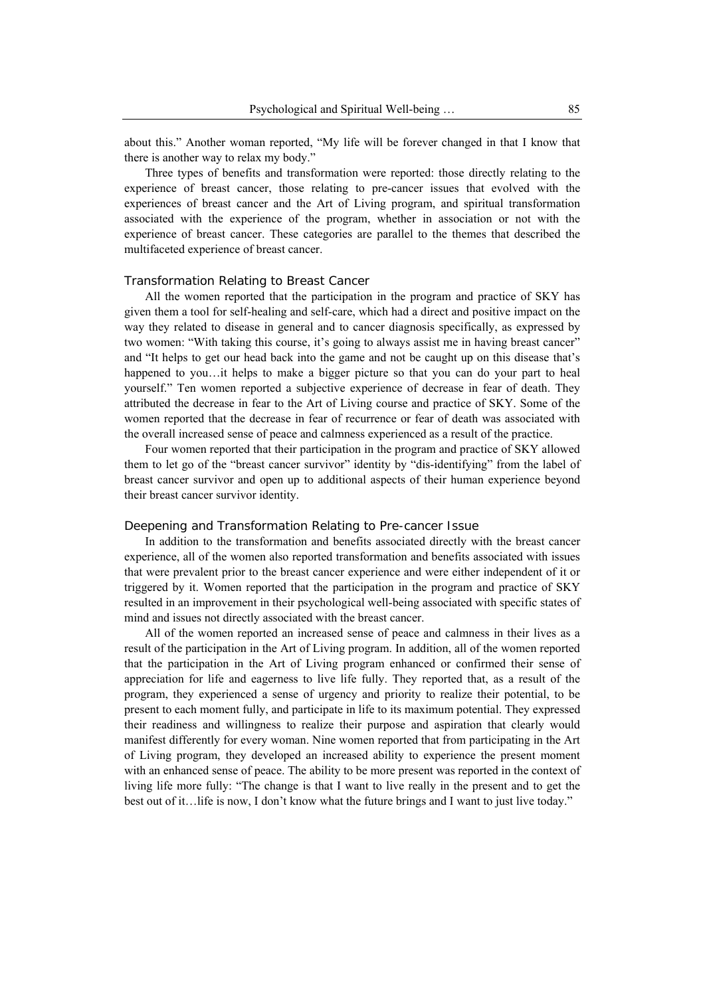about this." Another woman reported, "My life will be forever changed in that I know that there is another way to relax my body."

Three types of benefits and transformation were reported: those directly relating to the experience of breast cancer, those relating to pre-cancer issues that evolved with the experiences of breast cancer and the Art of Living program, and spiritual transformation associated with the experience of the program, whether in association or not with the experience of breast cancer. These categories are parallel to the themes that described the multifaceted experience of breast cancer.

#### *Transformation Relating to Breast Cancer*

All the women reported that the participation in the program and practice of SKY has given them a tool for self-healing and self-care, which had a direct and positive impact on the way they related to disease in general and to cancer diagnosis specifically, as expressed by two women: "With taking this course, it's going to always assist me in having breast cancer" and "It helps to get our head back into the game and not be caught up on this disease that's happened to you…it helps to make a bigger picture so that you can do your part to heal yourself." Ten women reported a subjective experience of decrease in fear of death. They attributed the decrease in fear to the Art of Living course and practice of SKY. Some of the women reported that the decrease in fear of recurrence or fear of death was associated with the overall increased sense of peace and calmness experienced as a result of the practice.

Four women reported that their participation in the program and practice of SKY allowed them to let go of the "breast cancer survivor" identity by "dis-identifying" from the label of breast cancer survivor and open up to additional aspects of their human experience beyond their breast cancer survivor identity.

#### *Deepening and Transformation Relating to Pre-cancer Issue*

In addition to the transformation and benefits associated directly with the breast cancer experience, all of the women also reported transformation and benefits associated with issues that were prevalent prior to the breast cancer experience and were either independent of it or triggered by it. Women reported that the participation in the program and practice of SKY resulted in an improvement in their psychological well-being associated with specific states of mind and issues not directly associated with the breast cancer.

All of the women reported an increased sense of peace and calmness in their lives as a result of the participation in the Art of Living program. In addition, all of the women reported that the participation in the Art of Living program enhanced or confirmed their sense of appreciation for life and eagerness to live life fully. They reported that, as a result of the program, they experienced a sense of urgency and priority to realize their potential, to be present to each moment fully, and participate in life to its maximum potential. They expressed their readiness and willingness to realize their purpose and aspiration that clearly would manifest differently for every woman. Nine women reported that from participating in the Art of Living program, they developed an increased ability to experience the present moment with an enhanced sense of peace. The ability to be more present was reported in the context of living life more fully: "The change is that I want to live really in the present and to get the best out of it…life is now, I don't know what the future brings and I want to just live today."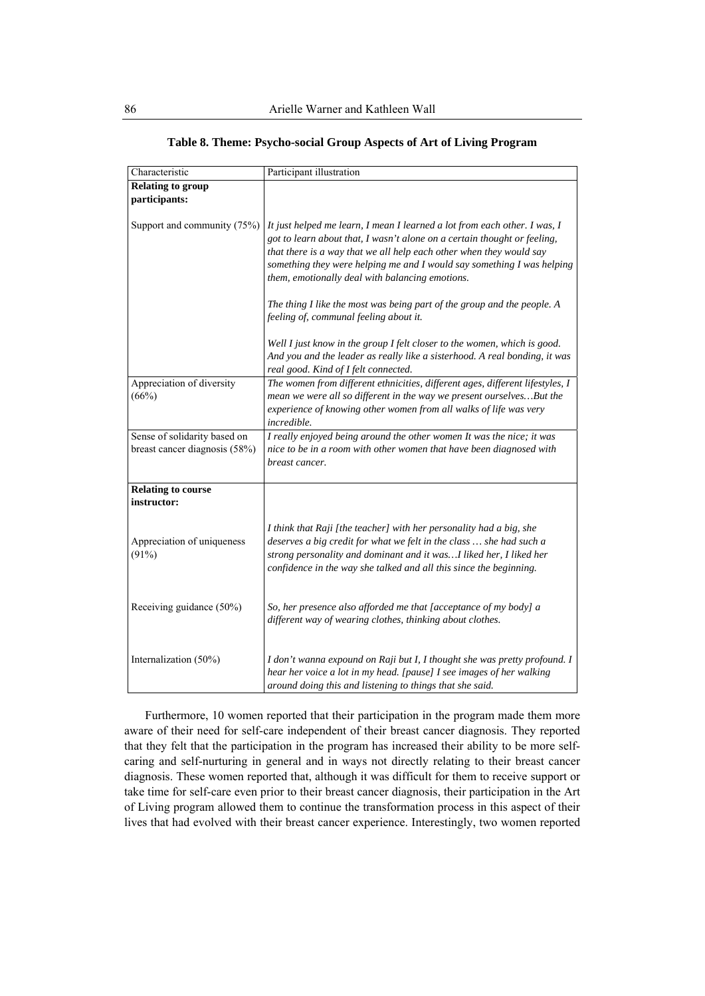| Characteristic                                                | Participant illustration                                                                                                                                                                                                                                                                                                                                  |
|---------------------------------------------------------------|-----------------------------------------------------------------------------------------------------------------------------------------------------------------------------------------------------------------------------------------------------------------------------------------------------------------------------------------------------------|
| <b>Relating to group</b>                                      |                                                                                                                                                                                                                                                                                                                                                           |
| participants:                                                 |                                                                                                                                                                                                                                                                                                                                                           |
| Support and community (75%)                                   | It just helped me learn, I mean I learned a lot from each other. I was, I<br>got to learn about that, I wasn't alone on a certain thought or feeling,<br>that there is a way that we all help each other when they would say<br>something they were helping me and I would say something I was helping<br>them, emotionally deal with balancing emotions. |
|                                                               | The thing I like the most was being part of the group and the people. A<br>feeling of, communal feeling about it.                                                                                                                                                                                                                                         |
|                                                               | Well I just know in the group I felt closer to the women, which is good.<br>And you and the leader as really like a sisterhood. A real bonding, it was<br>real good. Kind of I felt connected.                                                                                                                                                            |
| Appreciation of diversity<br>(66%)                            | The women from different ethnicities, different ages, different lifestyles, I<br>mean we were all so different in the way we present ourselves But the<br>experience of knowing other women from all walks of life was very<br>incredible.                                                                                                                |
| Sense of solidarity based on<br>breast cancer diagnosis (58%) | I really enjoyed being around the other women It was the nice; it was<br>nice to be in a room with other women that have been diagnosed with<br>breast cancer.                                                                                                                                                                                            |
| <b>Relating to course</b><br>instructor:                      |                                                                                                                                                                                                                                                                                                                                                           |
| Appreciation of uniqueness<br>(91%)                           | I think that Raji [the teacher] with her personality had a big, she<br>deserves a big credit for what we felt in the class  she had such a<br>strong personality and dominant and it wasI liked her, I liked her<br>confidence in the way she talked and all this since the beginning.                                                                    |
| Receiving guidance (50%)                                      | So, her presence also afforded me that [acceptance of my body] a<br>different way of wearing clothes, thinking about clothes.                                                                                                                                                                                                                             |
| Internalization (50%)                                         | I don't wanna expound on Raji but I, I thought she was pretty profound. I<br>hear her voice a lot in my head. [pause] I see images of her walking<br>around doing this and listening to things that she said.                                                                                                                                             |

#### **Table 8. Theme: Psycho-social Group Aspects of Art of Living Program**

Furthermore, 10 women reported that their participation in the program made them more aware of their need for self-care independent of their breast cancer diagnosis. They reported that they felt that the participation in the program has increased their ability to be more selfcaring and self-nurturing in general and in ways not directly relating to their breast cancer diagnosis. These women reported that, although it was difficult for them to receive support or take time for self-care even prior to their breast cancer diagnosis, their participation in the Art of Living program allowed them to continue the transformation process in this aspect of their lives that had evolved with their breast cancer experience. Interestingly, two women reported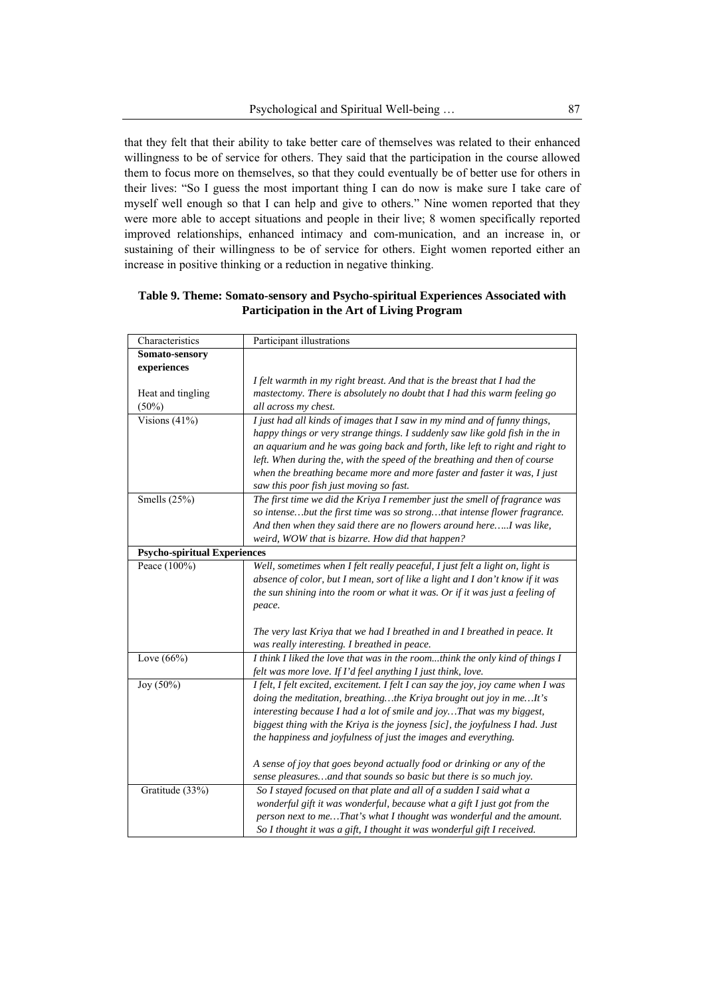that they felt that their ability to take better care of themselves was related to their enhanced willingness to be of service for others. They said that the participation in the course allowed them to focus more on themselves, so that they could eventually be of better use for others in their lives: "So I guess the most important thing I can do now is make sure I take care of myself well enough so that I can help and give to others." Nine women reported that they were more able to accept situations and people in their live; 8 women specifically reported improved relationships, enhanced intimacy and com-munication, and an increase in, or sustaining of their willingness to be of service for others. Eight women reported either an increase in positive thinking or a reduction in negative thinking.

| Characteristics                     | Participant illustrations                                                                                                                               |
|-------------------------------------|---------------------------------------------------------------------------------------------------------------------------------------------------------|
| Somato-sensory                      |                                                                                                                                                         |
| experiences                         |                                                                                                                                                         |
|                                     | I felt warmth in my right breast. And that is the breast that I had the                                                                                 |
| Heat and tingling                   | mastectomy. There is absolutely no doubt that I had this warm feeling go                                                                                |
| (50%)                               | all across my chest.                                                                                                                                    |
| Visions $(41\%)$                    | I just had all kinds of images that I saw in my mind and of funny things,                                                                               |
|                                     | happy things or very strange things. I suddenly saw like gold fish in the in                                                                            |
|                                     | an aquarium and he was going back and forth, like left to right and right to                                                                            |
|                                     | left. When during the, with the speed of the breathing and then of course                                                                               |
|                                     | when the breathing became more and more faster and faster it was, I just                                                                                |
|                                     | saw this poor fish just moving so fast.                                                                                                                 |
| Smells $(25%)$                      | The first time we did the Kriya I remember just the smell of fragrance was                                                                              |
|                                     | so intensebut the first time was so strongthat intense flower fragrance.                                                                                |
|                                     | And then when they said there are no flowers around hereI was like,                                                                                     |
|                                     | weird, WOW that is bizarre. How did that happen?                                                                                                        |
| <b>Psycho-spiritual Experiences</b> |                                                                                                                                                         |
| Peace (100%)                        | Well, sometimes when I felt really peaceful, I just felt a light on, light is                                                                           |
|                                     | absence of color, but I mean, sort of like a light and I don't know if it was                                                                           |
|                                     | the sun shining into the room or what it was. Or if it was just a feeling of                                                                            |
|                                     | peace.                                                                                                                                                  |
|                                     |                                                                                                                                                         |
|                                     | The very last Kriya that we had I breathed in and I breathed in peace. It                                                                               |
| Love $(66\%)$                       | was really interesting. I breathed in peace.<br>I think I liked the love that was in the roomthink the only kind of things I                            |
|                                     |                                                                                                                                                         |
|                                     | felt was more love. If I'd feel anything I just think, love.                                                                                            |
| Joy (50%)                           | I felt, I felt excited, excitement. I felt I can say the joy, joy came when I was<br>doing the meditation, breathingthe Kriya brought out joy in meIt's |
|                                     | interesting because I had a lot of smile and joy That was my biggest,                                                                                   |
|                                     | biggest thing with the Kriya is the joyness [sic], the joyfulness I had. Just                                                                           |
|                                     | the happiness and joyfulness of just the images and everything.                                                                                         |
|                                     |                                                                                                                                                         |
|                                     | A sense of joy that goes beyond actually food or drinking or any of the                                                                                 |
|                                     | sense pleasures and that sounds so basic but there is so much joy.                                                                                      |
| Gratitude (33%)                     | So I stayed focused on that plate and all of a sudden I said what a                                                                                     |
|                                     | wonderful gift it was wonderful, because what a gift I just got from the                                                                                |
|                                     | person next to me That's what I thought was wonderful and the amount.                                                                                   |
|                                     | So I thought it was a gift, I thought it was wonderful gift I received.                                                                                 |

**Table 9. Theme: Somato-sensory and Psycho-spiritual Experiences Associated with Participation in the Art of Living Program**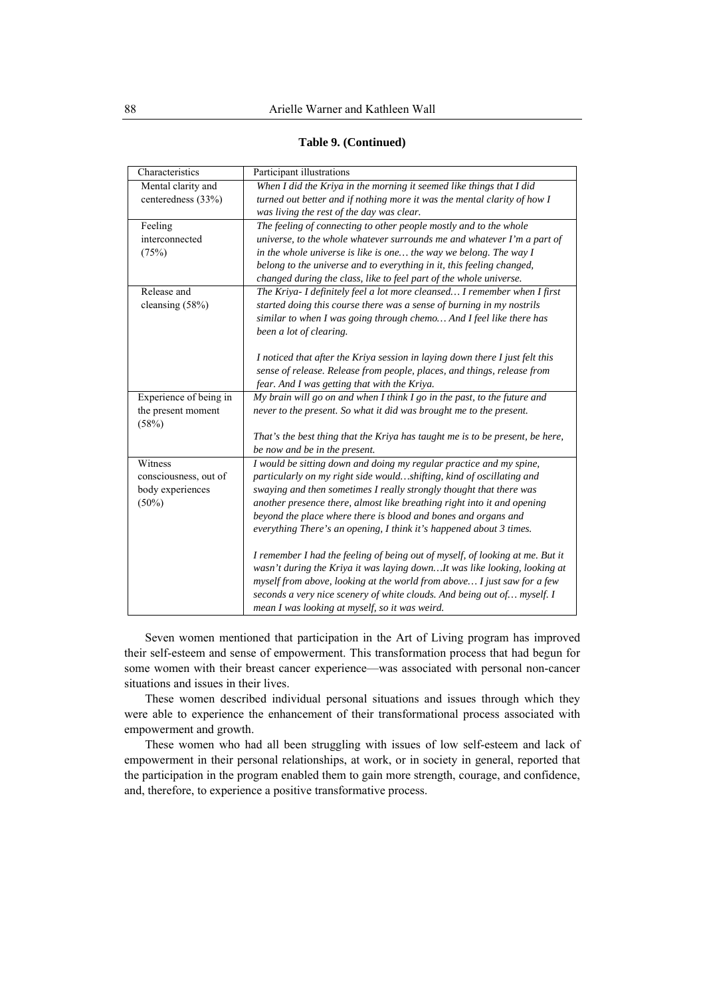### **Table 9. (Continued)**

| Characteristics        | Participant illustrations                                                     |
|------------------------|-------------------------------------------------------------------------------|
| Mental clarity and     | When I did the Kriya in the morning it seemed like things that I did          |
| centeredness (33%)     | turned out better and if nothing more it was the mental clarity of how I      |
|                        | was living the rest of the day was clear.                                     |
| Feeling                | The feeling of connecting to other people mostly and to the whole             |
| interconnected         | universe, to the whole whatever surrounds me and whatever I'm a part of       |
| (75%)                  | in the whole universe is like is one the way we belong. The way $I$           |
|                        | belong to the universe and to everything in it, this feeling changed,         |
|                        | changed during the class, like to feel part of the whole universe.            |
| Release and            | The Kriya- I definitely feel a lot more cleansed I remember when I first      |
| cleansing (58%)        | started doing this course there was a sense of burning in my nostrils         |
|                        | similar to when I was going through chemo And I feel like there has           |
|                        | been a lot of clearing.                                                       |
|                        |                                                                               |
|                        | I noticed that after the Kriya session in laying down there I just felt this  |
|                        | sense of release. Release from people, places, and things, release from       |
|                        | fear. And I was getting that with the Kriya.                                  |
| Experience of being in | My brain will go on and when I think I go in the past, to the future and      |
| the present moment     | never to the present. So what it did was brought me to the present.           |
| (58%)                  |                                                                               |
|                        | That's the best thing that the Kriya has taught me is to be present, be here, |
|                        | be now and be in the present.                                                 |
| Witness                | I would be sitting down and doing my regular practice and my spine,           |
| consciousness, out of  | particularly on my right side wouldshifting, kind of oscillating and          |
| body experiences       | swaying and then sometimes I really strongly thought that there was           |
| $(50\%)$               | another presence there, almost like breathing right into it and opening       |
|                        | beyond the place where there is blood and bones and organs and                |
|                        | everything There's an opening, I think it's happened about 3 times.           |
|                        |                                                                               |
|                        | I remember I had the feeling of being out of myself, of looking at me. But it |
|                        | wasn't during the Kriya it was laying downIt was like looking, looking at     |
|                        | myself from above, looking at the world from above I just saw for a few       |
|                        | seconds a very nice scenery of white clouds. And being out of myself. I       |
|                        | mean I was looking at myself, so it was weird.                                |

Seven women mentioned that participation in the Art of Living program has improved their self-esteem and sense of empowerment. This transformation process that had begun for some women with their breast cancer experience—was associated with personal non-cancer situations and issues in their lives.

These women described individual personal situations and issues through which they were able to experience the enhancement of their transformational process associated with empowerment and growth.

These women who had all been struggling with issues of low self-esteem and lack of empowerment in their personal relationships, at work, or in society in general, reported that the participation in the program enabled them to gain more strength, courage, and confidence, and, therefore, to experience a positive transformative process.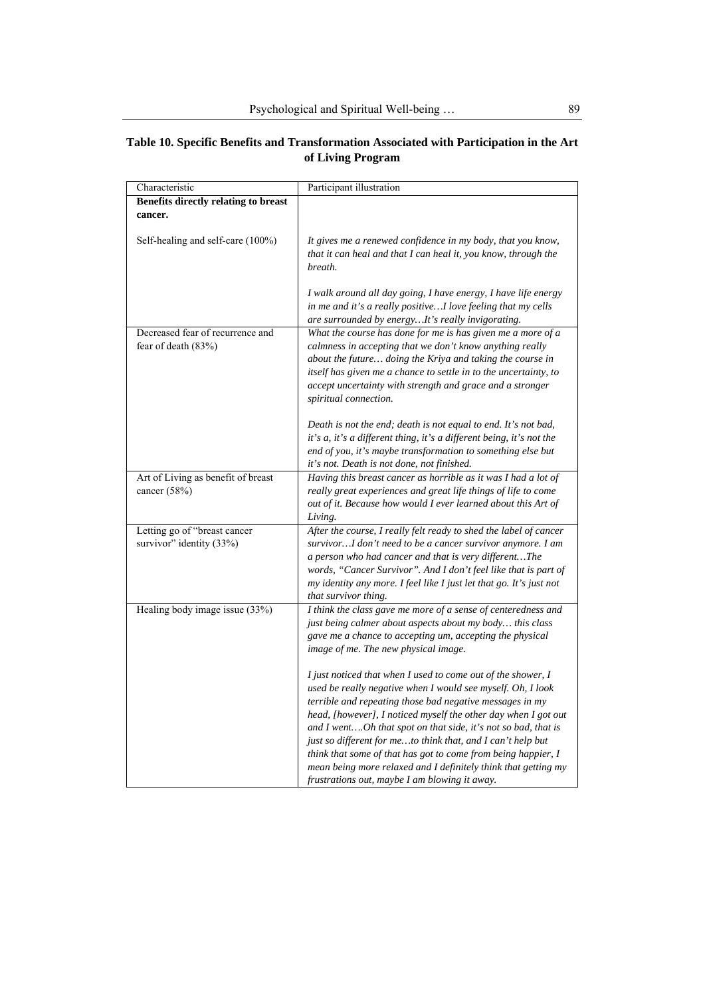| Characteristic                                            | Participant illustration                                                                                                                                                                                                                                                                                                                                                                                                                                                                                                                                                      |
|-----------------------------------------------------------|-------------------------------------------------------------------------------------------------------------------------------------------------------------------------------------------------------------------------------------------------------------------------------------------------------------------------------------------------------------------------------------------------------------------------------------------------------------------------------------------------------------------------------------------------------------------------------|
| Benefits directly relating to breast<br>cancer.           |                                                                                                                                                                                                                                                                                                                                                                                                                                                                                                                                                                               |
| Self-healing and self-care (100%)                         | It gives me a renewed confidence in my body, that you know,<br>that it can heal and that I can heal it, you know, through the<br>breath.                                                                                                                                                                                                                                                                                                                                                                                                                                      |
|                                                           | I walk around all day going, I have energy, I have life energy<br>in me and it's a really positiveI love feeling that my cells<br>are surrounded by energyIt's really invigorating.                                                                                                                                                                                                                                                                                                                                                                                           |
| Decreased fear of recurrence and<br>fear of death $(83%)$ | What the course has done for me is has given me a more of a<br>calmness in accepting that we don't know anything really<br>about the future doing the Kriya and taking the course in<br>itself has given me a chance to settle in to the uncertainty, to<br>accept uncertainty with strength and grace and a stronger<br>spiritual connection.                                                                                                                                                                                                                                |
|                                                           | Death is not the end; death is not equal to end. It's not bad,<br>it's a, it's a different thing, it's a different being, it's not the<br>end of you, it's maybe transformation to something else but<br>it's not. Death is not done, not finished.                                                                                                                                                                                                                                                                                                                           |
| Art of Living as benefit of breast<br>cancer (58%)        | Having this breast cancer as horrible as it was I had a lot of<br>really great experiences and great life things of life to come<br>out of it. Because how would I ever learned about this Art of<br>Living.                                                                                                                                                                                                                                                                                                                                                                  |
| Letting go of "breast cancer<br>survivor" identity (33%)  | After the course, I really felt ready to shed the label of cancer<br>survivor I don't need to be a cancer survivor anymore. I am<br>a person who had cancer and that is very differentThe<br>words, "Cancer Survivor". And I don't feel like that is part of<br>my identity any more. I feel like I just let that go. It's just not<br>that survivor thing.                                                                                                                                                                                                                   |
| Healing body image issue (33%)                            | I think the class gave me more of a sense of centeredness and<br>just being calmer about aspects about my body this class<br>gave me a chance to accepting um, accepting the physical<br>image of me. The new physical image.                                                                                                                                                                                                                                                                                                                                                 |
|                                                           | I just noticed that when I used to come out of the shower, I<br>used be really negative when I would see myself. Oh, I look<br>terrible and repeating those bad negative messages in my<br>head, [however], I noticed myself the other day when I got out<br>and I wentOh that spot on that side, it's not so bad, that is<br>just so different for meto think that, and I can't help but<br>think that some of that has got to come from being happier, I<br>mean being more relaxed and I definitely think that getting my<br>frustrations out, maybe I am blowing it away. |

# **Table 10. Specific Benefits and Transformation Associated with Participation in the Art of Living Program**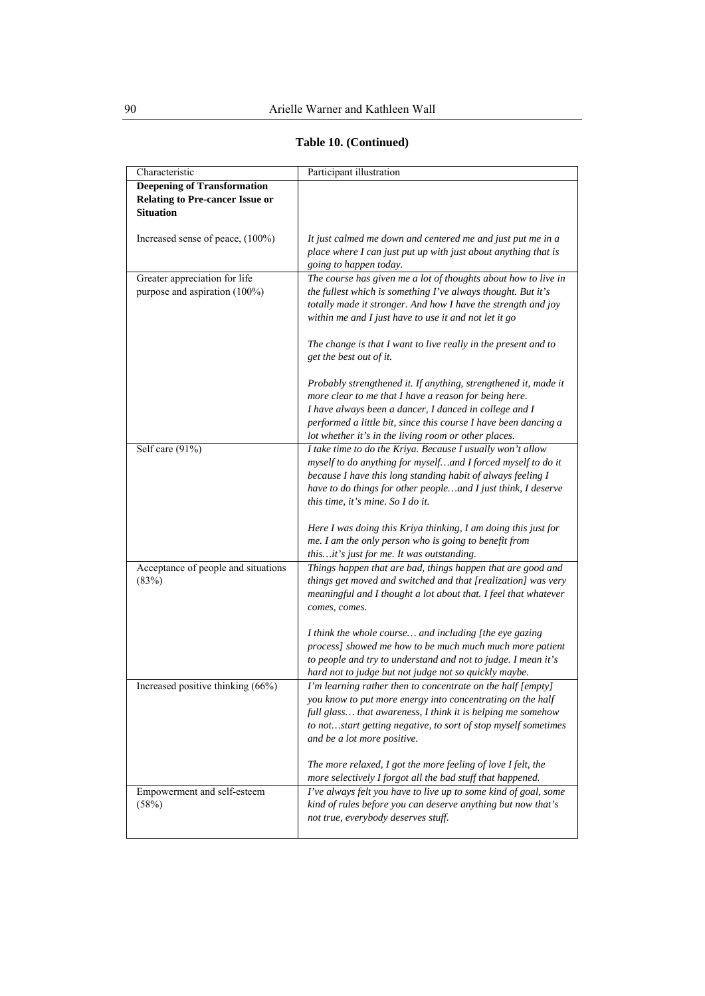| Characteristic                         | Participant illustration                                                                           |
|----------------------------------------|----------------------------------------------------------------------------------------------------|
| <b>Deepening of Transformation</b>     |                                                                                                    |
| <b>Relating to Pre-cancer Issue or</b> |                                                                                                    |
| <b>Situation</b>                       |                                                                                                    |
|                                        |                                                                                                    |
| Increased sense of peace, (100%)       | It just calmed me down and centered me and just put me in a                                        |
|                                        | place where I can just put up with just about anything that is                                     |
|                                        | going to happen today.                                                                             |
| Greater appreciation for life          | The course has given me a lot of thoughts about how to live in                                     |
| purpose and aspiration (100%)          | the fullest which is something I've always thought. But it's                                       |
|                                        | totally made it stronger. And how I have the strength and joy                                      |
|                                        | within me and I just have to use it and not let it go                                              |
|                                        |                                                                                                    |
|                                        | The change is that I want to live really in the present and to                                     |
|                                        | get the best out of it.                                                                            |
|                                        |                                                                                                    |
|                                        | Probably strengthened it. If anything, strengthened it, made it                                    |
|                                        | more clear to me that I have a reason for being here.                                              |
|                                        | I have always been a dancer, I danced in college and I                                             |
|                                        | performed a little bit, since this course I have been dancing a                                    |
|                                        | lot whether it's in the living room or other places.                                               |
| Self care (91%)                        | I take time to do the Kriya. Because I usually won't allow                                         |
|                                        | myself to do anything for myselfand I forced myself to do it                                       |
|                                        | because I have this long standing habit of always feeling I                                        |
|                                        | have to do things for other peopleand I just think, I deserve<br>this time, it's mine. So I do it. |
|                                        |                                                                                                    |
|                                        | Here I was doing this Kriya thinking, I am doing this just for                                     |
|                                        | me. I am the only person who is going to benefit from                                              |
|                                        | thisit's just for me. It was outstanding.                                                          |
| Acceptance of people and situations    | Things happen that are bad, things happen that are good and                                        |
| (83%)                                  | things get moved and switched and that [realization] was very                                      |
|                                        | meaningful and I thought a lot about that. I feel that whatever                                    |
|                                        | comes, comes.                                                                                      |
|                                        |                                                                                                    |
|                                        | I think the whole course and including [the eye gazing                                             |
|                                        | process] showed me how to be much much much more patient                                           |
|                                        | to people and try to understand and not to judge. I mean it's                                      |
|                                        | hard not to judge but not judge not so quickly maybe.                                              |
| Increased positive thinking (66%)      | I'm learning rather then to concentrate on the half [empty]                                        |
|                                        | you know to put more energy into concentrating on the half                                         |
|                                        | full glass that awareness, I think it is helping me somehow                                        |
|                                        | to notstart getting negative, to sort of stop myself sometimes                                     |
|                                        | and be a lot more positive.                                                                        |
|                                        |                                                                                                    |
|                                        | The more relaxed, I got the more feeling of love I felt, the                                       |
|                                        | more selectively I forgot all the bad stuff that happened.                                         |
| Empowerment and self-esteem            | I've always felt you have to live up to some kind of goal, some                                    |
| (58%)                                  | kind of rules before you can deserve anything but now that's                                       |
|                                        | not true, everybody deserves stuff.                                                                |
|                                        |                                                                                                    |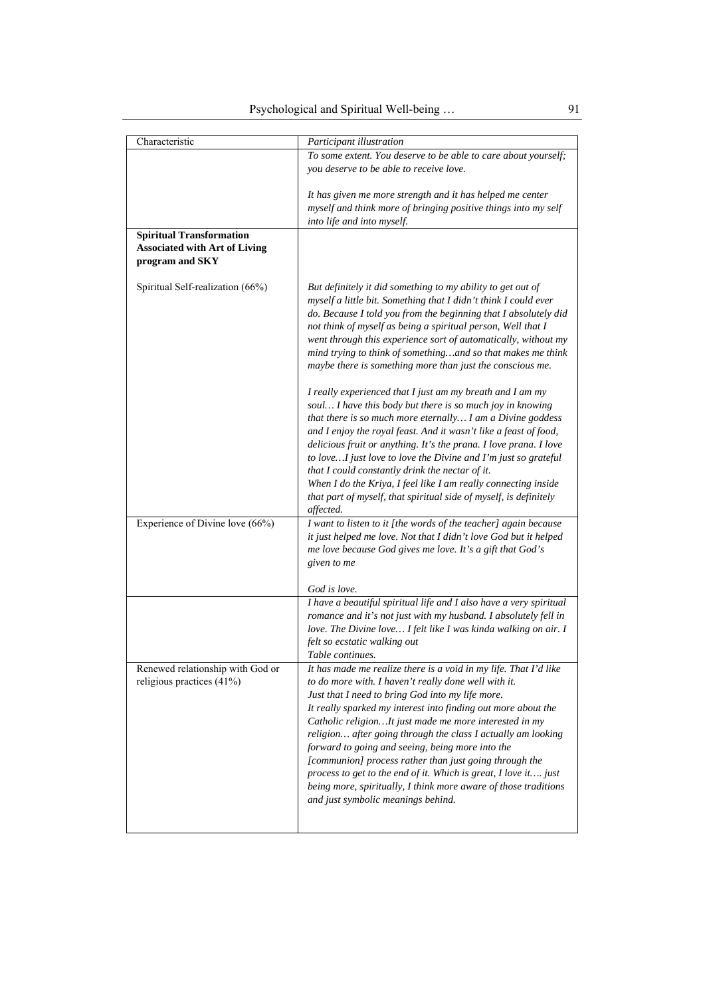| Characteristic                                                                             | Participant illustration                                                                                                                                                                                                                                                                                                                                                                                                                                                                                                                                                                                                                                          |
|--------------------------------------------------------------------------------------------|-------------------------------------------------------------------------------------------------------------------------------------------------------------------------------------------------------------------------------------------------------------------------------------------------------------------------------------------------------------------------------------------------------------------------------------------------------------------------------------------------------------------------------------------------------------------------------------------------------------------------------------------------------------------|
|                                                                                            | To some extent. You deserve to be able to care about yourself;<br>you deserve to be able to receive love.                                                                                                                                                                                                                                                                                                                                                                                                                                                                                                                                                         |
|                                                                                            | It has given me more strength and it has helped me center<br>myself and think more of bringing positive things into my self<br>into life and into myself.                                                                                                                                                                                                                                                                                                                                                                                                                                                                                                         |
| <b>Spiritual Transformation</b><br><b>Associated with Art of Living</b><br>program and SKY |                                                                                                                                                                                                                                                                                                                                                                                                                                                                                                                                                                                                                                                                   |
| Spiritual Self-realization (66%)                                                           | But definitely it did something to my ability to get out of<br>myself a little bit. Something that I didn't think I could ever<br>do. Because I told you from the beginning that I absolutely did<br>not think of myself as being a spiritual person, Well that I<br>went through this experience sort of automatically, without my<br>mind trying to think of somethingand so that makes me think<br>maybe there is something more than just the conscious me.                                                                                                                                                                                                   |
|                                                                                            | I really experienced that I just am my breath and I am my<br>soul I have this body but there is so much joy in knowing<br>that there is so much more eternally I am a Divine goddess<br>and I enjoy the royal feast. And it wasn't like a feast of food,<br>delicious fruit or anything. It's the prana. I love prana. I love<br>to loveI just love to love the Divine and I'm just so grateful<br>that I could constantly drink the nectar of it.<br>When I do the Kriya, I feel like I am really connecting inside<br>that part of myself, that spiritual side of myself, is definitely<br>affected.                                                            |
| Experience of Divine love (66%)                                                            | I want to listen to it [the words of the teacher] again because<br>it just helped me love. Not that I didn't love God but it helped<br>me love because God gives me love. It's a gift that God's<br>given to me                                                                                                                                                                                                                                                                                                                                                                                                                                                   |
|                                                                                            | God is love.                                                                                                                                                                                                                                                                                                                                                                                                                                                                                                                                                                                                                                                      |
|                                                                                            | I have a beautiful spiritual life and I also have a very spiritual<br>romance and it's not just with my husband. I absolutely fell in<br>love. The Divine love I felt like I was kinda walking on air. I<br>felt so ecstatic walking out<br>Table continues.                                                                                                                                                                                                                                                                                                                                                                                                      |
| Renewed relationship with God or<br>religious practices (41%)                              | It has made me realize there is a void in my life. That I'd like<br>to do more with. I haven't really done well with it.<br>Just that I need to bring God into my life more.<br>It really sparked my interest into finding out more about the<br>Catholic religionIt just made me more interested in my<br>religion after going through the class I actually am looking<br>forward to going and seeing, being more into the<br>[communion] process rather than just going through the<br>process to get to the end of it. Which is great, I love it just<br>being more, spiritually, I think more aware of those traditions<br>and just symbolic meanings behind. |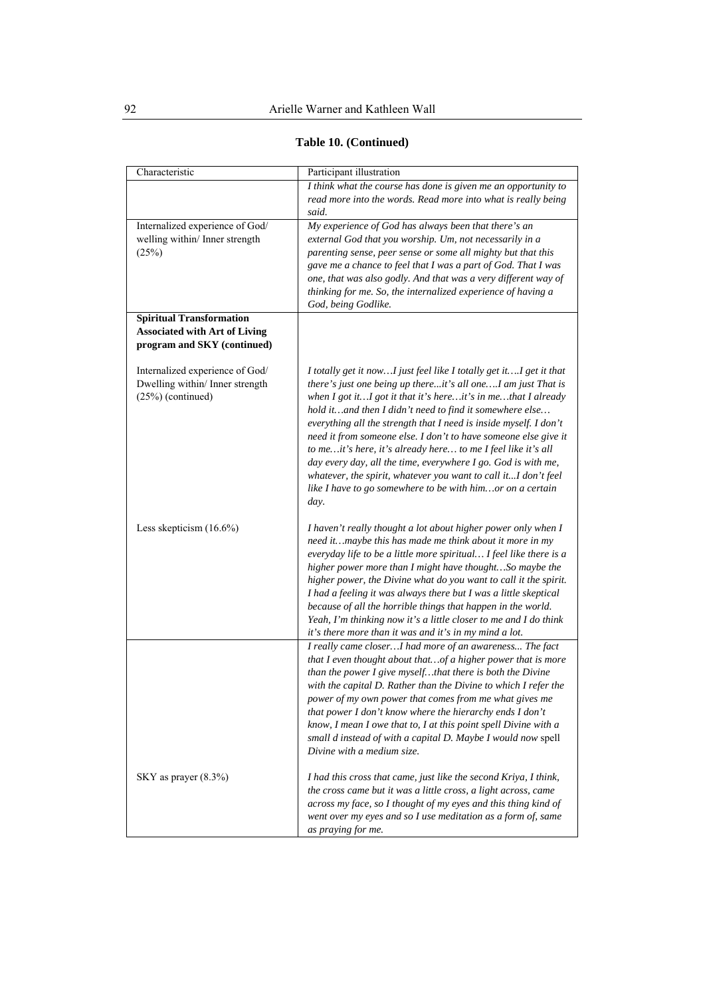| Table 10. (Continued) |  |  |
|-----------------------|--|--|
|-----------------------|--|--|

| Characteristic                                                                                         | Participant illustration                                                                                                                                                                                                                                                                                                                                                                                                                                                                                                                                                                                                                                                               |
|--------------------------------------------------------------------------------------------------------|----------------------------------------------------------------------------------------------------------------------------------------------------------------------------------------------------------------------------------------------------------------------------------------------------------------------------------------------------------------------------------------------------------------------------------------------------------------------------------------------------------------------------------------------------------------------------------------------------------------------------------------------------------------------------------------|
|                                                                                                        | I think what the course has done is given me an opportunity to<br>read more into the words. Read more into what is really being                                                                                                                                                                                                                                                                                                                                                                                                                                                                                                                                                        |
| Internalized experience of God/<br>welling within/ Inner strength<br>(25%)                             | said.<br>My experience of God has always been that there's an<br>external God that you worship. Um, not necessarily in a<br>parenting sense, peer sense or some all mighty but that this<br>gave me a chance to feel that I was a part of God. That I was<br>one, that was also godly. And that was a very different way of<br>thinking for me. So, the internalized experience of having a<br>God, being Godlike.                                                                                                                                                                                                                                                                     |
| <b>Spiritual Transformation</b><br><b>Associated with Art of Living</b><br>program and SKY (continued) |                                                                                                                                                                                                                                                                                                                                                                                                                                                                                                                                                                                                                                                                                        |
| Internalized experience of God/<br>Dwelling within/ Inner strength<br>$(25%)$ (continued)              | I totally get it nowI just feel like I totally get itI get it that<br>there's just one being up thereit's all oneI am just That is<br>when $I$ got it $I$ got it that it's hereit's in methat $I$ already<br>hold it and then I didn't need to find it somewhere else<br>everything all the strength that I need is inside myself. I don't<br>need it from someone else. I don't to have someone else give it<br>to me it's here, it's already here to me I feel like it's all<br>day every day, all the time, everywhere I go. God is with me,<br>whatever, the spirit, whatever you want to call itI don't feel<br>like I have to go somewhere to be with himor on a certain<br>day. |
| Less skepticism (16.6%)                                                                                | I haven't really thought a lot about higher power only when I<br>need itmaybe this has made me think about it more in my<br>everyday life to be a little more spiritual I feel like there is a<br>higher power more than I might have thoughtSo maybe the<br>higher power, the Divine what do you want to call it the spirit.<br>I had a feeling it was always there but I was a little skeptical<br>because of all the horrible things that happen in the world.<br>Yeah, I'm thinking now it's a little closer to me and I do think<br>it's there more than it was and it's in my mind a lot.                                                                                        |
|                                                                                                        | I really came closerI had more of an awareness The fact<br>that I even thought about that of a higher power that is more<br>than the power I give myselfthat there is both the Divine<br>with the capital D. Rather than the Divine to which I refer the<br>power of my own power that comes from me what gives me<br>that power I don't know where the hierarchy ends I don't<br>know, I mean I owe that to, I at this point spell Divine with a<br>small d instead of with a capital D. Maybe I would now spell<br>Divine with a medium size.                                                                                                                                        |
| SKY as prayer $(8.3\%)$                                                                                | I had this cross that came, just like the second Kriya, I think,<br>the cross came but it was a little cross, a light across, came<br>across my face, so I thought of my eyes and this thing kind of<br>went over my eyes and so I use meditation as a form of, same<br>as praying for me.                                                                                                                                                                                                                                                                                                                                                                                             |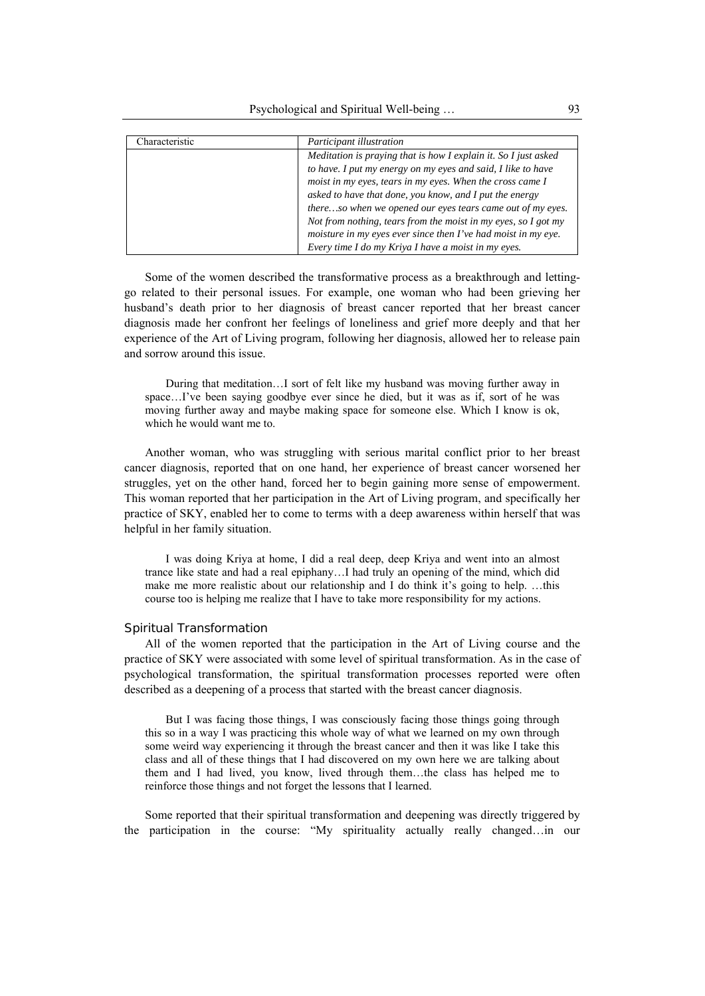| Characteristic | Participant illustration                                        |
|----------------|-----------------------------------------------------------------|
|                | Meditation is praying that is how I explain it. So I just asked |
|                | to have. I put my energy on my eyes and said, I like to have    |
|                | moist in my eyes, tears in my eyes. When the cross came I       |
|                | asked to have that done, you know, and I put the energy         |
|                | thereso when we opened our eyes tears came out of my eyes.      |
|                | Not from nothing, tears from the moist in my eyes, so I got my  |
|                | moisture in my eyes ever since then I've had moist in my eye.   |
|                | Every time I do my Kriya I have a moist in my eyes.             |

Some of the women described the transformative process as a breakthrough and lettinggo related to their personal issues. For example, one woman who had been grieving her husband's death prior to her diagnosis of breast cancer reported that her breast cancer diagnosis made her confront her feelings of loneliness and grief more deeply and that her experience of the Art of Living program, following her diagnosis, allowed her to release pain and sorrow around this issue.

During that meditation…I sort of felt like my husband was moving further away in space…I've been saying goodbye ever since he died, but it was as if, sort of he was moving further away and maybe making space for someone else. Which I know is ok, which he would want me to.

Another woman, who was struggling with serious marital conflict prior to her breast cancer diagnosis, reported that on one hand, her experience of breast cancer worsened her struggles, yet on the other hand, forced her to begin gaining more sense of empowerment. This woman reported that her participation in the Art of Living program, and specifically her practice of SKY, enabled her to come to terms with a deep awareness within herself that was helpful in her family situation.

I was doing Kriya at home, I did a real deep, deep Kriya and went into an almost trance like state and had a real epiphany…I had truly an opening of the mind, which did make me more realistic about our relationship and I do think it's going to help. …this course too is helping me realize that I have to take more responsibility for my actions.

## *Spiritual Transformation*

All of the women reported that the participation in the Art of Living course and the practice of SKY were associated with some level of spiritual transformation. As in the case of psychological transformation, the spiritual transformation processes reported were often described as a deepening of a process that started with the breast cancer diagnosis.

But I was facing those things, I was consciously facing those things going through this so in a way I was practicing this whole way of what we learned on my own through some weird way experiencing it through the breast cancer and then it was like I take this class and all of these things that I had discovered on my own here we are talking about them and I had lived, you know, lived through them…the class has helped me to reinforce those things and not forget the lessons that I learned.

Some reported that their spiritual transformation and deepening was directly triggered by the participation in the course: "My spirituality actually really changed…in our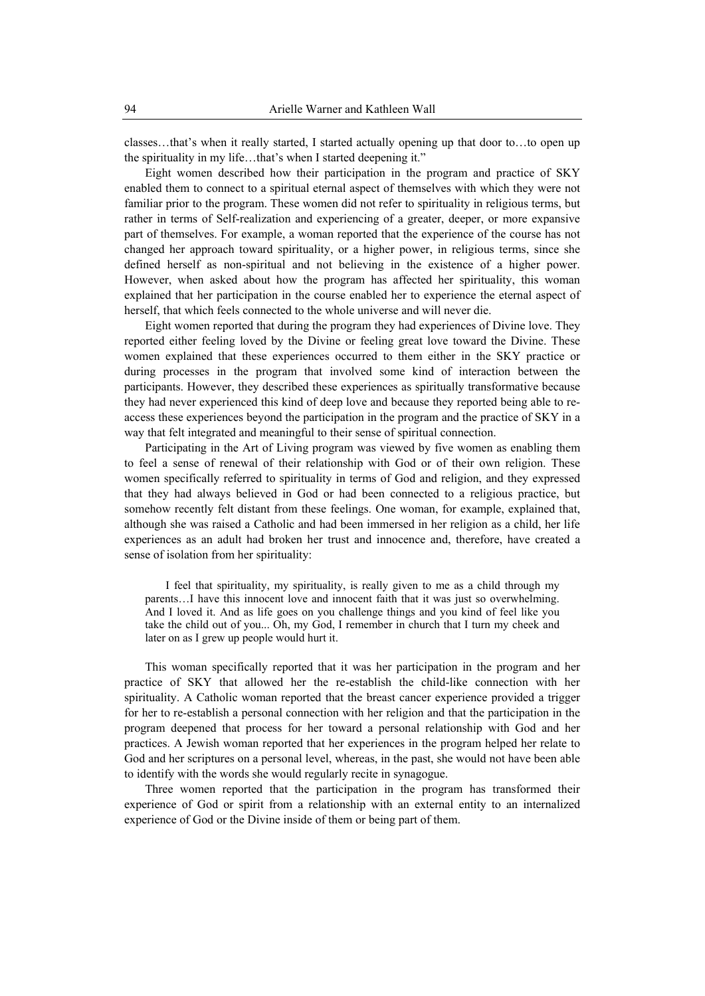classes…that's when it really started, I started actually opening up that door to…to open up the spirituality in my life…that's when I started deepening it."

Eight women described how their participation in the program and practice of SKY enabled them to connect to a spiritual eternal aspect of themselves with which they were not familiar prior to the program. These women did not refer to spirituality in religious terms, but rather in terms of Self-realization and experiencing of a greater, deeper, or more expansive part of themselves. For example, a woman reported that the experience of the course has not changed her approach toward spirituality, or a higher power, in religious terms, since she defined herself as non-spiritual and not believing in the existence of a higher power. However, when asked about how the program has affected her spirituality, this woman explained that her participation in the course enabled her to experience the eternal aspect of herself, that which feels connected to the whole universe and will never die.

Eight women reported that during the program they had experiences of Divine love. They reported either feeling loved by the Divine or feeling great love toward the Divine. These women explained that these experiences occurred to them either in the SKY practice or during processes in the program that involved some kind of interaction between the participants. However, they described these experiences as spiritually transformative because they had never experienced this kind of deep love and because they reported being able to reaccess these experiences beyond the participation in the program and the practice of SKY in a way that felt integrated and meaningful to their sense of spiritual connection.

Participating in the Art of Living program was viewed by five women as enabling them to feel a sense of renewal of their relationship with God or of their own religion. These women specifically referred to spirituality in terms of God and religion, and they expressed that they had always believed in God or had been connected to a religious practice, but somehow recently felt distant from these feelings. One woman, for example, explained that, although she was raised a Catholic and had been immersed in her religion as a child, her life experiences as an adult had broken her trust and innocence and, therefore, have created a sense of isolation from her spirituality:

I feel that spirituality, my spirituality, is really given to me as a child through my parents…I have this innocent love and innocent faith that it was just so overwhelming. And I loved it. And as life goes on you challenge things and you kind of feel like you take the child out of you... Oh, my God, I remember in church that I turn my cheek and later on as I grew up people would hurt it.

This woman specifically reported that it was her participation in the program and her practice of SKY that allowed her the re-establish the child-like connection with her spirituality. A Catholic woman reported that the breast cancer experience provided a trigger for her to re-establish a personal connection with her religion and that the participation in the program deepened that process for her toward a personal relationship with God and her practices. A Jewish woman reported that her experiences in the program helped her relate to God and her scriptures on a personal level, whereas, in the past, she would not have been able to identify with the words she would regularly recite in synagogue.

Three women reported that the participation in the program has transformed their experience of God or spirit from a relationship with an external entity to an internalized experience of God or the Divine inside of them or being part of them.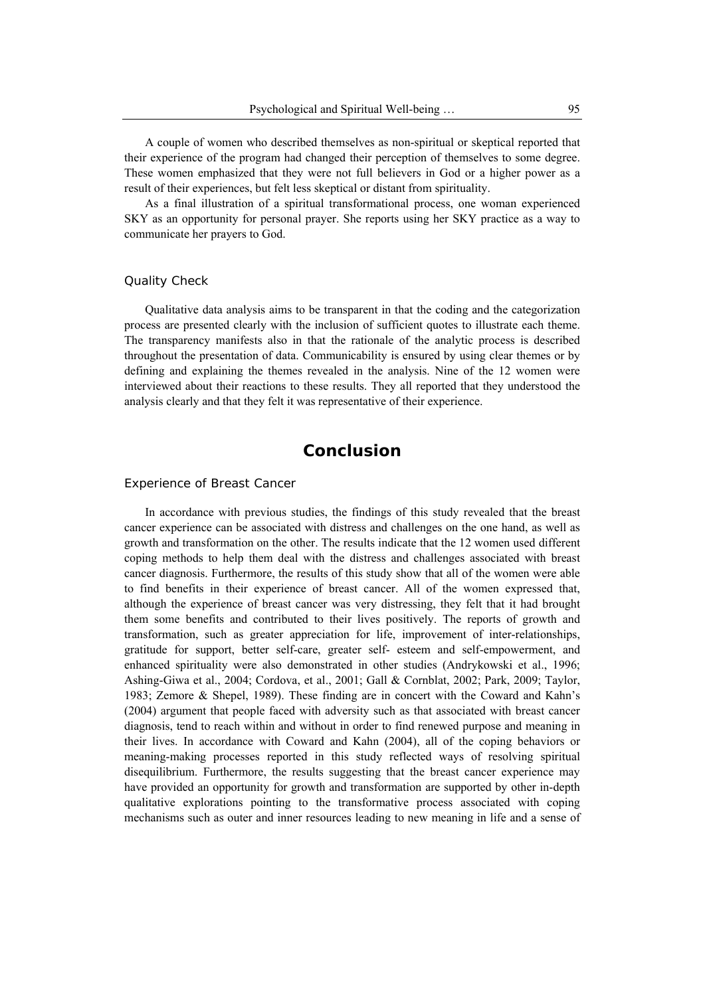A couple of women who described themselves as non-spiritual or skeptical reported that their experience of the program had changed their perception of themselves to some degree. These women emphasized that they were not full believers in God or a higher power as a result of their experiences, but felt less skeptical or distant from spirituality.

As a final illustration of a spiritual transformational process, one woman experienced SKY as an opportunity for personal prayer. She reports using her SKY practice as a way to communicate her prayers to God.

### Quality Check

Qualitative data analysis aims to be transparent in that the coding and the categorization process are presented clearly with the inclusion of sufficient quotes to illustrate each theme. The transparency manifests also in that the rationale of the analytic process is described throughout the presentation of data. Communicability is ensured by using clear themes or by defining and explaining the themes revealed in the analysis. Nine of the 12 women were interviewed about their reactions to these results. They all reported that they understood the analysis clearly and that they felt it was representative of their experience.

# **Conclusion**

#### Experience of Breast Cancer

In accordance with previous studies, the findings of this study revealed that the breast cancer experience can be associated with distress and challenges on the one hand, as well as growth and transformation on the other. The results indicate that the 12 women used different coping methods to help them deal with the distress and challenges associated with breast cancer diagnosis. Furthermore, the results of this study show that all of the women were able to find benefits in their experience of breast cancer. All of the women expressed that, although the experience of breast cancer was very distressing, they felt that it had brought them some benefits and contributed to their lives positively. The reports of growth and transformation, such as greater appreciation for life, improvement of inter-relationships, gratitude for support, better self-care, greater self- esteem and self-empowerment, and enhanced spirituality were also demonstrated in other studies (Andrykowski et al., 1996; Ashing-Giwa et al., 2004; Cordova, et al., 2001; Gall & Cornblat, 2002; Park, 2009; Taylor, 1983; Zemore & Shepel, 1989). These finding are in concert with the Coward and Kahn's (2004) argument that people faced with adversity such as that associated with breast cancer diagnosis, tend to reach within and without in order to find renewed purpose and meaning in their lives. In accordance with Coward and Kahn (2004), all of the coping behaviors or meaning-making processes reported in this study reflected ways of resolving spiritual disequilibrium. Furthermore, the results suggesting that the breast cancer experience may have provided an opportunity for growth and transformation are supported by other in-depth qualitative explorations pointing to the transformative process associated with coping mechanisms such as outer and inner resources leading to new meaning in life and a sense of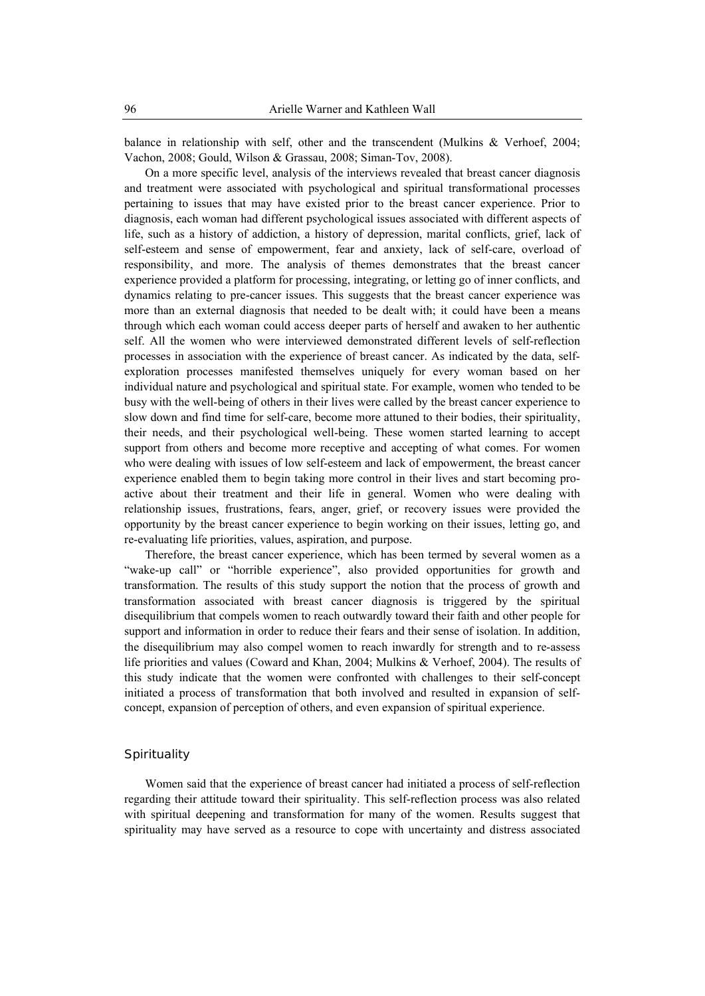balance in relationship with self, other and the transcendent (Mulkins & Verhoef, 2004; Vachon, 2008; Gould, Wilson & Grassau, 2008; Siman-Tov, 2008).

On a more specific level, analysis of the interviews revealed that breast cancer diagnosis and treatment were associated with psychological and spiritual transformational processes pertaining to issues that may have existed prior to the breast cancer experience. Prior to diagnosis, each woman had different psychological issues associated with different aspects of life, such as a history of addiction, a history of depression, marital conflicts, grief, lack of self-esteem and sense of empowerment, fear and anxiety, lack of self-care, overload of responsibility, and more. The analysis of themes demonstrates that the breast cancer experience provided a platform for processing, integrating, or letting go of inner conflicts, and dynamics relating to pre-cancer issues. This suggests that the breast cancer experience was more than an external diagnosis that needed to be dealt with; it could have been a means through which each woman could access deeper parts of herself and awaken to her authentic self. All the women who were interviewed demonstrated different levels of self-reflection processes in association with the experience of breast cancer. As indicated by the data, selfexploration processes manifested themselves uniquely for every woman based on her individual nature and psychological and spiritual state. For example, women who tended to be busy with the well-being of others in their lives were called by the breast cancer experience to slow down and find time for self-care, become more attuned to their bodies, their spirituality, their needs, and their psychological well-being. These women started learning to accept support from others and become more receptive and accepting of what comes. For women who were dealing with issues of low self-esteem and lack of empowerment, the breast cancer experience enabled them to begin taking more control in their lives and start becoming proactive about their treatment and their life in general. Women who were dealing with relationship issues, frustrations, fears, anger, grief, or recovery issues were provided the opportunity by the breast cancer experience to begin working on their issues, letting go, and re-evaluating life priorities, values, aspiration, and purpose.

Therefore, the breast cancer experience, which has been termed by several women as a "wake-up call" or "horrible experience", also provided opportunities for growth and transformation. The results of this study support the notion that the process of growth and transformation associated with breast cancer diagnosis is triggered by the spiritual disequilibrium that compels women to reach outwardly toward their faith and other people for support and information in order to reduce their fears and their sense of isolation. In addition, the disequilibrium may also compel women to reach inwardly for strength and to re-assess life priorities and values (Coward and Khan, 2004; Mulkins & Verhoef, 2004). The results of this study indicate that the women were confronted with challenges to their self-concept initiated a process of transformation that both involved and resulted in expansion of selfconcept, expansion of perception of others, and even expansion of spiritual experience.

## **Spirituality**

Women said that the experience of breast cancer had initiated a process of self-reflection regarding their attitude toward their spirituality. This self-reflection process was also related with spiritual deepening and transformation for many of the women. Results suggest that spirituality may have served as a resource to cope with uncertainty and distress associated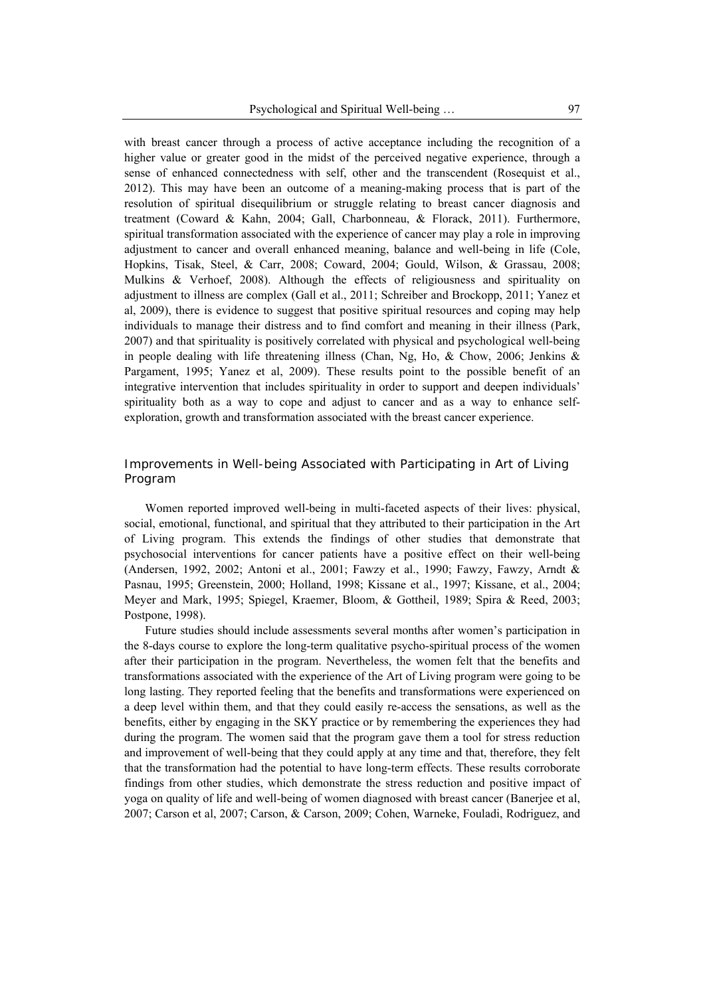with breast cancer through a process of active acceptance including the recognition of a higher value or greater good in the midst of the perceived negative experience, through a sense of enhanced connectedness with self, other and the transcendent (Rosequist et al., 2012). This may have been an outcome of a meaning-making process that is part of the resolution of spiritual disequilibrium or struggle relating to breast cancer diagnosis and treatment (Coward & Kahn, 2004; Gall, Charbonneau, & Florack, 2011). Furthermore, spiritual transformation associated with the experience of cancer may play a role in improving adjustment to cancer and overall enhanced meaning, balance and well-being in life (Cole, Hopkins, Tisak, Steel, & Carr, 2008; Coward, 2004; Gould, Wilson, & Grassau, 2008; Mulkins & Verhoef, 2008). Although the effects of religiousness and spirituality on adjustment to illness are complex (Gall et al., 2011; Schreiber and Brockopp, 2011; Yanez et al, 2009), there is evidence to suggest that positive spiritual resources and coping may help individuals to manage their distress and to find comfort and meaning in their illness (Park, 2007) and that spirituality is positively correlated with physical and psychological well-being in people dealing with life threatening illness (Chan, Ng, Ho, & Chow, 2006; Jenkins & Pargament, 1995; Yanez et al, 2009). These results point to the possible benefit of an integrative intervention that includes spirituality in order to support and deepen individuals' spirituality both as a way to cope and adjust to cancer and as a way to enhance selfexploration, growth and transformation associated with the breast cancer experience.

## Improvements in Well-being Associated with Participating in Art of Living Program

Women reported improved well-being in multi-faceted aspects of their lives: physical, social, emotional, functional, and spiritual that they attributed to their participation in the Art of Living program. This extends the findings of other studies that demonstrate that psychosocial interventions for cancer patients have a positive effect on their well-being (Andersen, 1992, 2002; Antoni et al., 2001; Fawzy et al., 1990; Fawzy, Fawzy, Arndt & Pasnau, 1995; Greenstein, 2000; Holland, 1998; Kissane et al., 1997; Kissane, et al., 2004; Meyer and Mark, 1995; Spiegel, Kraemer, Bloom, & Gottheil, 1989; Spira & Reed, 2003; Postpone, 1998).

Future studies should include assessments several months after women's participation in the 8-days course to explore the long-term qualitative psycho-spiritual process of the women after their participation in the program. Nevertheless, the women felt that the benefits and transformations associated with the experience of the Art of Living program were going to be long lasting. They reported feeling that the benefits and transformations were experienced on a deep level within them, and that they could easily re-access the sensations, as well as the benefits, either by engaging in the SKY practice or by remembering the experiences they had during the program. The women said that the program gave them a tool for stress reduction and improvement of well-being that they could apply at any time and that, therefore, they felt that the transformation had the potential to have long-term effects. These results corroborate findings from other studies, which demonstrate the stress reduction and positive impact of yoga on quality of life and well-being of women diagnosed with breast cancer (Banerjee et al, 2007; Carson et al, 2007; Carson, & Carson, 2009; Cohen, Warneke, Fouladi, Rodriguez, and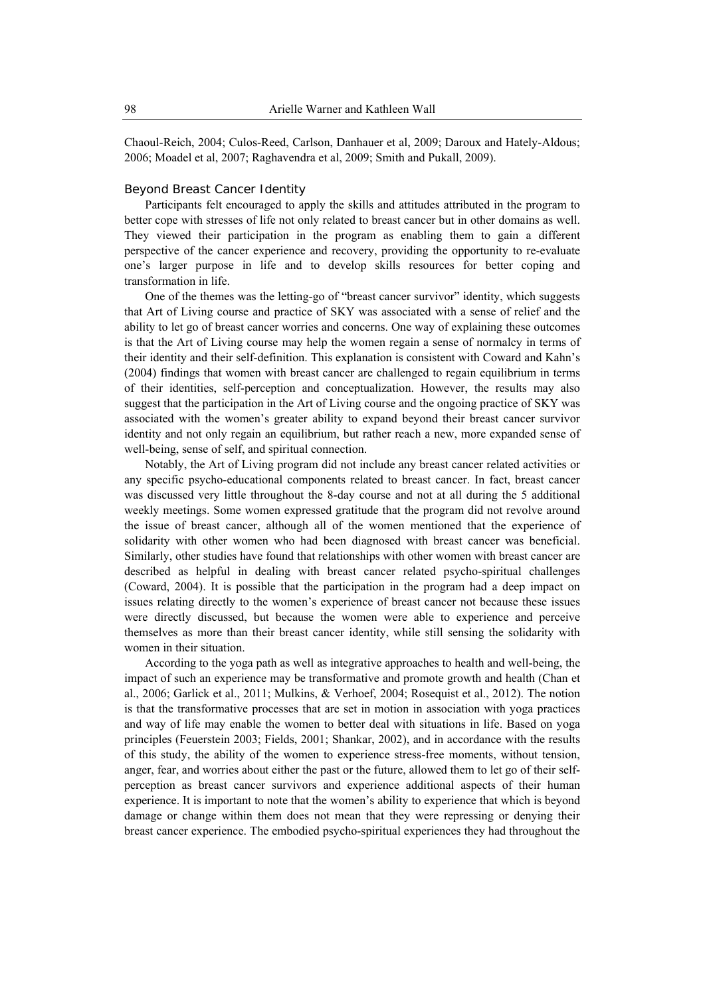Chaoul-Reich, 2004; Culos-Reed, Carlson, Danhauer et al, 2009; Daroux and Hately-Aldous; 2006; Moadel et al, 2007; Raghavendra et al, 2009; Smith and Pukall, 2009).

#### *Beyond Breast Cancer Identity*

Participants felt encouraged to apply the skills and attitudes attributed in the program to better cope with stresses of life not only related to breast cancer but in other domains as well. They viewed their participation in the program as enabling them to gain a different perspective of the cancer experience and recovery, providing the opportunity to re-evaluate one's larger purpose in life and to develop skills resources for better coping and transformation in life.

One of the themes was the letting-go of "breast cancer survivor" identity, which suggests that Art of Living course and practice of SKY was associated with a sense of relief and the ability to let go of breast cancer worries and concerns. One way of explaining these outcomes is that the Art of Living course may help the women regain a sense of normalcy in terms of their identity and their self-definition. This explanation is consistent with Coward and Kahn's (2004) findings that women with breast cancer are challenged to regain equilibrium in terms of their identities, self-perception and conceptualization. However, the results may also suggest that the participation in the Art of Living course and the ongoing practice of SKY was associated with the women's greater ability to expand beyond their breast cancer survivor identity and not only regain an equilibrium, but rather reach a new, more expanded sense of well-being, sense of self, and spiritual connection.

Notably, the Art of Living program did not include any breast cancer related activities or any specific psycho-educational components related to breast cancer. In fact, breast cancer was discussed very little throughout the 8-day course and not at all during the 5 additional weekly meetings. Some women expressed gratitude that the program did not revolve around the issue of breast cancer, although all of the women mentioned that the experience of solidarity with other women who had been diagnosed with breast cancer was beneficial. Similarly, other studies have found that relationships with other women with breast cancer are described as helpful in dealing with breast cancer related psycho-spiritual challenges (Coward, 2004). It is possible that the participation in the program had a deep impact on issues relating directly to the women's experience of breast cancer not because these issues were directly discussed, but because the women were able to experience and perceive themselves as more than their breast cancer identity, while still sensing the solidarity with women in their situation.

According to the yoga path as well as integrative approaches to health and well-being, the impact of such an experience may be transformative and promote growth and health (Chan et al., 2006; Garlick et al., 2011; Mulkins, & Verhoef, 2004; Rosequist et al., 2012). The notion is that the transformative processes that are set in motion in association with yoga practices and way of life may enable the women to better deal with situations in life. Based on yoga principles (Feuerstein 2003; Fields, 2001; Shankar, 2002), and in accordance with the results of this study, the ability of the women to experience stress-free moments, without tension, anger, fear, and worries about either the past or the future, allowed them to let go of their selfperception as breast cancer survivors and experience additional aspects of their human experience. It is important to note that the women's ability to experience that which is beyond damage or change within them does not mean that they were repressing or denying their breast cancer experience. The embodied psycho-spiritual experiences they had throughout the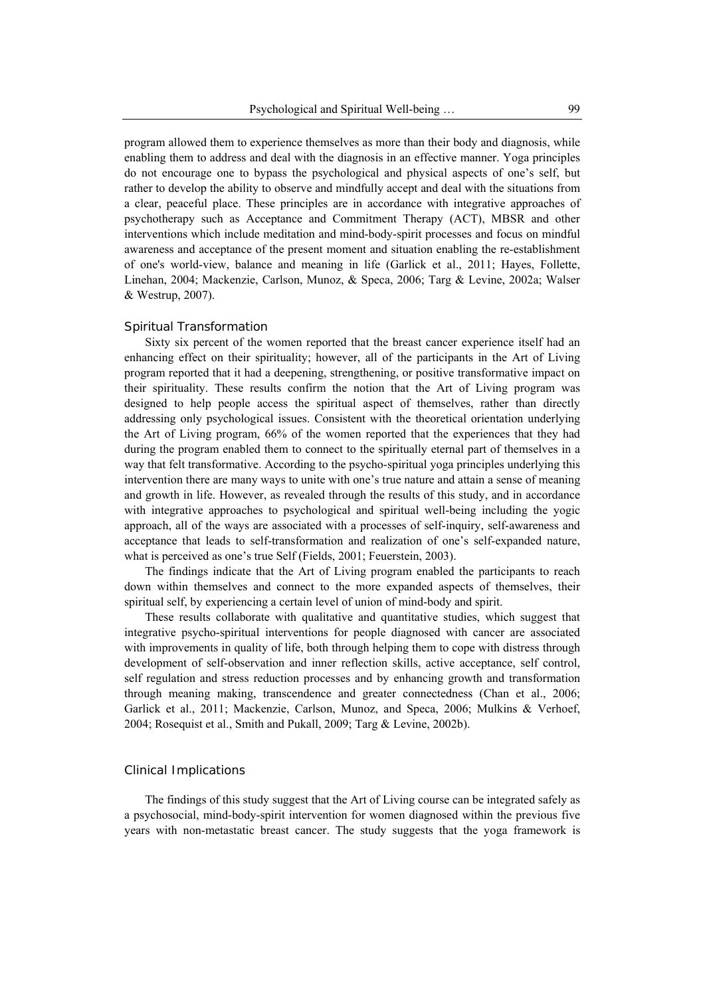program allowed them to experience themselves as more than their body and diagnosis, while enabling them to address and deal with the diagnosis in an effective manner. Yoga principles do not encourage one to bypass the psychological and physical aspects of one's self, but rather to develop the ability to observe and mindfully accept and deal with the situations from a clear, peaceful place. These principles are in accordance with integrative approaches of psychotherapy such as Acceptance and Commitment Therapy (ACT), MBSR and other interventions which include meditation and mind-body-spirit processes and focus on mindful awareness and acceptance of the present moment and situation enabling the re-establishment of one's world-view, balance and meaning in life (Garlick et al., 2011; Hayes, Follette, Linehan, 2004; Mackenzie, Carlson, Munoz, & Speca, 2006; Targ & Levine, 2002a; Walser & Westrup, 2007).

#### *Spiritual Transformation*

Sixty six percent of the women reported that the breast cancer experience itself had an enhancing effect on their spirituality; however, all of the participants in the Art of Living program reported that it had a deepening, strengthening, or positive transformative impact on their spirituality. These results confirm the notion that the Art of Living program was designed to help people access the spiritual aspect of themselves, rather than directly addressing only psychological issues. Consistent with the theoretical orientation underlying the Art of Living program, 66% of the women reported that the experiences that they had during the program enabled them to connect to the spiritually eternal part of themselves in a way that felt transformative. According to the psycho-spiritual yoga principles underlying this intervention there are many ways to unite with one's true nature and attain a sense of meaning and growth in life. However, as revealed through the results of this study, and in accordance with integrative approaches to psychological and spiritual well-being including the yogic approach, all of the ways are associated with a processes of self-inquiry, self-awareness and acceptance that leads to self-transformation and realization of one's self-expanded nature, what is perceived as one's true Self (Fields, 2001; Feuerstein, 2003).

The findings indicate that the Art of Living program enabled the participants to reach down within themselves and connect to the more expanded aspects of themselves, their spiritual self, by experiencing a certain level of union of mind-body and spirit.

These results collaborate with qualitative and quantitative studies, which suggest that integrative psycho-spiritual interventions for people diagnosed with cancer are associated with improvements in quality of life, both through helping them to cope with distress through development of self-observation and inner reflection skills, active acceptance, self control, self regulation and stress reduction processes and by enhancing growth and transformation through meaning making, transcendence and greater connectedness (Chan et al., 2006; Garlick et al., 2011; Mackenzie, Carlson, Munoz, and Speca, 2006; Mulkins & Verhoef, 2004; Rosequist et al., Smith and Pukall, 2009; Targ & Levine, 2002b).

### Clinical Implications

The findings of this study suggest that the Art of Living course can be integrated safely as a psychosocial, mind-body-spirit intervention for women diagnosed within the previous five years with non-metastatic breast cancer. The study suggests that the yoga framework is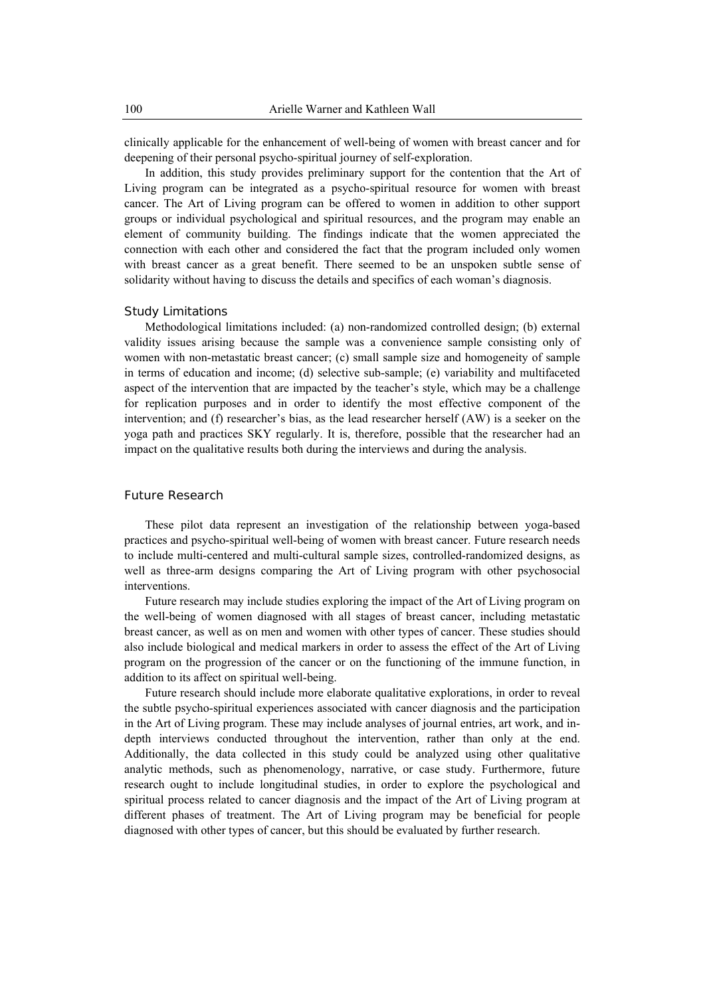clinically applicable for the enhancement of well-being of women with breast cancer and for deepening of their personal psycho-spiritual journey of self-exploration.

In addition, this study provides preliminary support for the contention that the Art of Living program can be integrated as a psycho-spiritual resource for women with breast cancer. The Art of Living program can be offered to women in addition to other support groups or individual psychological and spiritual resources, and the program may enable an element of community building. The findings indicate that the women appreciated the connection with each other and considered the fact that the program included only women with breast cancer as a great benefit. There seemed to be an unspoken subtle sense of solidarity without having to discuss the details and specifics of each woman's diagnosis.

#### *Study Limitations*

Methodological limitations included: (a) non-randomized controlled design; (b) external validity issues arising because the sample was a convenience sample consisting only of women with non-metastatic breast cancer; (c) small sample size and homogeneity of sample in terms of education and income; (d) selective sub-sample; (e) variability and multifaceted aspect of the intervention that are impacted by the teacher's style, which may be a challenge for replication purposes and in order to identify the most effective component of the intervention; and (f) researcher's bias, as the lead researcher herself (AW) is a seeker on the yoga path and practices SKY regularly. It is, therefore, possible that the researcher had an impact on the qualitative results both during the interviews and during the analysis.

## Future Research

These pilot data represent an investigation of the relationship between yoga-based practices and psycho-spiritual well-being of women with breast cancer. Future research needs to include multi-centered and multi-cultural sample sizes, controlled-randomized designs, as well as three-arm designs comparing the Art of Living program with other psychosocial interventions.

Future research may include studies exploring the impact of the Art of Living program on the well-being of women diagnosed with all stages of breast cancer, including metastatic breast cancer, as well as on men and women with other types of cancer. These studies should also include biological and medical markers in order to assess the effect of the Art of Living program on the progression of the cancer or on the functioning of the immune function, in addition to its affect on spiritual well-being.

Future research should include more elaborate qualitative explorations, in order to reveal the subtle psycho-spiritual experiences associated with cancer diagnosis and the participation in the Art of Living program. These may include analyses of journal entries, art work, and indepth interviews conducted throughout the intervention, rather than only at the end. Additionally, the data collected in this study could be analyzed using other qualitative analytic methods, such as phenomenology, narrative, or case study. Furthermore, future research ought to include longitudinal studies, in order to explore the psychological and spiritual process related to cancer diagnosis and the impact of the Art of Living program at different phases of treatment. The Art of Living program may be beneficial for people diagnosed with other types of cancer, but this should be evaluated by further research.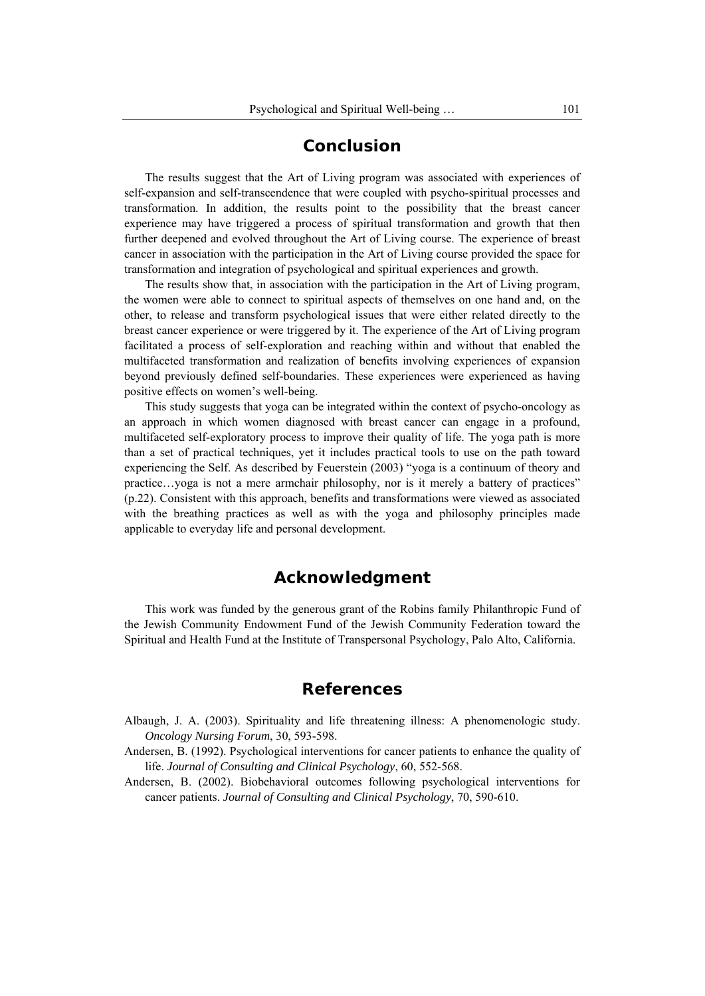# **Conclusion**

The results suggest that the Art of Living program was associated with experiences of self-expansion and self-transcendence that were coupled with psycho-spiritual processes and transformation. In addition, the results point to the possibility that the breast cancer experience may have triggered a process of spiritual transformation and growth that then further deepened and evolved throughout the Art of Living course. The experience of breast cancer in association with the participation in the Art of Living course provided the space for transformation and integration of psychological and spiritual experiences and growth.

The results show that, in association with the participation in the Art of Living program, the women were able to connect to spiritual aspects of themselves on one hand and, on the other, to release and transform psychological issues that were either related directly to the breast cancer experience or were triggered by it. The experience of the Art of Living program facilitated a process of self-exploration and reaching within and without that enabled the multifaceted transformation and realization of benefits involving experiences of expansion beyond previously defined self-boundaries. These experiences were experienced as having positive effects on women's well-being.

This study suggests that yoga can be integrated within the context of psycho-oncology as an approach in which women diagnosed with breast cancer can engage in a profound, multifaceted self-exploratory process to improve their quality of life. The yoga path is more than a set of practical techniques, yet it includes practical tools to use on the path toward experiencing the Self. As described by Feuerstein (2003) "yoga is a continuum of theory and practice…yoga is not a mere armchair philosophy, nor is it merely a battery of practices" (p.22). Consistent with this approach, benefits and transformations were viewed as associated with the breathing practices as well as with the yoga and philosophy principles made applicable to everyday life and personal development.

# **Acknowledgment**

This work was funded by the generous grant of the Robins family Philanthropic Fund of the Jewish Community Endowment Fund of the Jewish Community Federation toward the Spiritual and Health Fund at the Institute of Transpersonal Psychology, Palo Alto, California.

# **References**

- Albaugh, J. A. (2003). Spirituality and life threatening illness: A phenomenologic study. *Oncology Nursing Forum*, 30, 593-598.
- Andersen, B. (1992). Psychological interventions for cancer patients to enhance the quality of life. *Journal of Consulting and Clinical Psychology*, 60, 552-568.
- Andersen, B. (2002). Biobehavioral outcomes following psychological interventions for cancer patients. *Journal of Consulting and Clinical Psychology*, 70, 590-610.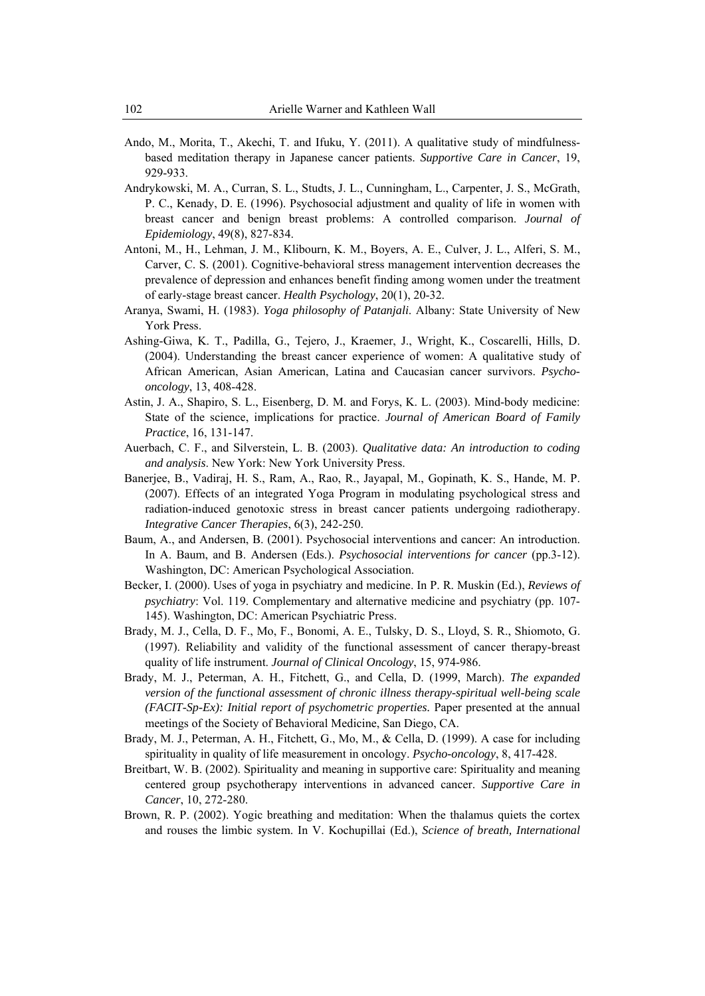- Ando, M., Morita, T., Akechi, T. and Ifuku, Y. (2011). A qualitative study of mindfulnessbased meditation therapy in Japanese cancer patients. *Supportive Care in Cancer*, 19, 929-933.
- Andrykowski, M. A., Curran, S. L., Studts, J. L., Cunningham, L., Carpenter, J. S., McGrath, P. C., Kenady, D. E. (1996). Psychosocial adjustment and quality of life in women with breast cancer and benign breast problems: A controlled comparison. *Journal of Epidemiology*, 49(8), 827-834.
- Antoni, M., H., Lehman, J. M., Klibourn, K. M., Boyers, A. E., Culver, J. L., Alferi, S. M., Carver, C. S. (2001). Cognitive-behavioral stress management intervention decreases the prevalence of depression and enhances benefit finding among women under the treatment of early-stage breast cancer. *Health Psychology*, 20(1), 20-32.
- Aranya, Swami, H. (1983). *Yoga philosophy of Patanjali*. Albany: State University of New York Press.
- Ashing-Giwa, K. T., Padilla, G., Tejero, J., Kraemer, J., Wright, K., Coscarelli, Hills, D. (2004). Understanding the breast cancer experience of women: A qualitative study of African American, Asian American, Latina and Caucasian cancer survivors. *Psychooncology*, 13, 408-428.
- Astin, J. A., Shapiro, S. L., Eisenberg, D. M. and Forys, K. L. (2003). Mind-body medicine: State of the science, implications for practice. *Journal of American Board of Family Practice*, 16, 131-147.
- Auerbach, C. F., and Silverstein, L. B. (2003). *Qualitative data: An introduction to coding and analysis*. New York: New York University Press.
- Banerjee, B., Vadiraj, H. S., Ram, A., Rao, R., Jayapal, M., Gopinath, K. S., Hande, M. P. (2007). Effects of an integrated Yoga Program in modulating psychological stress and radiation-induced genotoxic stress in breast cancer patients undergoing radiotherapy. *Integrative Cancer Therapies*, 6(3), 242-250.
- Baum, A., and Andersen, B. (2001). Psychosocial interventions and cancer: An introduction. In A. Baum, and B. Andersen (Eds.). *Psychosocial interventions for cancer* (pp.3-12). Washington, DC: American Psychological Association.
- Becker, I. (2000). Uses of yoga in psychiatry and medicine. In P. R. Muskin (Ed.), *Reviews of psychiatry*: Vol. 119. Complementary and alternative medicine and psychiatry (pp. 107- 145). Washington, DC: American Psychiatric Press.
- Brady, M. J., Cella, D. F., Mo, F., Bonomi, A. E., Tulsky, D. S., Lloyd, S. R., Shiomoto, G. (1997). Reliability and validity of the functional assessment of cancer therapy-breast quality of life instrument. *Journal of Clinical Oncology*, 15, 974-986.
- Brady, M. J., Peterman, A. H., Fitchett, G., and Cella, D. (1999, March). *The expanded version of the functional assessment of chronic illness therapy-spiritual well-being scale (FACIT-Sp-Ex): Initial report of psychometric properties.* Paper presented at the annual meetings of the Society of Behavioral Medicine, San Diego, CA.
- Brady, M. J., Peterman, A. H., Fitchett, G., Mo, M., & Cella, D. (1999). A case for including spirituality in quality of life measurement in oncology. *Psycho-oncology*, 8, 417-428.
- Breitbart, W. B. (2002). Spirituality and meaning in supportive care: Spirituality and meaning centered group psychotherapy interventions in advanced cancer. *Supportive Care in Cancer*, 10, 272-280.
- Brown, R. P. (2002). Yogic breathing and meditation: When the thalamus quiets the cortex and rouses the limbic system. In V. Kochupillai (Ed.), *Science of breath, International*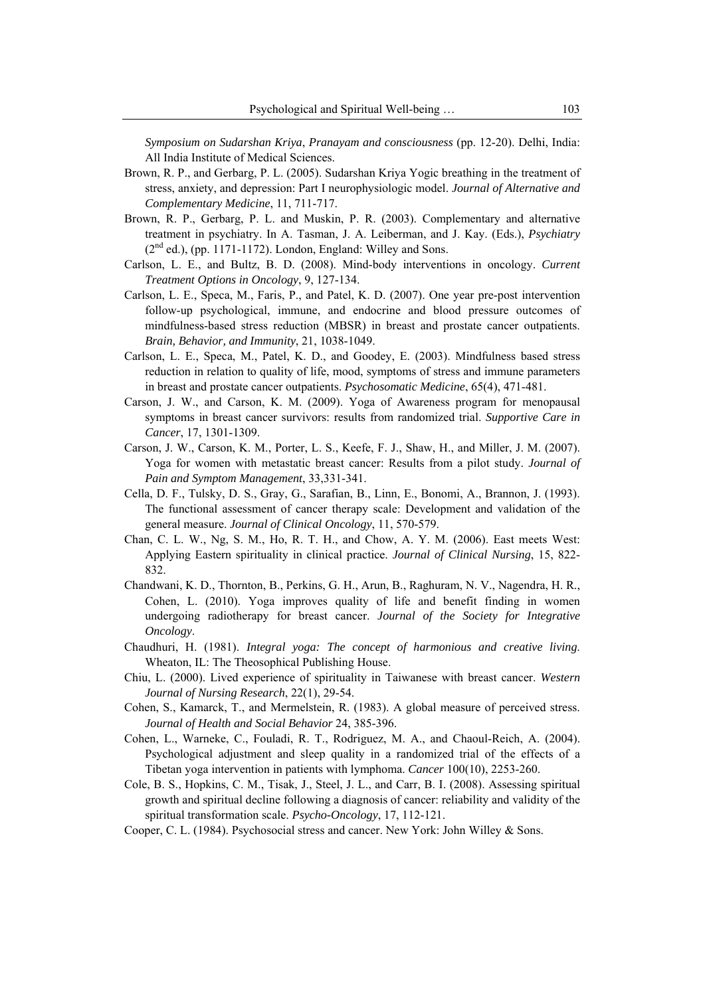*Symposium on Sudarshan Kriya*, *Pranayam and consciousness* (pp. 12-20). Delhi, India: All India Institute of Medical Sciences.

- Brown, R. P., and Gerbarg, P. L. (2005). Sudarshan Kriya Yogic breathing in the treatment of stress, anxiety, and depression: Part I neurophysiologic model. *Journal of Alternative and Complementary Medicine*, 11, 711-717.
- Brown, R. P., Gerbarg, P. L. and Muskin, P. R. (2003). Complementary and alternative treatment in psychiatry. In A. Tasman, J. A. Leiberman, and J. Kay. (Eds.), *Psychiatry*  $(2<sup>nd</sup>$  ed.), (pp. 1171-1172). London, England: Willey and Sons.
- Carlson, L. E., and Bultz, B. D. (2008). Mind-body interventions in oncology. *Current Treatment Options in Oncology*, 9, 127-134.
- Carlson, L. E., Speca, M., Faris, P., and Patel, K. D. (2007). One year pre-post intervention follow-up psychological, immune, and endocrine and blood pressure outcomes of mindfulness-based stress reduction (MBSR) in breast and prostate cancer outpatients. *Brain, Behavior, and Immunity*, 21, 1038-1049.
- Carlson, L. E., Speca, M., Patel, K. D., and Goodey, E. (2003). Mindfulness based stress reduction in relation to quality of life, mood, symptoms of stress and immune parameters in breast and prostate cancer outpatients. *Psychosomatic Medicine*, 65(4), 471-481.
- Carson, J. W., and Carson, K. M. (2009). Yoga of Awareness program for menopausal symptoms in breast cancer survivors: results from randomized trial. *Supportive Care in Cancer*, 17, 1301-1309.
- Carson, J. W., Carson, K. M., Porter, L. S., Keefe, F. J., Shaw, H., and Miller, J. M. (2007). Yoga for women with metastatic breast cancer: Results from a pilot study. *Journal of Pain and Symptom Management*, 33,331-341.
- Cella, D. F., Tulsky, D. S., Gray, G., Sarafian, B., Linn, E., Bonomi, A., Brannon, J. (1993). The functional assessment of cancer therapy scale: Development and validation of the general measure. *Journal of Clinical Oncology*, 11, 570-579.
- Chan, C. L. W., Ng, S. M., Ho, R. T. H., and Chow, A. Y. M. (2006). East meets West: Applying Eastern spirituality in clinical practice. *Journal of Clinical Nursing*, 15, 822- 832.
- Chandwani, K. D., Thornton, B., Perkins, G. H., Arun, B., Raghuram, N. V., Nagendra, H. R., Cohen, L. (2010). Yoga improves quality of life and benefit finding in women undergoing radiotherapy for breast cancer. *Journal of the Society for Integrative Oncology*.
- Chaudhuri, H. (1981). *Integral yoga: The concept of harmonious and creative living*. Wheaton, IL: The Theosophical Publishing House.
- Chiu, L. (2000). Lived experience of spirituality in Taiwanese with breast cancer. *Western Journal of Nursing Research*, 22(1), 29-54.
- Cohen, S., Kamarck, T., and Mermelstein, R. (1983). A global measure of perceived stress. *Journal of Health and Social Behavior* 24, 385-396.
- Cohen, L., Warneke, C., Fouladi, R. T., Rodriguez, M. A., and Chaoul-Reich, A. (2004). Psychological adjustment and sleep quality in a randomized trial of the effects of a Tibetan yoga intervention in patients with lymphoma. *Cancer* 100(10), 2253-260.
- Cole, B. S., Hopkins, C. M., Tisak, J., Steel, J. L., and Carr, B. I. (2008). Assessing spiritual growth and spiritual decline following a diagnosis of cancer: reliability and validity of the spiritual transformation scale. *Psycho-Oncology*, 17, 112-121.
- Cooper, C. L. (1984). Psychosocial stress and cancer. New York: John Willey & Sons.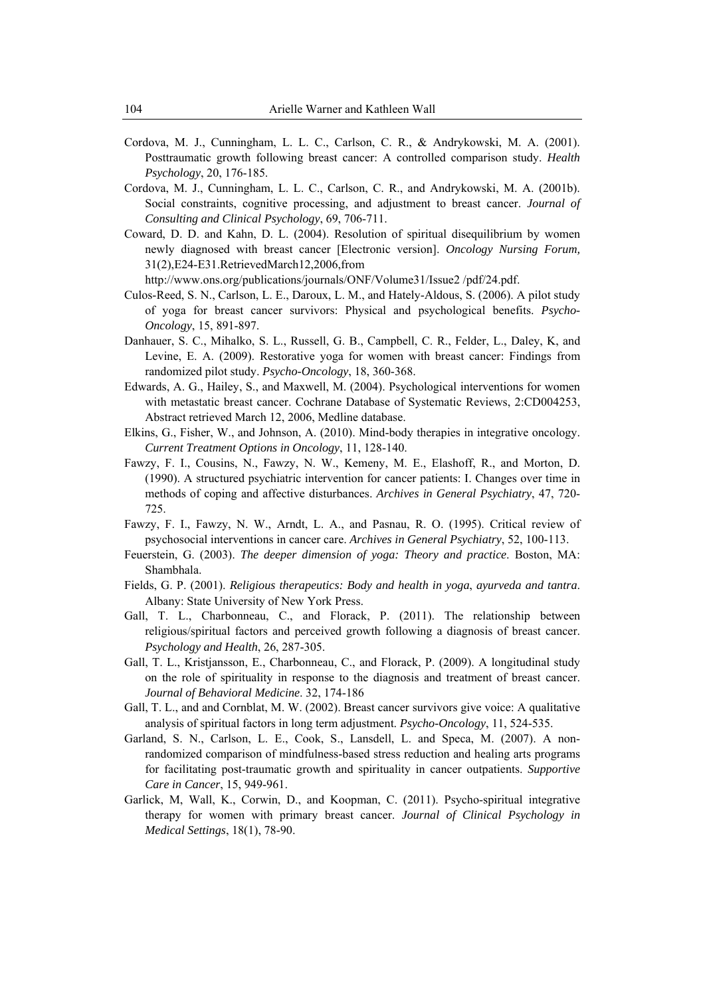- Cordova, M. J., Cunningham, L. L. C., Carlson, C. R., & Andrykowski, M. A. (2001). Posttraumatic growth following breast cancer: A controlled comparison study. *Health Psychology*, 20, 176-185.
- Cordova, M. J., Cunningham, L. L. C., Carlson, C. R., and Andrykowski, M. A. (2001b). Social constraints, cognitive processing, and adjustment to breast cancer. *Journal of Consulting and Clinical Psychology*, 69, 706-711.
- Coward, D. D. and Kahn, D. L. (2004). Resolution of spiritual disequilibrium by women newly diagnosed with breast cancer [Electronic version]. *Oncology Nursing Forum,*  31(2),E24-E31.RetrievedMarch12,2006,from

http://www.ons.org/publications/journals/ONF/Volume31/Issue2 /pdf/24.pdf.

- Culos-Reed, S. N., Carlson, L. E., Daroux, L. M., and Hately-Aldous, S. (2006). A pilot study of yoga for breast cancer survivors: Physical and psychological benefits. *Psycho-Oncology*, 15, 891-897.
- Danhauer, S. C., Mihalko, S. L., Russell, G. B., Campbell, C. R., Felder, L., Daley, K, and Levine, E. A. (2009). Restorative yoga for women with breast cancer: Findings from randomized pilot study. *Psycho-Oncology*, 18, 360-368.
- Edwards, A. G., Hailey, S., and Maxwell, M. (2004). Psychological interventions for women with metastatic breast cancer. Cochrane Database of Systematic Reviews, 2:CD004253, Abstract retrieved March 12, 2006, Medline database.
- Elkins, G., Fisher, W., and Johnson, A. (2010). Mind-body therapies in integrative oncology. *Current Treatment Options in Oncology*, 11, 128-140.
- Fawzy, F. I., Cousins, N., Fawzy, N. W., Kemeny, M. E., Elashoff, R., and Morton, D. (1990). A structured psychiatric intervention for cancer patients: I. Changes over time in methods of coping and affective disturbances. *Archives in General Psychiatry*, 47, 720- 725.
- Fawzy, F. I., Fawzy, N. W., Arndt, L. A., and Pasnau, R. O. (1995). Critical review of psychosocial interventions in cancer care. *Archives in General Psychiatry*, 52, 100-113.
- Feuerstein, G. (2003). *The deeper dimension of yoga: Theory and practice*. Boston, MA: Shambhala.
- Fields, G. P. (2001). *Religious therapeutics: Body and health in yoga*, *ayurveda and tantra*. Albany: State University of New York Press.
- Gall, T. L., Charbonneau, C., and Florack, P. (2011). The relationship between religious/spiritual factors and perceived growth following a diagnosis of breast cancer. *Psychology and Health*, 26, 287-305.
- Gall, T. L., Kristjansson, E., Charbonneau, C., and Florack, P. (2009). A longitudinal study on the role of spirituality in response to the diagnosis and treatment of breast cancer. *Journal of Behavioral Medicine*. 32, 174-186
- Gall, T. L., and and Cornblat, M. W. (2002). Breast cancer survivors give voice: A qualitative analysis of spiritual factors in long term adjustment. *Psycho-Oncology*, 11, 524-535.
- Garland, S. N., Carlson, L. E., Cook, S., Lansdell, L. and Speca, M. (2007). A nonrandomized comparison of mindfulness-based stress reduction and healing arts programs for facilitating post-traumatic growth and spirituality in cancer outpatients. *Supportive Care in Cancer*, 15, 949-961.
- Garlick, M, Wall, K., Corwin, D., and Koopman, C. (2011). Psycho-spiritual integrative therapy for women with primary breast cancer. *Journal of Clinical Psychology in Medical Settings*, 18(1), 78-90.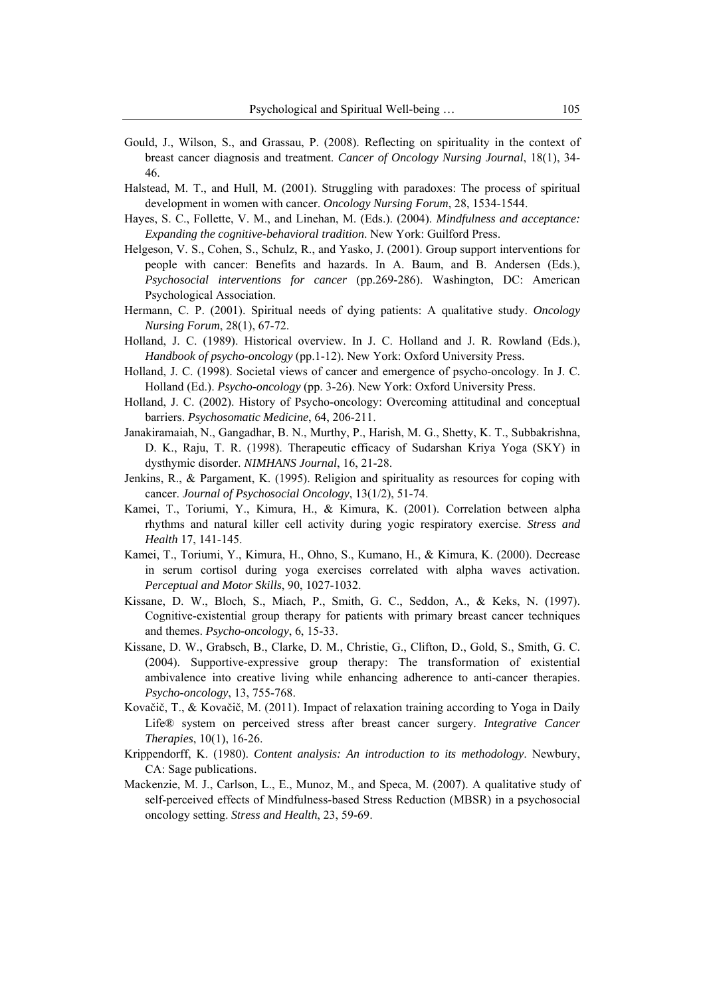- Gould, J., Wilson, S., and Grassau, P. (2008). Reflecting on spirituality in the context of breast cancer diagnosis and treatment. *Cancer of Oncology Nursing Journal*, 18(1), 34- 46.
- Halstead, M. T., and Hull, M. (2001). Struggling with paradoxes: The process of spiritual development in women with cancer. *Oncology Nursing Forum*, 28, 1534-1544.
- Hayes, S. C., Follette, V. M., and Linehan, M. (Eds.). (2004). *Mindfulness and acceptance: Expanding the cognitive-behavioral tradition*. New York: Guilford Press.
- Helgeson, V. S., Cohen, S., Schulz, R., and Yasko, J. (2001). Group support interventions for people with cancer: Benefits and hazards. In A. Baum, and B. Andersen (Eds.), *Psychosocial interventions for cancer* (pp.269-286). Washington, DC: American Psychological Association.
- Hermann, C. P. (2001). Spiritual needs of dying patients: A qualitative study. *Oncology Nursing Forum*, 28(1), 67-72.
- Holland, J. C. (1989). Historical overview. In J. C. Holland and J. R. Rowland (Eds.), *Handbook of psycho-oncology* (pp.1-12). New York: Oxford University Press.
- Holland, J. C. (1998). Societal views of cancer and emergence of psycho-oncology. In J. C. Holland (Ed.). *Psycho-oncology* (pp. 3-26). New York: Oxford University Press.
- Holland, J. C. (2002). History of Psycho-oncology: Overcoming attitudinal and conceptual barriers. *Psychosomatic Medicine*, 64, 206-211.
- Janakiramaiah, N., Gangadhar, B. N., Murthy, P., Harish, M. G., Shetty, K. T., Subbakrishna, D. K., Raju, T. R. (1998). Therapeutic efficacy of Sudarshan Kriya Yoga (SKY) in dysthymic disorder. *NIMHANS Journal*, 16, 21-28.
- Jenkins, R., & Pargament, K. (1995). Religion and spirituality as resources for coping with cancer. *Journal of Psychosocial Oncology*, 13(1/2), 51-74.
- Kamei, T., Toriumi, Y., Kimura, H., & Kimura, K. (2001). Correlation between alpha rhythms and natural killer cell activity during yogic respiratory exercise. *Stress and Health* 17, 141-145.
- Kamei, T., Toriumi, Y., Kimura, H., Ohno, S., Kumano, H., & Kimura, K. (2000). Decrease in serum cortisol during yoga exercises correlated with alpha waves activation. *Perceptual and Motor Skills*, 90, 1027-1032.
- Kissane, D. W., Bloch, S., Miach, P., Smith, G. C., Seddon, A., & Keks, N. (1997). Cognitive-existential group therapy for patients with primary breast cancer techniques and themes. *Psycho-oncology*, 6, 15-33.
- Kissane, D. W., Grabsch, B., Clarke, D. M., Christie, G., Clifton, D., Gold, S., Smith, G. C. (2004). Supportive-expressive group therapy: The transformation of existential ambivalence into creative living while enhancing adherence to anti-cancer therapies. *Psycho-oncology*, 13, 755-768.
- Kovačič, T., & Kovačič, M. (2011). Impact of relaxation training according to Yoga in Daily Life® system on perceived stress after breast cancer surgery. *Integrative Cancer Therapies*, 10(1), 16-26.
- Krippendorff, K. (1980). *Content analysis: An introduction to its methodology*. Newbury, CA: Sage publications.
- Mackenzie, M. J., Carlson, L., E., Munoz, M., and Speca, M. (2007). A qualitative study of self-perceived effects of Mindfulness-based Stress Reduction (MBSR) in a psychosocial oncology setting. *Stress and Health*, 23, 59-69.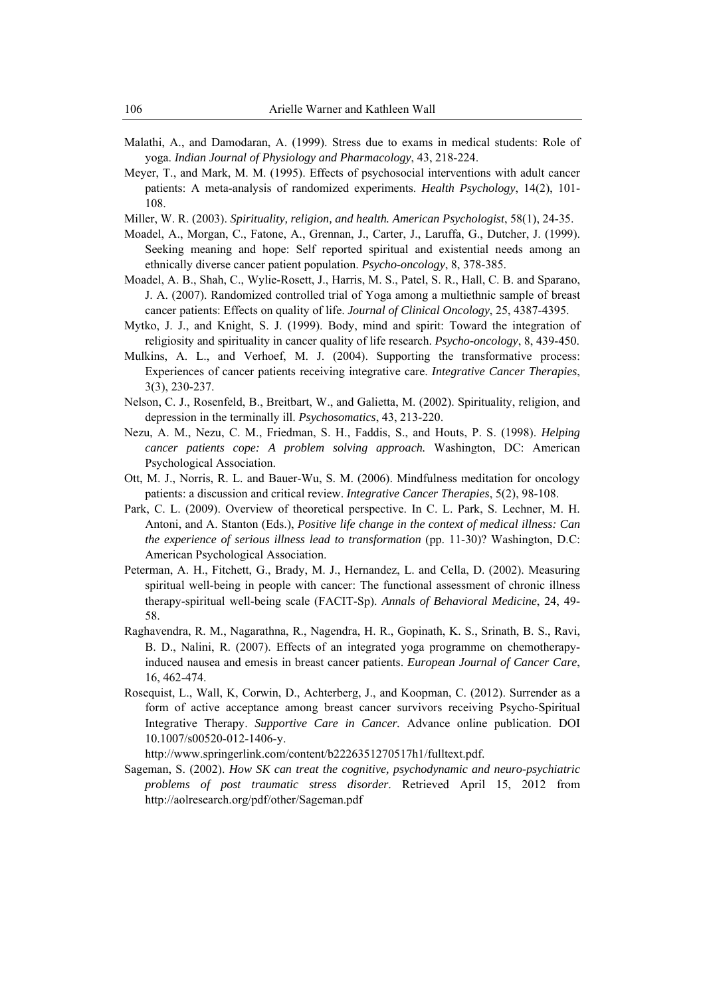- Malathi, A., and Damodaran, A. (1999). Stress due to exams in medical students: Role of yoga. *Indian Journal of Physiology and Pharmacology*, 43, 218-224.
- Meyer, T., and Mark, M. M. (1995). Effects of psychosocial interventions with adult cancer patients: A meta-analysis of randomized experiments. *Health Psychology*, 14(2), 101- 108.
- Miller, W. R. (2003). *Spirituality, religion, and health. American Psychologist*, 58(1), 24-35.
- Moadel, A., Morgan, C., Fatone, A., Grennan, J., Carter, J., Laruffa, G., Dutcher, J. (1999). Seeking meaning and hope: Self reported spiritual and existential needs among an ethnically diverse cancer patient population. *Psycho-oncology*, 8, 378-385.
- Moadel, A. B., Shah, C., Wylie-Rosett, J., Harris, M. S., Patel, S. R., Hall, C. B. and Sparano, J. A. (2007). Randomized controlled trial of Yoga among a multiethnic sample of breast cancer patients: Effects on quality of life. *Journal of Clinical Oncology*, 25, 4387-4395.
- Mytko, J. J., and Knight, S. J. (1999). Body, mind and spirit: Toward the integration of religiosity and spirituality in cancer quality of life research. *Psycho-oncology*, 8, 439-450.
- Mulkins, A. L., and Verhoef, M. J. (2004). Supporting the transformative process: Experiences of cancer patients receiving integrative care. *Integrative Cancer Therapies*, 3(3), 230-237.
- Nelson, C. J., Rosenfeld, B., Breitbart, W., and Galietta, M. (2002). Spirituality, religion, and depression in the terminally ill. *Psychosomatics*, 43, 213-220.
- Nezu, A. M., Nezu, C. M., Friedman, S. H., Faddis, S., and Houts, P. S. (1998). *Helping cancer patients cope: A problem solving approach.* Washington, DC: American Psychological Association.
- Ott, M. J., Norris, R. L. and Bauer-Wu, S. M. (2006). Mindfulness meditation for oncology patients: a discussion and critical review. *Integrative Cancer Therapies*, 5(2), 98-108.
- Park, C. L. (2009). Overview of theoretical perspective. In C. L. Park, S. Lechner, M. H. Antoni, and A. Stanton (Eds.), *Positive life change in the context of medical illness: Can the experience of serious illness lead to transformation* (pp. 11-30)? Washington, D.C: American Psychological Association.
- Peterman, A. H., Fitchett, G., Brady, M. J., Hernandez, L. and Cella, D. (2002). Measuring spiritual well-being in people with cancer: The functional assessment of chronic illness therapy-spiritual well-being scale (FACIT-Sp). *Annals of Behavioral Medicine*, 24, 49- 58.
- Raghavendra, R. M., Nagarathna, R., Nagendra, H. R., Gopinath, K. S., Srinath, B. S., Ravi, B. D., Nalini, R. (2007). Effects of an integrated yoga programme on chemotherapyinduced nausea and emesis in breast cancer patients. *European Journal of Cancer Care*, 16, 462-474.
- Rosequist, L., Wall, K, Corwin, D., Achterberg, J., and Koopman, C. (2012). Surrender as a form of active acceptance among breast cancer survivors receiving Psycho-Spiritual Integrative Therapy. *Supportive Care in Cancer.* Advance online publication. DOI 10.1007/s00520-012-1406-y.

http://www.springerlink.com/content/b2226351270517h1/fulltext.pdf.

Sageman, S. (2002). *How SK can treat the cognitive, psychodynamic and neuro-psychiatric problems of post traumatic stress disorder*. Retrieved April 15, 2012 from http://aolresearch.org/pdf/other/Sageman.pdf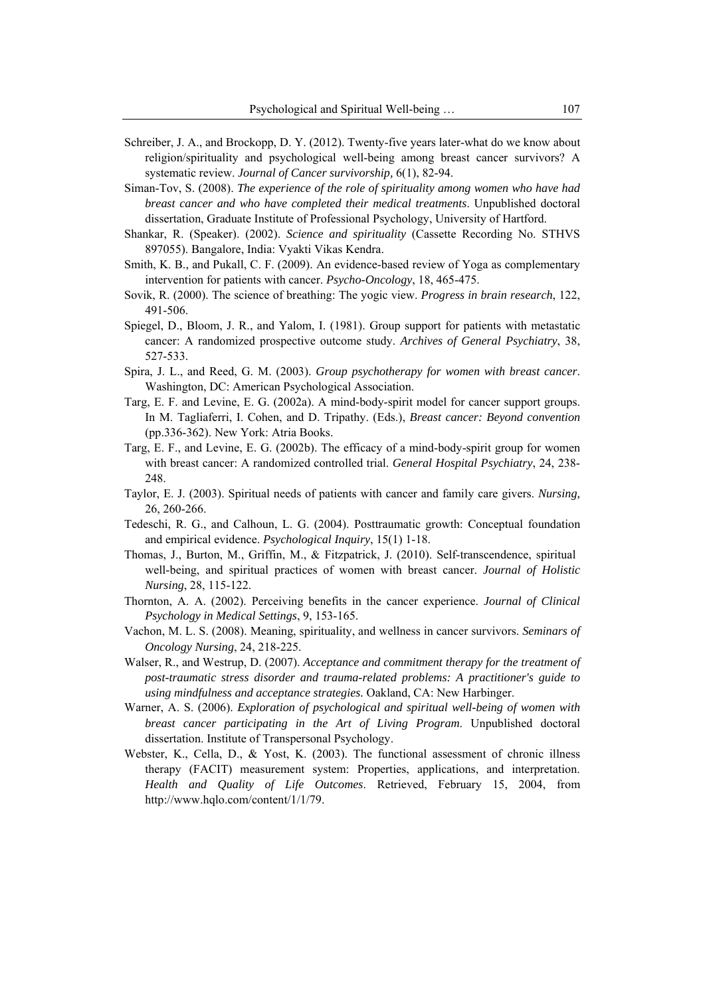- Schreiber, J. A., and Brockopp, D. Y. (2012). Twenty-five years later-what do we know about religion/spirituality and psychological well-being among breast cancer survivors? A systematic review. *Journal of Cancer survivorship,* 6(1), 82-94.
- Siman-Tov, S. (2008). *The experience of the role of spirituality among women who have had breast cancer and who have completed their medical treatments*. Unpublished doctoral dissertation, Graduate Institute of Professional Psychology, University of Hartford.
- Shankar, R. (Speaker). (2002). *Science and spirituality* (Cassette Recording No. STHVS 897055). Bangalore, India: Vyakti Vikas Kendra.
- Smith, K. B., and Pukall, C. F. (2009). An evidence-based review of Yoga as complementary intervention for patients with cancer. *Psycho-Oncology*, 18, 465-475.
- Sovik, R. (2000). The science of breathing: The yogic view. *Progress in brain research*, 122, 491-506.
- Spiegel, D., Bloom, J. R., and Yalom, I. (1981). Group support for patients with metastatic cancer: A randomized prospective outcome study. *Archives of General Psychiatry*, 38, 527-533.
- Spira, J. L., and Reed, G. M. (2003). *Group psychotherapy for women with breast cancer*. Washington, DC: American Psychological Association.
- Targ, E. F. and Levine, E. G. (2002a). A mind-body-spirit model for cancer support groups. In M. Tagliaferri, I. Cohen, and D. Tripathy. (Eds.), *Breast cancer: Beyond convention* (pp.336-362). New York: Atria Books.
- Targ, E. F., and Levine, E. G. (2002b). The efficacy of a mind-body-spirit group for women with breast cancer: A randomized controlled trial. *General Hospital Psychiatry*, 24, 238- 248.
- Taylor, E. J. (2003). Spiritual needs of patients with cancer and family care givers. *Nursing,* 26, 260-266.
- Tedeschi, R. G., and Calhoun, L. G. (2004). Posttraumatic growth: Conceptual foundation and empirical evidence. *Psychological Inquiry*, 15(1) 1-18.
- Thomas, J., Burton, M., Griffin, M., & Fitzpatrick, J. (2010). Self-transcendence, spiritual well-being, and spiritual practices of women with breast cancer. *Journal of Holistic Nursing*, 28, 115-122.
- Thornton, A. A. (2002). Perceiving benefits in the cancer experience. *Journal of Clinical Psychology in Medical Settings*, 9, 153-165.
- Vachon, M. L. S. (2008). Meaning, spirituality, and wellness in cancer survivors. *Seminars of Oncology Nursing*, 24, 218-225.
- Walser, R., and Westrup, D. (2007). *Acceptance and commitment therapy for the treatment of post-traumatic stress disorder and trauma-related problems: A practitioner's guide to using mindfulness and acceptance strategies.* Oakland, CA: New Harbinger.
- Warner, A. S. (2006). *Exploration of psychological and spiritual well-being of women with breast cancer participating in the Art of Living Program*. Unpublished doctoral dissertation. Institute of Transpersonal Psychology.
- Webster, K., Cella, D., & Yost, K. (2003). The functional assessment of chronic illness therapy (FACIT) measurement system: Properties, applications, and interpretation. *Health and Quality of Life Outcomes*. Retrieved, February 15, 2004, from http://www.hqlo.com/content/1/1/79.